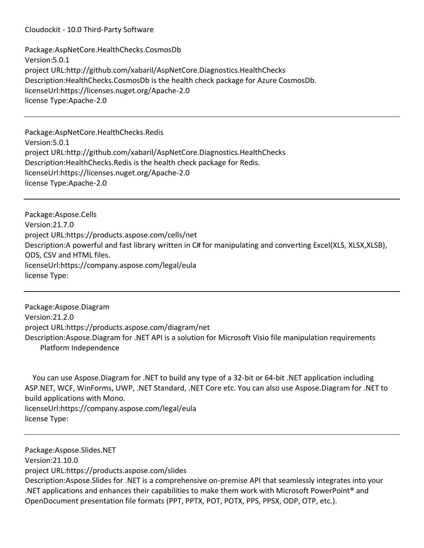Package:AspNetCore.HealthChecks.CosmosDb Version:5.0.1 project URL:http://github.com/xabaril/AspNetCore.Diagnostics.HealthChecks Description:HealthChecks.CosmosDb is the health check package for Azure CosmosDb. licenseUrl:https://licenses.nuget.org/Apache-2.0 license Type:Apache-2.0

Package:AspNetCore.HealthChecks.Redis Version:5.0.1 project URL:http://github.com/xabaril/AspNetCore.Diagnostics.HealthChecks Description:HealthChecks.Redis is the health check package for Redis. licenseUrl:https://licenses.nuget.org/Apache-2.0 license Type:Apache-2.0

Package:Aspose.Cells Version:21.7.0 project URL:https://products.aspose.com/cells/net Description:A powerful and fast library written in C# for manipulating and converting Excel(XLS, XLSX,XLSB), ODS, CSV and HTML files. licenseUrl:https://company.aspose.com/legal/eula license Type:

Package:Aspose.Diagram Version:21.2.0 project URL:https://products.aspose.com/diagram/net Description:Aspose.Diagram for .NET API is a solution for Microsoft Visio file manipulation requirements Platform Independence

 You can use Aspose.Diagram for .NET to build any type of a 32-bit or 64-bit .NET application including ASP.NET, WCF, WinForms, UWP, .NET Standard, .NET Core etc. You can also use Aspose.Diagram for .NET to build applications with Mono. licenseUrl:https://company.aspose.com/legal/eula license Type:

Package:Aspose.Slides.NET Version:21.10.0 project URL:https://products.aspose.com/slides Description:Aspose.Slides for .NET is a comprehensive on-premise API that seamlessly integrates into your .NET applications and enhances their capabilities to make them work with Microsoft PowerPoint<sup>®</sup> and OpenDocument presentation file formats (PPT, PPTX, POT, POTX, PPS, PPSX, ODP, OTP, etc.).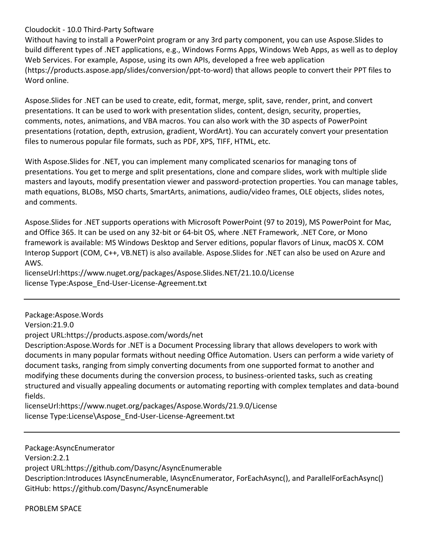Without having to install a PowerPoint program or any 3rd party component, you can use Aspose.Slides to build different types of .NET applications, e.g., Windows Forms Apps, Windows Web Apps, as well as to deploy Web Services. For example, Aspose, using its own APIs, developed a free web application (https://products.aspose.app/slides/conversion/ppt-to-word) that allows people to convert their PPT files to Word online.

Aspose.Slides for .NET can be used to create, edit, format, merge, split, save, render, print, and convert presentations. It can be used to work with presentation slides, content, design, security, properties, comments, notes, animations, and VBA macros. You can also work with the 3D aspects of PowerPoint presentations (rotation, depth, extrusion, gradient, WordArt). You can accurately convert your presentation files to numerous popular file formats, such as PDF, XPS, TIFF, HTML, etc.

With Aspose.Slides for .NET, you can implement many complicated scenarios for managing tons of presentations. You get to merge and split presentations, clone and compare slides, work with multiple slide masters and layouts, modify presentation viewer and password-protection properties. You can manage tables, math equations, BLOBs, MSO charts, SmartArts, animations, audio/video frames, OLE objects, slides notes, and comments.

Aspose.Slides for .NET supports operations with Microsoft PowerPoint (97 to 2019), MS PowerPoint for Mac, and Office 365. It can be used on any 32-bit or 64-bit OS, where .NET Framework, .NET Core, or Mono framework is available: MS Windows Desktop and Server editions, popular flavors of Linux, macOS X. COM Interop Support (COM, C++, VB.NET) is also available. Aspose.Slides for .NET can also be used on Azure and AWS.

licenseUrl:https://www.nuget.org/packages/Aspose.Slides.NET/21.10.0/License license Type:Aspose\_End-User-License-Agreement.txt

Package:Aspose.Words

Version:21.9.0

project URL:https://products.aspose.com/words/net

Description:Aspose.Words for .NET is a Document Processing library that allows developers to work with documents in many popular formats without needing Office Automation. Users can perform a wide variety of document tasks, ranging from simply converting documents from one supported format to another and modifying these documents during the conversion process, to business-oriented tasks, such as creating structured and visually appealing documents or automating reporting with complex templates and data-bound fields.

licenseUrl:https://www.nuget.org/packages/Aspose.Words/21.9.0/License license Type:License\Aspose\_End-User-License-Agreement.txt

Package:AsyncEnumerator

Version:2.2.1

project URL:https://github.com/Dasync/AsyncEnumerable

Description:Introduces IAsyncEnumerable, IAsyncEnumerator, ForEachAsync(), and ParallelForEachAsync() GitHub: https://github.com/Dasync/AsyncEnumerable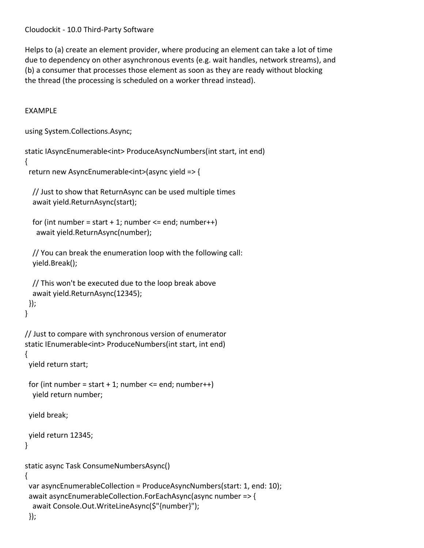Helps to (a) create an element provider, where producing an element can take a lot of time due to dependency on other asynchronous events (e.g. wait handles, network streams), and (b) a consumer that processes those element as soon as they are ready without blocking the thread (the processing is scheduled on a worker thread instead).

# EXAMPLE

```
using System.Collections.Async;
```

```
static IAsyncEnumerable<int> ProduceAsyncNumbers(int start, int end)
```

```
{
```

```
 return new AsyncEnumerable<int>(async yield => {
```

```
 // Just to show that ReturnAsync can be used multiple times
 await yield.ReturnAsync(start);
```

```
for (int number = start +1; number \le = end; number++)
  await yield.ReturnAsync(number);
```

```
 // You can break the enumeration loop with the following call:
 yield.Break();
```

```
 // This won't be executed due to the loop break above
  await yield.ReturnAsync(12345);
 });
```

```
}
```

```
// Just to compare with synchronous version of enumerator
static IEnumerable<int> ProduceNumbers(int start, int end)
{
```

```
 yield return start;
```

```
for (int number = start + 1; number <= end; number++)
  yield return number;
```
yield break;

```
 yield return 12345;
```
}

```
static async Task ConsumeNumbersAsync()
{
  var asyncEnumerableCollection = ProduceAsyncNumbers(start: 1, end: 10);
  await asyncEnumerableCollection.ForEachAsync(async number => {
   await Console.Out.WriteLineAsync($"{number}");
```

```
 });
```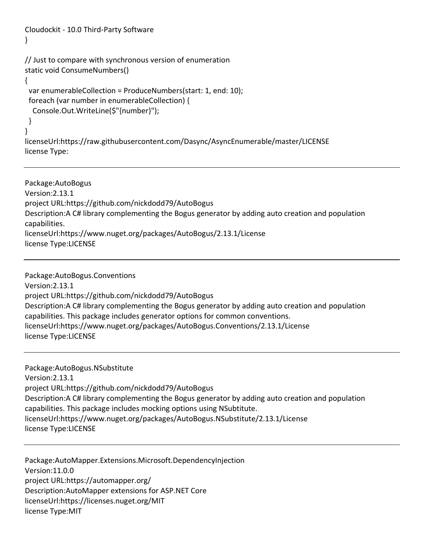```
Cloudockit - 10.0 Third-Party Software
}
// Just to compare with synchronous version of enumeration
static void ConsumeNumbers()
{
  var enumerableCollection = ProduceNumbers(start: 1, end: 10);
  foreach (var number in enumerableCollection) {
   Console.Out.WriteLine($"{number}");
  }
}
licenseUrl:https://raw.githubusercontent.com/Dasync/AsyncEnumerable/master/LICENSE
license Type:
```
Package:AutoBogus Version:2.13.1 project URL:https://github.com/nickdodd79/AutoBogus Description:A C# library complementing the Bogus generator by adding auto creation and population capabilities. licenseUrl:https://www.nuget.org/packages/AutoBogus/2.13.1/License license Type:LICENSE

Package:AutoBogus.Conventions Version:2.13.1 project URL:https://github.com/nickdodd79/AutoBogus Description:A C# library complementing the Bogus generator by adding auto creation and population capabilities. This package includes generator options for common conventions. licenseUrl:https://www.nuget.org/packages/AutoBogus.Conventions/2.13.1/License license Type:LICENSE

Package:AutoBogus.NSubstitute Version:2.13.1 project URL:https://github.com/nickdodd79/AutoBogus Description:A C# library complementing the Bogus generator by adding auto creation and population capabilities. This package includes mocking options using NSubtitute. licenseUrl:https://www.nuget.org/packages/AutoBogus.NSubstitute/2.13.1/License license Type:LICENSE

Package:AutoMapper.Extensions.Microsoft.DependencyInjection Version:11.0.0 project URL:https://automapper.org/ Description:AutoMapper extensions for ASP.NET Core licenseUrl:https://licenses.nuget.org/MIT license Type:MIT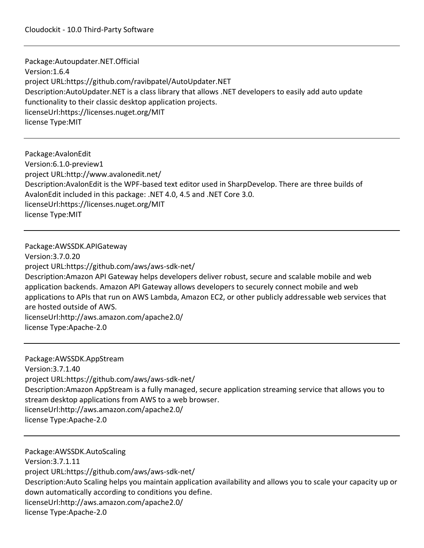Package:Autoupdater.NET.Official Version:1.6.4 project URL:https://github.com/ravibpatel/AutoUpdater.NET Description:AutoUpdater.NET is a class library that allows .NET developers to easily add auto update functionality to their classic desktop application projects. licenseUrl:https://licenses.nuget.org/MIT license Type:MIT

Package:AvalonEdit Version:6.1.0-preview1 project URL:http://www.avalonedit.net/ Description:AvalonEdit is the WPF-based text editor used in SharpDevelop. There are three builds of AvalonEdit included in this package: .NET 4.0, 4.5 and .NET Core 3.0. licenseUrl:https://licenses.nuget.org/MIT license Type:MIT

Package:AWSSDK.APIGateway Version:3.7.0.20 project URL:https://github.com/aws/aws-sdk-net/ Description:Amazon API Gateway helps developers deliver robust, secure and scalable mobile and web application backends. Amazon API Gateway allows developers to securely connect mobile and web applications to APIs that run on AWS Lambda, Amazon EC2, or other publicly addressable web services that are hosted outside of AWS. licenseUrl:http://aws.amazon.com/apache2.0/ license Type:Apache-2.0

Package:AWSSDK.AppStream Version:3.7.1.40 project URL:https://github.com/aws/aws-sdk-net/ Description:Amazon AppStream is a fully managed, secure application streaming service that allows you to stream desktop applications from AWS to a web browser. licenseUrl:http://aws.amazon.com/apache2.0/ license Type:Apache-2.0

Package:AWSSDK.AutoScaling Version:3.7.1.11 project URL:https://github.com/aws/aws-sdk-net/ Description:Auto Scaling helps you maintain application availability and allows you to scale your capacity up or down automatically according to conditions you define. licenseUrl:http://aws.amazon.com/apache2.0/ license Type:Apache-2.0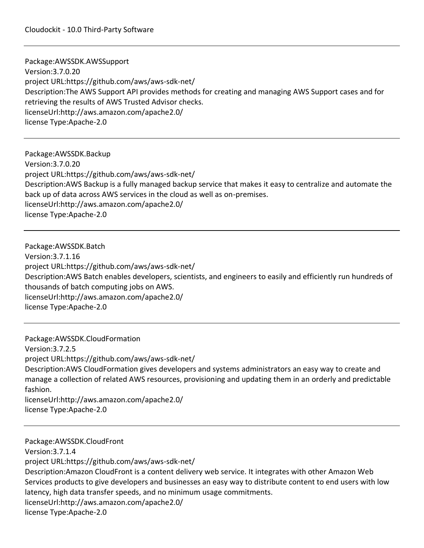Package:AWSSDK.AWSSupport Version:3.7.0.20 project URL:https://github.com/aws/aws-sdk-net/ Description:The AWS Support API provides methods for creating and managing AWS Support cases and for retrieving the results of AWS Trusted Advisor checks. licenseUrl:http://aws.amazon.com/apache2.0/ license Type:Apache-2.0

Package:AWSSDK.Backup Version:3.7.0.20 project URL:https://github.com/aws/aws-sdk-net/ Description:AWS Backup is a fully managed backup service that makes it easy to centralize and automate the back up of data across AWS services in the cloud as well as on-premises. licenseUrl:http://aws.amazon.com/apache2.0/ license Type:Apache-2.0

Package:AWSSDK.Batch Version:3.7.1.16 project URL:https://github.com/aws/aws-sdk-net/ Description:AWS Batch enables developers, scientists, and engineers to easily and efficiently run hundreds of thousands of batch computing jobs on AWS. licenseUrl:http://aws.amazon.com/apache2.0/ license Type:Apache-2.0

Package:AWSSDK.CloudFormation Version:3.7.2.5 project URL:https://github.com/aws/aws-sdk-net/ Description:AWS CloudFormation gives developers and systems administrators an easy way to create and manage a collection of related AWS resources, provisioning and updating them in an orderly and predictable fashion. licenseUrl:http://aws.amazon.com/apache2.0/ license Type:Apache-2.0

Package:AWSSDK.CloudFront Version:3.7.1.4 project URL:https://github.com/aws/aws-sdk-net/ Description:Amazon CloudFront is a content delivery web service. It integrates with other Amazon Web Services products to give developers and businesses an easy way to distribute content to end users with low latency, high data transfer speeds, and no minimum usage commitments. licenseUrl:http://aws.amazon.com/apache2.0/ license Type:Apache-2.0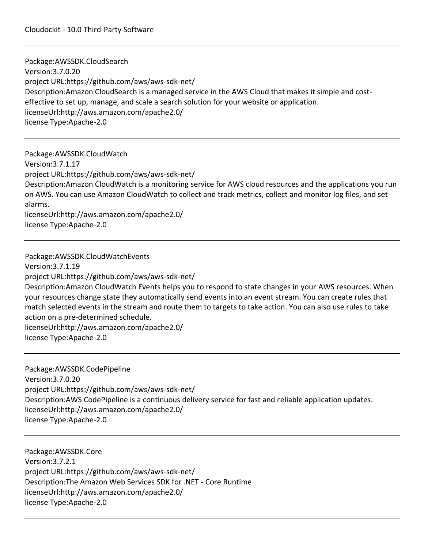Package:AWSSDK.CloudSearch Version:3.7.0.20 project URL:https://github.com/aws/aws-sdk-net/ Description:Amazon CloudSearch is a managed service in the AWS Cloud that makes it simple and costeffective to set up, manage, and scale a search solution for your website or application. licenseUrl:http://aws.amazon.com/apache2.0/ license Type:Apache-2.0

Package:AWSSDK.CloudWatch Version:3.7.1.17 project URL:https://github.com/aws/aws-sdk-net/ Description:Amazon CloudWatch is a monitoring service for AWS cloud resources and the applications you run on AWS. You can use Amazon CloudWatch to collect and track metrics, collect and monitor log files, and set alarms. licenseUrl:http://aws.amazon.com/apache2.0/ license Type:Apache-2.0

Package:AWSSDK.CloudWatchEvents Version:3.7.1.19 project URL:https://github.com/aws/aws-sdk-net/ Description:Amazon CloudWatch Events helps you to respond to state changes in your AWS resources. When your resources change state they automatically send events into an event stream. You can create rules that match selected events in the stream and route them to targets to take action. You can also use rules to take action on a pre-determined schedule. licenseUrl:http://aws.amazon.com/apache2.0/ license Type:Apache-2.0

Package:AWSSDK.CodePipeline Version:3.7.0.20 project URL:https://github.com/aws/aws-sdk-net/ Description:AWS CodePipeline is a continuous delivery service for fast and reliable application updates. licenseUrl:http://aws.amazon.com/apache2.0/ license Type:Apache-2.0

Package:AWSSDK.Core Version:3.7.2.1 project URL:https://github.com/aws/aws-sdk-net/ Description:The Amazon Web Services SDK for .NET - Core Runtime licenseUrl:http://aws.amazon.com/apache2.0/ license Type:Apache-2.0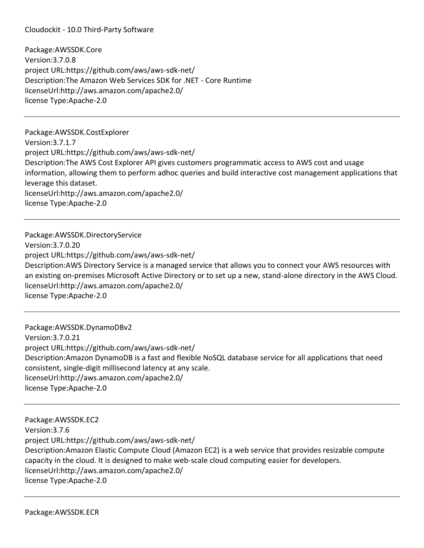Package:AWSSDK.Core Version:3.7.0.8 project URL:https://github.com/aws/aws-sdk-net/ Description:The Amazon Web Services SDK for .NET - Core Runtime licenseUrl:http://aws.amazon.com/apache2.0/ license Type:Apache-2.0

Package:AWSSDK.CostExplorer Version:3.7.1.7 project URL:https://github.com/aws/aws-sdk-net/ Description:The AWS Cost Explorer API gives customers programmatic access to AWS cost and usage information, allowing them to perform adhoc queries and build interactive cost management applications that leverage this dataset. licenseUrl:http://aws.amazon.com/apache2.0/ license Type:Apache-2.0

Package:AWSSDK.DirectoryService Version:3.7.0.20 project URL:https://github.com/aws/aws-sdk-net/ Description:AWS Directory Service is a managed service that allows you to connect your AWS resources with an existing on-premises Microsoft Active Directory or to set up a new, stand-alone directory in the AWS Cloud. licenseUrl:http://aws.amazon.com/apache2.0/ license Type:Apache-2.0

Package:AWSSDK.DynamoDBv2 Version:3.7.0.21 project URL:https://github.com/aws/aws-sdk-net/ Description:Amazon DynamoDB is a fast and flexible NoSQL database service for all applications that need consistent, single-digit millisecond latency at any scale. licenseUrl:http://aws.amazon.com/apache2.0/ license Type:Apache-2.0

Package:AWSSDK.EC2 Version:3.7.6 project URL:https://github.com/aws/aws-sdk-net/ Description:Amazon Elastic Compute Cloud (Amazon EC2) is a web service that provides resizable compute capacity in the cloud. It is designed to make web-scale cloud computing easier for developers. licenseUrl:http://aws.amazon.com/apache2.0/ license Type:Apache-2.0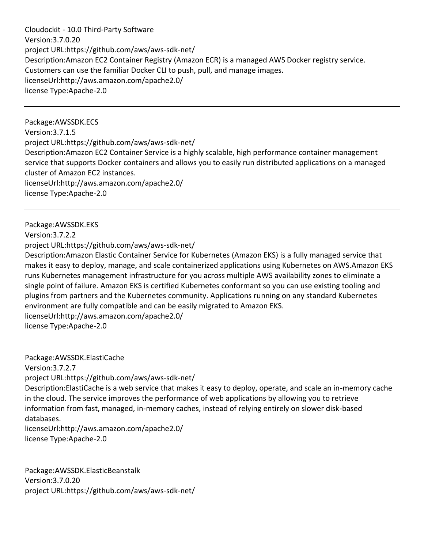Cloudockit - 10.0 Third-Party Software Version:3.7.0.20 project URL:https://github.com/aws/aws-sdk-net/ Description:Amazon EC2 Container Registry (Amazon ECR) is a managed AWS Docker registry service. Customers can use the familiar Docker CLI to push, pull, and manage images. licenseUrl:http://aws.amazon.com/apache2.0/ license Type:Apache-2.0

Package:AWSSDK.ECS Version:3.7.1.5 project URL:https://github.com/aws/aws-sdk-net/ Description:Amazon EC2 Container Service is a highly scalable, high performance container management service that supports Docker containers and allows you to easily run distributed applications on a managed cluster of Amazon EC2 instances. licenseUrl:http://aws.amazon.com/apache2.0/ license Type:Apache-2.0

Package:AWSSDK.EKS Version:3.7.2.2 project URL:https://github.com/aws/aws-sdk-net/ Description:Amazon Elastic Container Service for Kubernetes (Amazon EKS) is a fully managed service that makes it easy to deploy, manage, and scale containerized applications using Kubernetes on AWS.Amazon EKS runs Kubernetes management infrastructure for you across multiple AWS availability zones to eliminate a single point of failure. Amazon EKS is certified Kubernetes conformant so you can use existing tooling and plugins from partners and the Kubernetes community. Applications running on any standard Kubernetes environment are fully compatible and can be easily migrated to Amazon EKS. licenseUrl:http://aws.amazon.com/apache2.0/ license Type:Apache-2.0

Package:AWSSDK.ElastiCache Version:3.7.2.7 project URL:https://github.com/aws/aws-sdk-net/ Description:ElastiCache is a web service that makes it easy to deploy, operate, and scale an in-memory cache in the cloud. The service improves the performance of web applications by allowing you to retrieve information from fast, managed, in-memory caches, instead of relying entirely on slower disk-based databases. licenseUrl:http://aws.amazon.com/apache2.0/ license Type:Apache-2.0

Package:AWSSDK.ElasticBeanstalk Version:3.7.0.20 project URL:https://github.com/aws/aws-sdk-net/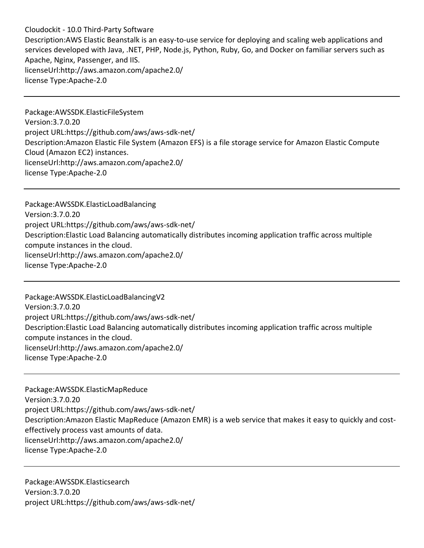Cloudockit - 10.0 Third-Party Software Description:AWS Elastic Beanstalk is an easy-to-use service for deploying and scaling web applications and services developed with Java, .NET, PHP, Node.js, Python, Ruby, Go, and Docker on familiar servers such as Apache, Nginx, Passenger, and IIS. licenseUrl:http://aws.amazon.com/apache2.0/ license Type:Apache-2.0

Package:AWSSDK.ElasticFileSystem Version:3.7.0.20 project URL:https://github.com/aws/aws-sdk-net/ Description:Amazon Elastic File System (Amazon EFS) is a file storage service for Amazon Elastic Compute Cloud (Amazon EC2) instances. licenseUrl:http://aws.amazon.com/apache2.0/ license Type:Apache-2.0

Package:AWSSDK.ElasticLoadBalancing Version:3.7.0.20 project URL:https://github.com/aws/aws-sdk-net/ Description:Elastic Load Balancing automatically distributes incoming application traffic across multiple compute instances in the cloud. licenseUrl:http://aws.amazon.com/apache2.0/ license Type:Apache-2.0

Package:AWSSDK.ElasticLoadBalancingV2 Version:3.7.0.20 project URL:https://github.com/aws/aws-sdk-net/ Description:Elastic Load Balancing automatically distributes incoming application traffic across multiple compute instances in the cloud. licenseUrl:http://aws.amazon.com/apache2.0/ license Type:Apache-2.0

Package:AWSSDK.ElasticMapReduce Version:3.7.0.20 project URL:https://github.com/aws/aws-sdk-net/ Description:Amazon Elastic MapReduce (Amazon EMR) is a web service that makes it easy to quickly and costeffectively process vast amounts of data. licenseUrl:http://aws.amazon.com/apache2.0/ license Type:Apache-2.0

Package:AWSSDK.Elasticsearch Version:3.7.0.20 project URL:https://github.com/aws/aws-sdk-net/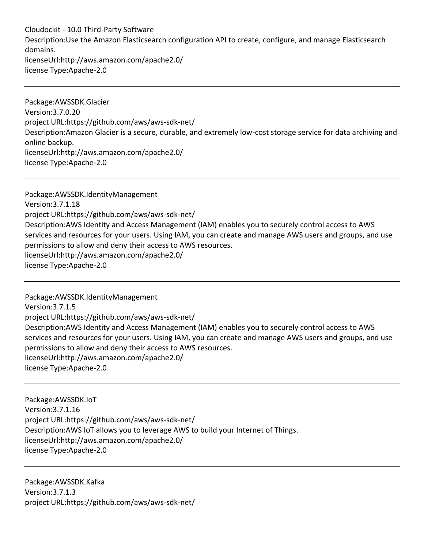Cloudockit - 10.0 Third-Party Software Description:Use the Amazon Elasticsearch configuration API to create, configure, and manage Elasticsearch domains. licenseUrl:http://aws.amazon.com/apache2.0/ license Type:Apache-2.0

Package:AWSSDK.Glacier Version:3.7.0.20 project URL:https://github.com/aws/aws-sdk-net/ Description:Amazon Glacier is a secure, durable, and extremely low-cost storage service for data archiving and online backup. licenseUrl:http://aws.amazon.com/apache2.0/ license Type:Apache-2.0

Package:AWSSDK.IdentityManagement Version:3.7.1.18 project URL:https://github.com/aws/aws-sdk-net/ Description:AWS Identity and Access Management (IAM) enables you to securely control access to AWS services and resources for your users. Using IAM, you can create and manage AWS users and groups, and use permissions to allow and deny their access to AWS resources. licenseUrl:http://aws.amazon.com/apache2.0/ license Type:Apache-2.0

Package:AWSSDK.IdentityManagement Version:3.7.1.5 project URL:https://github.com/aws/aws-sdk-net/ Description:AWS Identity and Access Management (IAM) enables you to securely control access to AWS services and resources for your users. Using IAM, you can create and manage AWS users and groups, and use permissions to allow and deny their access to AWS resources. licenseUrl:http://aws.amazon.com/apache2.0/ license Type:Apache-2.0

Package:AWSSDK.IoT Version:3.7.1.16 project URL:https://github.com/aws/aws-sdk-net/ Description:AWS IoT allows you to leverage AWS to build your Internet of Things. licenseUrl:http://aws.amazon.com/apache2.0/ license Type:Apache-2.0

Package:AWSSDK.Kafka Version:3.7.1.3 project URL:https://github.com/aws/aws-sdk-net/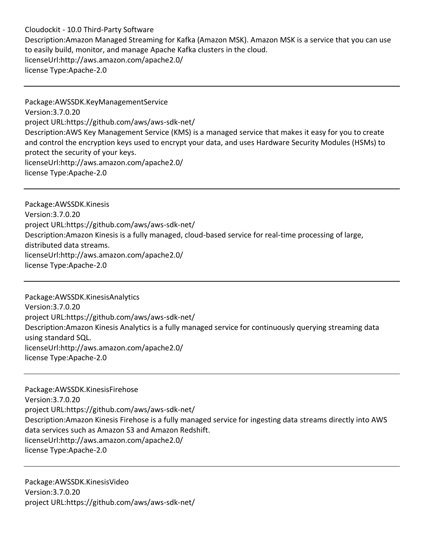Cloudockit - 10.0 Third-Party Software Description:Amazon Managed Streaming for Kafka (Amazon MSK). Amazon MSK is a service that you can use to easily build, monitor, and manage Apache Kafka clusters in the cloud. licenseUrl:http://aws.amazon.com/apache2.0/ license Type:Apache-2.0

Package:AWSSDK.KeyManagementService Version:3.7.0.20 project URL:https://github.com/aws/aws-sdk-net/ Description:AWS Key Management Service (KMS) is a managed service that makes it easy for you to create and control the encryption keys used to encrypt your data, and uses Hardware Security Modules (HSMs) to protect the security of your keys. licenseUrl:http://aws.amazon.com/apache2.0/ license Type:Apache-2.0

Package:AWSSDK.Kinesis Version:3.7.0.20 project URL:https://github.com/aws/aws-sdk-net/ Description:Amazon Kinesis is a fully managed, cloud-based service for real-time processing of large, distributed data streams. licenseUrl:http://aws.amazon.com/apache2.0/ license Type:Apache-2.0

Package:AWSSDK.KinesisAnalytics Version:3.7.0.20 project URL:https://github.com/aws/aws-sdk-net/ Description:Amazon Kinesis Analytics is a fully managed service for continuously querying streaming data using standard SQL. licenseUrl:http://aws.amazon.com/apache2.0/ license Type:Apache-2.0

Package:AWSSDK.KinesisFirehose Version:3.7.0.20 project URL:https://github.com/aws/aws-sdk-net/ Description:Amazon Kinesis Firehose is a fully managed service for ingesting data streams directly into AWS data services such as Amazon S3 and Amazon Redshift. licenseUrl:http://aws.amazon.com/apache2.0/ license Type:Apache-2.0

Package:AWSSDK.KinesisVideo Version:3.7.0.20 project URL:https://github.com/aws/aws-sdk-net/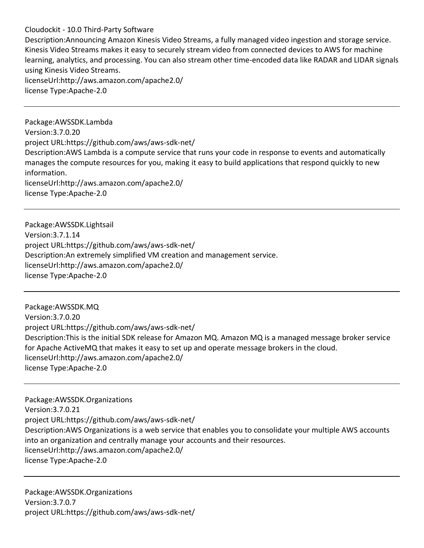Description:Announcing Amazon Kinesis Video Streams, a fully managed video ingestion and storage service. Kinesis Video Streams makes it easy to securely stream video from connected devices to AWS for machine learning, analytics, and processing. You can also stream other time-encoded data like RADAR and LIDAR signals using Kinesis Video Streams. licenseUrl:http://aws.amazon.com/apache2.0/ license Type:Apache-2.0

Package:AWSSDK.Lambda Version:3.7.0.20 project URL:https://github.com/aws/aws-sdk-net/ Description:AWS Lambda is a compute service that runs your code in response to events and automatically manages the compute resources for you, making it easy to build applications that respond quickly to new information. licenseUrl:http://aws.amazon.com/apache2.0/ license Type:Apache-2.0

Package:AWSSDK.Lightsail Version:3.7.1.14 project URL:https://github.com/aws/aws-sdk-net/ Description:An extremely simplified VM creation and management service. licenseUrl:http://aws.amazon.com/apache2.0/ license Type:Apache-2.0

Package:AWSSDK.MQ Version:3.7.0.20 project URL:https://github.com/aws/aws-sdk-net/ Description:This is the initial SDK release for Amazon MQ. Amazon MQ is a managed message broker service for Apache ActiveMQ that makes it easy to set up and operate message brokers in the cloud. licenseUrl:http://aws.amazon.com/apache2.0/ license Type:Apache-2.0

Package:AWSSDK.Organizations Version:3.7.0.21 project URL:https://github.com/aws/aws-sdk-net/ Description:AWS Organizations is a web service that enables you to consolidate your multiple AWS accounts into an organization and centrally manage your accounts and their resources. licenseUrl:http://aws.amazon.com/apache2.0/ license Type:Apache-2.0

Package:AWSSDK.Organizations Version:3.7.0.7 project URL:https://github.com/aws/aws-sdk-net/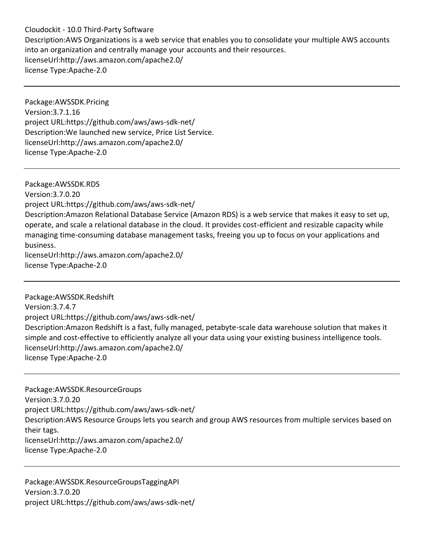Cloudockit - 10.0 Third-Party Software Description:AWS Organizations is a web service that enables you to consolidate your multiple AWS accounts into an organization and centrally manage your accounts and their resources. licenseUrl:http://aws.amazon.com/apache2.0/ license Type:Apache-2.0

Package:AWSSDK.Pricing Version:3.7.1.16 project URL:https://github.com/aws/aws-sdk-net/ Description:We launched new service, Price List Service. licenseUrl:http://aws.amazon.com/apache2.0/ license Type:Apache-2.0

Package:AWSSDK.RDS Version:3.7.0.20 project URL:https://github.com/aws/aws-sdk-net/ Description:Amazon Relational Database Service (Amazon RDS) is a web service that makes it easy to set up, operate, and scale a relational database in the cloud. It provides cost-efficient and resizable capacity while managing time-consuming database management tasks, freeing you up to focus on your applications and business. licenseUrl:http://aws.amazon.com/apache2.0/ license Type:Apache-2.0

Package:AWSSDK.Redshift Version:3.7.4.7 project URL:https://github.com/aws/aws-sdk-net/ Description:Amazon Redshift is a fast, fully managed, petabyte-scale data warehouse solution that makes it simple and cost-effective to efficiently analyze all your data using your existing business intelligence tools. licenseUrl:http://aws.amazon.com/apache2.0/ license Type:Apache-2.0

Package:AWSSDK.ResourceGroups Version:3.7.0.20 project URL:https://github.com/aws/aws-sdk-net/ Description:AWS Resource Groups lets you search and group AWS resources from multiple services based on their tags. licenseUrl:http://aws.amazon.com/apache2.0/ license Type:Apache-2.0

Package:AWSSDK.ResourceGroupsTaggingAPI Version:3.7.0.20 project URL:https://github.com/aws/aws-sdk-net/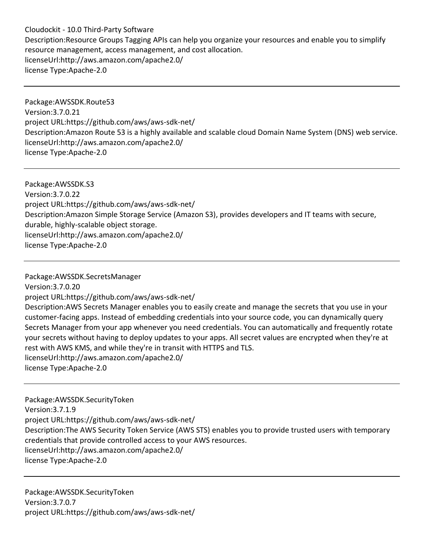Cloudockit - 10.0 Third-Party Software Description:Resource Groups Tagging APIs can help you organize your resources and enable you to simplify resource management, access management, and cost allocation. licenseUrl:http://aws.amazon.com/apache2.0/ license Type:Apache-2.0

Package:AWSSDK.Route53 Version:3.7.0.21 project URL:https://github.com/aws/aws-sdk-net/ Description:Amazon Route 53 is a highly available and scalable cloud Domain Name System (DNS) web service. licenseUrl:http://aws.amazon.com/apache2.0/ license Type:Apache-2.0

Package:AWSSDK.S3 Version:3.7.0.22 project URL:https://github.com/aws/aws-sdk-net/ Description:Amazon Simple Storage Service (Amazon S3), provides developers and IT teams with secure, durable, highly-scalable object storage. licenseUrl:http://aws.amazon.com/apache2.0/ license Type:Apache-2.0

Package:AWSSDK.SecretsManager Version:3.7.0.20 project URL:https://github.com/aws/aws-sdk-net/ Description:AWS Secrets Manager enables you to easily create and manage the secrets that you use in your customer-facing apps. Instead of embedding credentials into your source code, you can dynamically query Secrets Manager from your app whenever you need credentials. You can automatically and frequently rotate your secrets without having to deploy updates to your apps. All secret values are encrypted when they're at rest with AWS KMS, and while they're in transit with HTTPS and TLS. licenseUrl:http://aws.amazon.com/apache2.0/ license Type:Apache-2.0

Package:AWSSDK.SecurityToken Version:3.7.1.9 project URL:https://github.com/aws/aws-sdk-net/ Description:The AWS Security Token Service (AWS STS) enables you to provide trusted users with temporary credentials that provide controlled access to your AWS resources. licenseUrl:http://aws.amazon.com/apache2.0/ license Type:Apache-2.0

Package:AWSSDK.SecurityToken Version:3.7.0.7 project URL:https://github.com/aws/aws-sdk-net/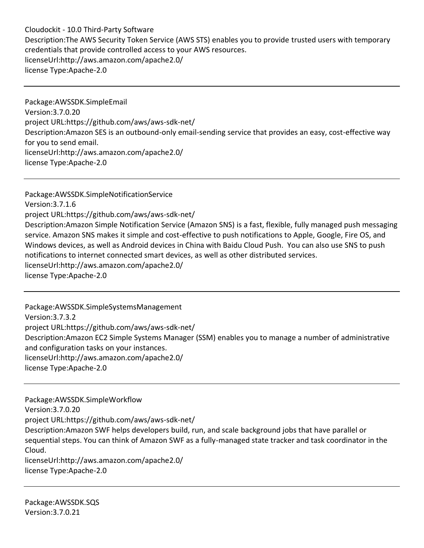Cloudockit - 10.0 Third-Party Software Description:The AWS Security Token Service (AWS STS) enables you to provide trusted users with temporary credentials that provide controlled access to your AWS resources. licenseUrl:http://aws.amazon.com/apache2.0/ license Type:Apache-2.0

Package:AWSSDK.SimpleEmail Version:3.7.0.20 project URL:https://github.com/aws/aws-sdk-net/ Description:Amazon SES is an outbound-only email-sending service that provides an easy, cost-effective way for you to send email. licenseUrl:http://aws.amazon.com/apache2.0/ license Type:Apache-2.0

Package:AWSSDK.SimpleNotificationService Version:3.7.1.6 project URL:https://github.com/aws/aws-sdk-net/ Description:Amazon Simple Notification Service (Amazon SNS) is a fast, flexible, fully managed push messaging service. Amazon SNS makes it simple and cost-effective to push notifications to Apple, Google, Fire OS, and Windows devices, as well as Android devices in China with Baidu Cloud Push. You can also use SNS to push notifications to internet connected smart devices, as well as other distributed services. licenseUrl:http://aws.amazon.com/apache2.0/ license Type:Apache-2.0

Package:AWSSDK.SimpleSystemsManagement Version:3.7.3.2 project URL:https://github.com/aws/aws-sdk-net/ Description:Amazon EC2 Simple Systems Manager (SSM) enables you to manage a number of administrative and configuration tasks on your instances. licenseUrl:http://aws.amazon.com/apache2.0/ license Type:Apache-2.0

Package:AWSSDK.SimpleWorkflow Version:3.7.0.20 project URL:https://github.com/aws/aws-sdk-net/ Description:Amazon SWF helps developers build, run, and scale background jobs that have parallel or sequential steps. You can think of Amazon SWF as a fully-managed state tracker and task coordinator in the Cloud. licenseUrl:http://aws.amazon.com/apache2.0/ license Type:Apache-2.0

Package:AWSSDK.SQS Version:3.7.0.21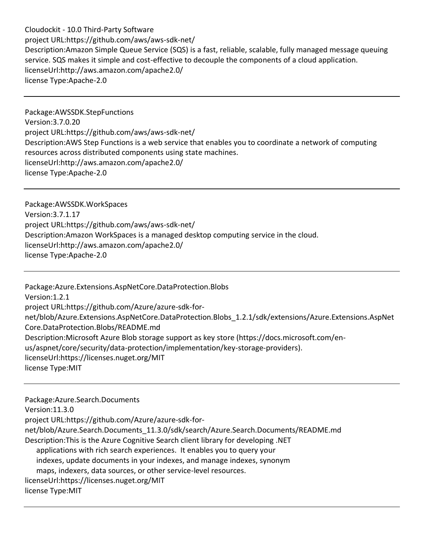Cloudockit - 10.0 Third-Party Software project URL:https://github.com/aws/aws-sdk-net/ Description:Amazon Simple Queue Service (SQS) is a fast, reliable, scalable, fully managed message queuing service. SQS makes it simple and cost-effective to decouple the components of a cloud application. licenseUrl:http://aws.amazon.com/apache2.0/ license Type:Apache-2.0

Package:AWSSDK.StepFunctions Version:3.7.0.20 project URL:https://github.com/aws/aws-sdk-net/ Description:AWS Step Functions is a web service that enables you to coordinate a network of computing resources across distributed components using state machines. licenseUrl:http://aws.amazon.com/apache2.0/ license Type:Apache-2.0

Package:AWSSDK.WorkSpaces Version:3.7.1.17 project URL:https://github.com/aws/aws-sdk-net/ Description:Amazon WorkSpaces is a managed desktop computing service in the cloud. licenseUrl:http://aws.amazon.com/apache2.0/ license Type:Apache-2.0

Package:Azure.Extensions.AspNetCore.DataProtection.Blobs Version:1.2.1 project URL:https://github.com/Azure/azure-sdk-fornet/blob/Azure.Extensions.AspNetCore.DataProtection.Blobs\_1.2.1/sdk/extensions/Azure.Extensions.AspNet Core.DataProtection.Blobs/README.md Description:Microsoft Azure Blob storage support as key store (https://docs.microsoft.com/enus/aspnet/core/security/data-protection/implementation/key-storage-providers). licenseUrl:https://licenses.nuget.org/MIT license Type:MIT

Package:Azure.Search.Documents Version:11.3.0 project URL:https://github.com/Azure/azure-sdk-fornet/blob/Azure.Search.Documents\_11.3.0/sdk/search/Azure.Search.Documents/README.md Description:This is the Azure Cognitive Search client library for developing .NET applications with rich search experiences. It enables you to query your indexes, update documents in your indexes, and manage indexes, synonym maps, indexers, data sources, or other service-level resources. licenseUrl:https://licenses.nuget.org/MIT license Type:MIT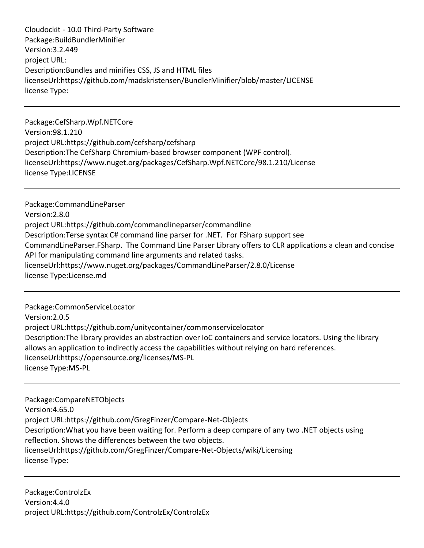Cloudockit - 10.0 Third-Party Software Package:BuildBundlerMinifier Version:3.2.449 project URL: Description:Bundles and minifies CSS, JS and HTML files licenseUrl:https://github.com/madskristensen/BundlerMinifier/blob/master/LICENSE license Type:

Package:CefSharp.Wpf.NETCore Version:98.1.210 project URL:https://github.com/cefsharp/cefsharp Description:The CefSharp Chromium-based browser component (WPF control). licenseUrl:https://www.nuget.org/packages/CefSharp.Wpf.NETCore/98.1.210/License license Type:LICENSE

Package:CommandLineParser Version:2.8.0 project URL:https://github.com/commandlineparser/commandline Description:Terse syntax C# command line parser for .NET. For FSharp support see CommandLineParser.FSharp. The Command Line Parser Library offers to CLR applications a clean and concise API for manipulating command line arguments and related tasks. licenseUrl:https://www.nuget.org/packages/CommandLineParser/2.8.0/License license Type:License.md

Package:CommonServiceLocator Version:2.0.5 project URL:https://github.com/unitycontainer/commonservicelocator Description:The library provides an abstraction over IoC containers and service locators. Using the library allows an application to indirectly access the capabilities without relying on hard references. licenseUrl:https://opensource.org/licenses/MS-PL license Type:MS-PL

Package:CompareNETObjects Version:4.65.0 project URL:https://github.com/GregFinzer/Compare-Net-Objects Description:What you have been waiting for. Perform a deep compare of any two .NET objects using reflection. Shows the differences between the two objects. licenseUrl:https://github.com/GregFinzer/Compare-Net-Objects/wiki/Licensing license Type:

Package:ControlzEx Version:4.4.0 project URL:https://github.com/ControlzEx/ControlzEx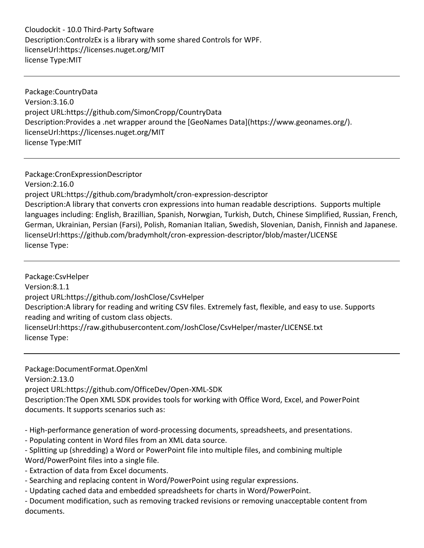Cloudockit - 10.0 Third-Party Software Description:ControlzEx is a library with some shared Controls for WPF. licenseUrl:https://licenses.nuget.org/MIT license Type:MIT

Package:CountryData Version:3.16.0 project URL:https://github.com/SimonCropp/CountryData Description:Provides a .net wrapper around the [GeoNames Data](https://www.geonames.org/). licenseUrl:https://licenses.nuget.org/MIT license Type:MIT

Package:CronExpressionDescriptor Version:2.16.0 project URL:https://github.com/bradymholt/cron-expression-descriptor Description:A library that converts cron expressions into human readable descriptions. Supports multiple languages including: English, Brazillian, Spanish, Norwgian, Turkish, Dutch, Chinese Simplified, Russian, French, German, Ukrainian, Persian (Farsi), Polish, Romanian Italian, Swedish, Slovenian, Danish, Finnish and Japanese. licenseUrl:https://github.com/bradymholt/cron-expression-descriptor/blob/master/LICENSE license Type:

Package:CsvHelper Version:8.1.1 project URL:https://github.com/JoshClose/CsvHelper Description:A library for reading and writing CSV files. Extremely fast, flexible, and easy to use. Supports reading and writing of custom class objects. licenseUrl:https://raw.githubusercontent.com/JoshClose/CsvHelper/master/LICENSE.txt license Type:

Package:DocumentFormat.OpenXml

Version:2.13.0

project URL:https://github.com/OfficeDev/Open-XML-SDK

Description:The Open XML SDK provides tools for working with Office Word, Excel, and PowerPoint documents. It supports scenarios such as:

- High-performance generation of word-processing documents, spreadsheets, and presentations.

- Populating content in Word files from an XML data source.

- Splitting up (shredding) a Word or PowerPoint file into multiple files, and combining multiple Word/PowerPoint files into a single file.

- Extraction of data from Excel documents.

- Searching and replacing content in Word/PowerPoint using regular expressions.

- Updating cached data and embedded spreadsheets for charts in Word/PowerPoint.

- Document modification, such as removing tracked revisions or removing unacceptable content from documents.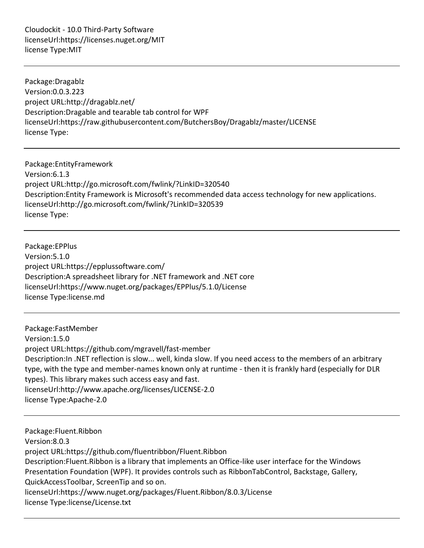Cloudockit - 10.0 Third-Party Software licenseUrl:https://licenses.nuget.org/MIT license Type:MIT

Package:Dragablz Version:0.0.3.223 project URL:http://dragablz.net/ Description:Dragable and tearable tab control for WPF licenseUrl:https://raw.githubusercontent.com/ButchersBoy/Dragablz/master/LICENSE license Type:

Package:EntityFramework Version:6.1.3 project URL:http://go.microsoft.com/fwlink/?LinkID=320540 Description:Entity Framework is Microsoft's recommended data access technology for new applications. licenseUrl:http://go.microsoft.com/fwlink/?LinkID=320539 license Type:

Package:EPPlus Version:5.1.0 project URL:https://epplussoftware.com/ Description:A spreadsheet library for .NET framework and .NET core licenseUrl:https://www.nuget.org/packages/EPPlus/5.1.0/License license Type:license.md

Package:FastMember Version:1.5.0 project URL:https://github.com/mgravell/fast-member Description:In .NET reflection is slow... well, kinda slow. If you need access to the members of an arbitrary type, with the type and member-names known only at runtime - then it is frankly hard (especially for DLR types). This library makes such access easy and fast. licenseUrl:http://www.apache.org/licenses/LICENSE-2.0 license Type:Apache-2.0

Package:Fluent.Ribbon Version:8.0.3 project URL:https://github.com/fluentribbon/Fluent.Ribbon Description:Fluent.Ribbon is a library that implements an Office-like user interface for the Windows Presentation Foundation (WPF). It provides controls such as RibbonTabControl, Backstage, Gallery, QuickAccessToolbar, ScreenTip and so on. licenseUrl:https://www.nuget.org/packages/Fluent.Ribbon/8.0.3/License license Type:license/License.txt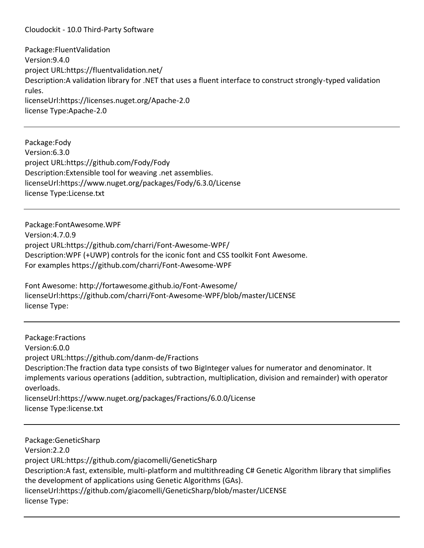Package:FluentValidation Version:9.4.0 project URL:https://fluentvalidation.net/ Description:A validation library for .NET that uses a fluent interface to construct strongly-typed validation rules. licenseUrl:https://licenses.nuget.org/Apache-2.0 license Type:Apache-2.0

Package:Fody Version:6.3.0 project URL:https://github.com/Fody/Fody Description:Extensible tool for weaving .net assemblies. licenseUrl:https://www.nuget.org/packages/Fody/6.3.0/License license Type:License.txt

Package:FontAwesome.WPF Version:4.7.0.9 project URL:https://github.com/charri/Font-Awesome-WPF/ Description:WPF (+UWP) controls for the iconic font and CSS toolkit Font Awesome. For examples https://github.com/charri/Font-Awesome-WPF

Font Awesome: http://fortawesome.github.io/Font-Awesome/ licenseUrl:https://github.com/charri/Font-Awesome-WPF/blob/master/LICENSE license Type:

Package:Fractions Version:6.0.0 project URL:https://github.com/danm-de/Fractions Description:The fraction data type consists of two BigInteger values for numerator and denominator. It implements various operations (addition, subtraction, multiplication, division and remainder) with operator overloads. licenseUrl:https://www.nuget.org/packages/Fractions/6.0.0/License license Type:license.txt

Package:GeneticSharp Version:2.2.0 project URL:https://github.com/giacomelli/GeneticSharp Description:A fast, extensible, multi-platform and multithreading C# Genetic Algorithm library that simplifies the development of applications using Genetic Algorithms (GAs). licenseUrl:https://github.com/giacomelli/GeneticSharp/blob/master/LICENSE license Type: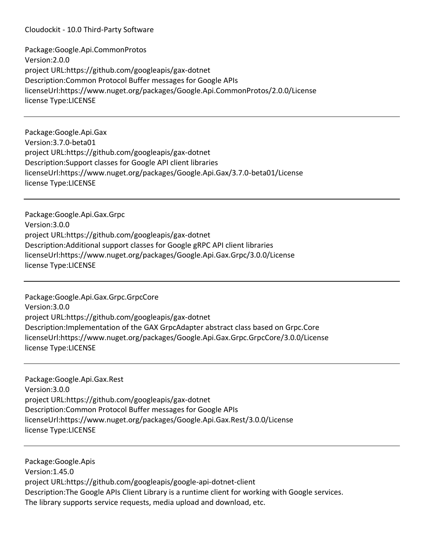Package:Google.Api.CommonProtos Version:2.0.0 project URL:https://github.com/googleapis/gax-dotnet Description:Common Protocol Buffer messages for Google APIs licenseUrl:https://www.nuget.org/packages/Google.Api.CommonProtos/2.0.0/License license Type:LICENSE

Package:Google.Api.Gax Version:3.7.0-beta01 project URL:https://github.com/googleapis/gax-dotnet Description:Support classes for Google API client libraries licenseUrl:https://www.nuget.org/packages/Google.Api.Gax/3.7.0-beta01/License license Type:LICENSE

Package:Google.Api.Gax.Grpc Version:3.0.0 project URL:https://github.com/googleapis/gax-dotnet Description:Additional support classes for Google gRPC API client libraries licenseUrl:https://www.nuget.org/packages/Google.Api.Gax.Grpc/3.0.0/License license Type:LICENSE

Package:Google.Api.Gax.Grpc.GrpcCore Version:3.0.0 project URL:https://github.com/googleapis/gax-dotnet Description:Implementation of the GAX GrpcAdapter abstract class based on Grpc.Core licenseUrl:https://www.nuget.org/packages/Google.Api.Gax.Grpc.GrpcCore/3.0.0/License license Type:LICENSE

Package:Google.Api.Gax.Rest Version:3.0.0 project URL:https://github.com/googleapis/gax-dotnet Description:Common Protocol Buffer messages for Google APIs licenseUrl:https://www.nuget.org/packages/Google.Api.Gax.Rest/3.0.0/License license Type:LICENSE

Package:Google.Apis Version:1.45.0 project URL:https://github.com/googleapis/google-api-dotnet-client Description:The Google APIs Client Library is a runtime client for working with Google services. The library supports service requests, media upload and download, etc.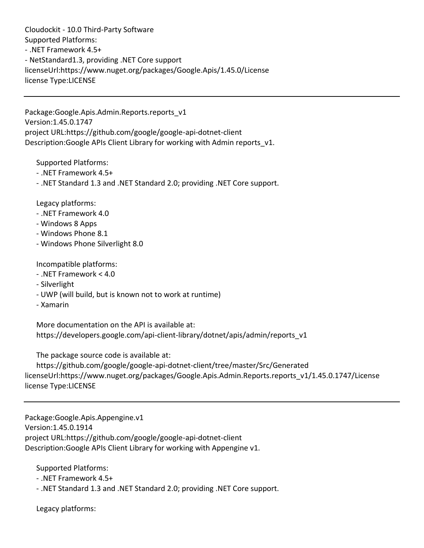Cloudockit - 10.0 Third-Party Software Supported Platforms: - .NET Framework 4.5+ - NetStandard1.3, providing .NET Core support licenseUrl:https://www.nuget.org/packages/Google.Apis/1.45.0/License license Type:LICENSE

Package:Google.Apis.Admin.Reports.reports\_v1 Version:1.45.0.1747 project URL:https://github.com/google/google-api-dotnet-client Description: Google APIs Client Library for working with Admin reports v1.

Supported Platforms:

- .NET Framework 4.5+
- .NET Standard 1.3 and .NET Standard 2.0; providing .NET Core support.

Legacy platforms:

- .NET Framework 4.0
- Windows 8 Apps
- Windows Phone 8.1
- Windows Phone Silverlight 8.0

Incompatible platforms:

- .NET Framework < 4.0
- Silverlight
- UWP (will build, but is known not to work at runtime)
- Xamarin

 More documentation on the API is available at: https://developers.google.com/api-client-library/dotnet/apis/admin/reports\_v1

The package source code is available at:

 https://github.com/google/google-api-dotnet-client/tree/master/Src/Generated licenseUrl:https://www.nuget.org/packages/Google.Apis.Admin.Reports.reports v1/1.45.0.1747/License license Type:LICENSE

Package:Google.Apis.Appengine.v1 Version:1.45.0.1914 project URL:https://github.com/google/google-api-dotnet-client Description:Google APIs Client Library for working with Appengine v1.

Supported Platforms:

- .NET Framework 4.5+
- .NET Standard 1.3 and .NET Standard 2.0; providing .NET Core support.

Legacy platforms: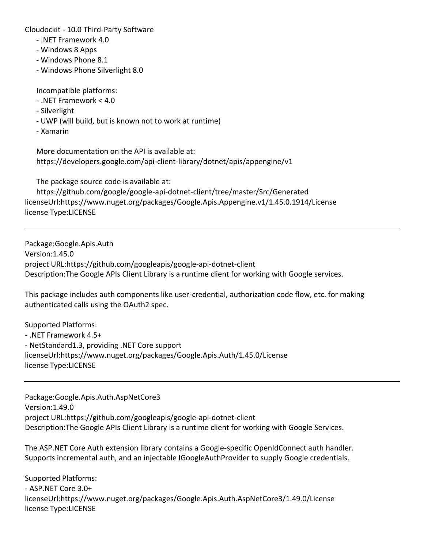- .NET Framework 4.0
- Windows 8 Apps
- Windows Phone 8.1
- Windows Phone Silverlight 8.0

Incompatible platforms:

- .NET Framework < 4.0
- Silverlight
- UWP (will build, but is known not to work at runtime)
- Xamarin

 More documentation on the API is available at: https://developers.google.com/api-client-library/dotnet/apis/appengine/v1

The package source code is available at:

 https://github.com/google/google-api-dotnet-client/tree/master/Src/Generated licenseUrl:https://www.nuget.org/packages/Google.Apis.Appengine.v1/1.45.0.1914/License license Type:LICENSE

Package:Google.Apis.Auth Version:1.45.0 project URL:https://github.com/googleapis/google-api-dotnet-client Description:The Google APIs Client Library is a runtime client for working with Google services.

This package includes auth components like user-credential, authorization code flow, etc. for making authenticated calls using the OAuth2 spec.

Supported Platforms: - .NET Framework 4.5+ - NetStandard1.3, providing .NET Core support licenseUrl:https://www.nuget.org/packages/Google.Apis.Auth/1.45.0/License license Type:LICENSE

Package:Google.Apis.Auth.AspNetCore3 Version:1.49.0 project URL:https://github.com/googleapis/google-api-dotnet-client Description:The Google APIs Client Library is a runtime client for working with Google Services.

The ASP.NET Core Auth extension library contains a Google-specific OpenIdConnect auth handler. Supports incremental auth, and an injectable IGoogleAuthProvider to supply Google credentials.

Supported Platforms: - ASP.NET Core 3.0+ licenseUrl:https://www.nuget.org/packages/Google.Apis.Auth.AspNetCore3/1.49.0/License license Type:LICENSE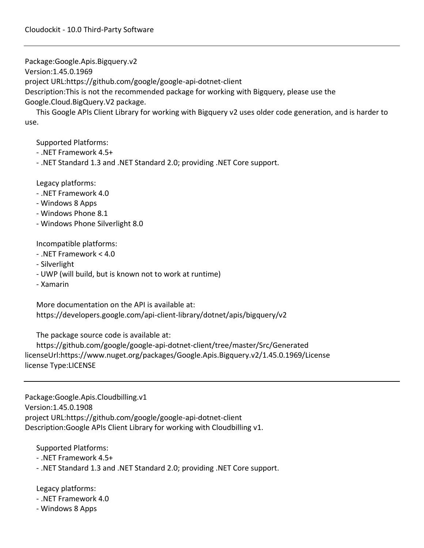Package:Google.Apis.Bigquery.v2

Version:1.45.0.1969

project URL:https://github.com/google/google-api-dotnet-client

Description:This is not the recommended package for working with Bigquery, please use the

Google.Cloud.BigQuery.V2 package.

 This Google APIs Client Library for working with Bigquery v2 uses older code generation, and is harder to use.

Supported Platforms:

- .NET Framework 4.5+
- .NET Standard 1.3 and .NET Standard 2.0; providing .NET Core support.

Legacy platforms:

- .NET Framework 4.0
- Windows 8 Apps
- Windows Phone 8.1
- Windows Phone Silverlight 8.0

Incompatible platforms:

- .NET Framework < 4.0
- Silverlight
- UWP (will build, but is known not to work at runtime)
- Xamarin

 More documentation on the API is available at: https://developers.google.com/api-client-library/dotnet/apis/bigquery/v2

The package source code is available at:

 https://github.com/google/google-api-dotnet-client/tree/master/Src/Generated licenseUrl:https://www.nuget.org/packages/Google.Apis.Bigquery.v2/1.45.0.1969/License license Type:LICENSE

Package:Google.Apis.Cloudbilling.v1 Version:1.45.0.1908 project URL:https://github.com/google/google-api-dotnet-client Description:Google APIs Client Library for working with Cloudbilling v1.

Supported Platforms:

- .NET Framework 4.5+
- .NET Standard 1.3 and .NET Standard 2.0; providing .NET Core support.

Legacy platforms:

- .NET Framework 4.0
- Windows 8 Apps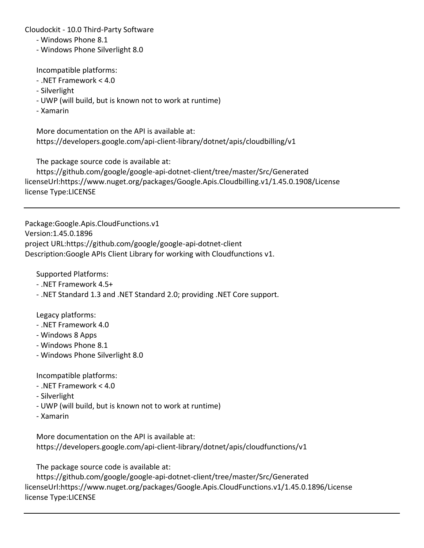- Windows Phone 8.1
- Windows Phone Silverlight 8.0

Incompatible platforms:

- .NET Framework < 4.0
- Silverlight
- UWP (will build, but is known not to work at runtime)
- Xamarin

 More documentation on the API is available at: https://developers.google.com/api-client-library/dotnet/apis/cloudbilling/v1

The package source code is available at:

 https://github.com/google/google-api-dotnet-client/tree/master/Src/Generated licenseUrl:https://www.nuget.org/packages/Google.Apis.Cloudbilling.v1/1.45.0.1908/License license Type:LICENSE

Package:Google.Apis.CloudFunctions.v1 Version:1.45.0.1896 project URL:https://github.com/google/google-api-dotnet-client Description:Google APIs Client Library for working with Cloudfunctions v1.

Supported Platforms:

- .NET Framework 4.5+
- .NET Standard 1.3 and .NET Standard 2.0; providing .NET Core support.

Legacy platforms:

- .NET Framework 4.0
- Windows 8 Apps
- Windows Phone 8.1
- Windows Phone Silverlight 8.0

Incompatible platforms:

- .NET Framework < 4.0
- Silverlight
- UWP (will build, but is known not to work at runtime)
- Xamarin

 More documentation on the API is available at: https://developers.google.com/api-client-library/dotnet/apis/cloudfunctions/v1

The package source code is available at:

 https://github.com/google/google-api-dotnet-client/tree/master/Src/Generated licenseUrl:https://www.nuget.org/packages/Google.Apis.CloudFunctions.v1/1.45.0.1896/License license Type:LICENSE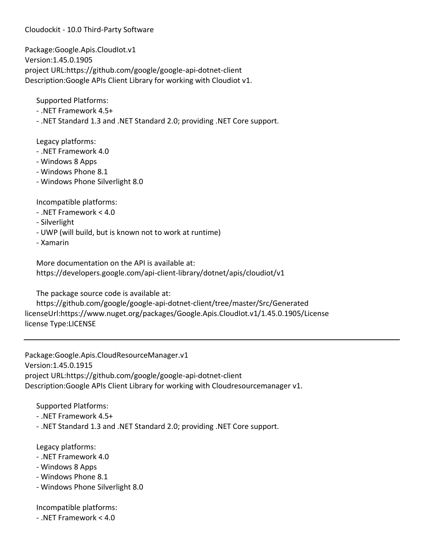Package:Google.Apis.CloudIot.v1 Version:1.45.0.1905 project URL:https://github.com/google/google-api-dotnet-client Description:Google APIs Client Library for working with Cloudiot v1.

Supported Platforms:

- .NET Framework 4.5+
- .NET Standard 1.3 and .NET Standard 2.0; providing .NET Core support.

Legacy platforms:

- .NET Framework 4.0
- Windows 8 Apps
- Windows Phone 8.1
- Windows Phone Silverlight 8.0

Incompatible platforms:

- .NET Framework < 4.0
- Silverlight
- UWP (will build, but is known not to work at runtime)
- Xamarin

 More documentation on the API is available at: https://developers.google.com/api-client-library/dotnet/apis/cloudiot/v1

The package source code is available at:

 https://github.com/google/google-api-dotnet-client/tree/master/Src/Generated licenseUrl:https://www.nuget.org/packages/Google.Apis.CloudIot.v1/1.45.0.1905/License license Type:LICENSE

Package:Google.Apis.CloudResourceManager.v1 Version:1.45.0.1915 project URL:https://github.com/google/google-api-dotnet-client Description:Google APIs Client Library for working with Cloudresourcemanager v1.

Supported Platforms:

- .NET Framework 4.5+
- .NET Standard 1.3 and .NET Standard 2.0; providing .NET Core support.

Legacy platforms:

- .NET Framework 4.0
- Windows 8 Apps
- Windows Phone 8.1
- Windows Phone Silverlight 8.0

Incompatible platforms:

- .NET Framework < 4.0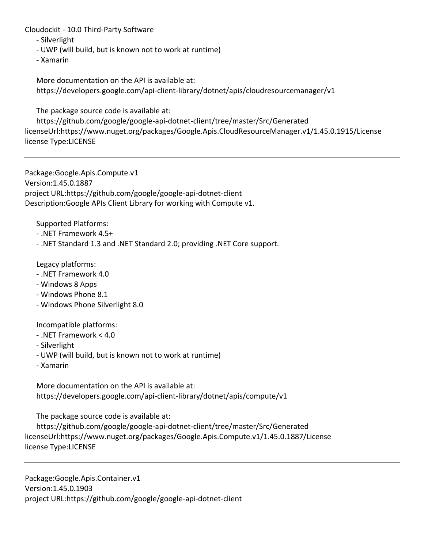- Silverlight

- UWP (will build, but is known not to work at runtime)

- Xamarin

 More documentation on the API is available at: https://developers.google.com/api-client-library/dotnet/apis/cloudresourcemanager/v1

The package source code is available at:

 https://github.com/google/google-api-dotnet-client/tree/master/Src/Generated licenseUrl:https://www.nuget.org/packages/Google.Apis.CloudResourceManager.v1/1.45.0.1915/License license Type:LICENSE

Package:Google.Apis.Compute.v1 Version:1.45.0.1887 project URL:https://github.com/google/google-api-dotnet-client Description:Google APIs Client Library for working with Compute v1.

Supported Platforms:

- .NET Framework 4.5+
- .NET Standard 1.3 and .NET Standard 2.0; providing .NET Core support.

Legacy platforms:

- .NET Framework 4.0
- Windows 8 Apps
- Windows Phone 8.1
- Windows Phone Silverlight 8.0

Incompatible platforms:

- .NET Framework < 4.0
- Silverlight
- UWP (will build, but is known not to work at runtime)
- Xamarin

 More documentation on the API is available at: https://developers.google.com/api-client-library/dotnet/apis/compute/v1

The package source code is available at:

 https://github.com/google/google-api-dotnet-client/tree/master/Src/Generated licenseUrl:https://www.nuget.org/packages/Google.Apis.Compute.v1/1.45.0.1887/License license Type:LICENSE

Package:Google.Apis.Container.v1 Version:1.45.0.1903 project URL:https://github.com/google/google-api-dotnet-client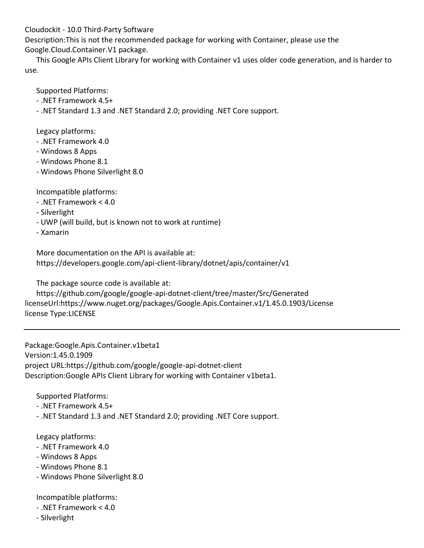Description:This is not the recommended package for working with Container, please use the Google.Cloud.Container.V1 package.

 This Google APIs Client Library for working with Container v1 uses older code generation, and is harder to use.

Supported Platforms:

- .NET Framework 4.5+

- .NET Standard 1.3 and .NET Standard 2.0; providing .NET Core support.

Legacy platforms:

- .NET Framework 4.0
- Windows 8 Apps
- Windows Phone 8.1
- Windows Phone Silverlight 8.0

Incompatible platforms:

- .NET Framework < 4.0
- Silverlight
- UWP (will build, but is known not to work at runtime)
- Xamarin

 More documentation on the API is available at: https://developers.google.com/api-client-library/dotnet/apis/container/v1

The package source code is available at:

 https://github.com/google/google-api-dotnet-client/tree/master/Src/Generated licenseUrl:https://www.nuget.org/packages/Google.Apis.Container.v1/1.45.0.1903/License license Type:LICENSE

Package:Google.Apis.Container.v1beta1 Version:1.45.0.1909 project URL:https://github.com/google/google-api-dotnet-client Description:Google APIs Client Library for working with Container v1beta1.

Supported Platforms:

- .NET Framework 4.5+
- .NET Standard 1.3 and .NET Standard 2.0; providing .NET Core support.

Legacy platforms:

- .NET Framework 4.0
- Windows 8 Apps
- Windows Phone 8.1
- Windows Phone Silverlight 8.0

Incompatible platforms:

- .NET Framework < 4.0
- Silverlight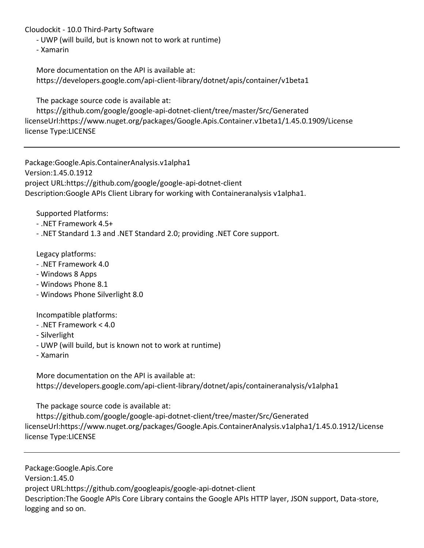- UWP (will build, but is known not to work at runtime)

- Xamarin

 More documentation on the API is available at: https://developers.google.com/api-client-library/dotnet/apis/container/v1beta1

The package source code is available at:

 https://github.com/google/google-api-dotnet-client/tree/master/Src/Generated licenseUrl:https://www.nuget.org/packages/Google.Apis.Container.v1beta1/1.45.0.1909/License license Type:LICENSE

Package:Google.Apis.ContainerAnalysis.v1alpha1 Version:1.45.0.1912 project URL:https://github.com/google/google-api-dotnet-client Description:Google APIs Client Library for working with Containeranalysis v1alpha1.

Supported Platforms:

- .NET Framework 4.5+
- .NET Standard 1.3 and .NET Standard 2.0; providing .NET Core support.

Legacy platforms:

- .NET Framework 4.0
- Windows 8 Apps
- Windows Phone 8.1
- Windows Phone Silverlight 8.0

Incompatible platforms:

- .NET Framework < 4.0
- Silverlight
- UWP (will build, but is known not to work at runtime)
- Xamarin

 More documentation on the API is available at: https://developers.google.com/api-client-library/dotnet/apis/containeranalysis/v1alpha1

The package source code is available at:

 https://github.com/google/google-api-dotnet-client/tree/master/Src/Generated licenseUrl:https://www.nuget.org/packages/Google.Apis.ContainerAnalysis.v1alpha1/1.45.0.1912/License license Type:LICENSE

Package:Google.Apis.Core Version:1.45.0 project URL:https://github.com/googleapis/google-api-dotnet-client Description:The Google APIs Core Library contains the Google APIs HTTP layer, JSON support, Data-store, logging and so on.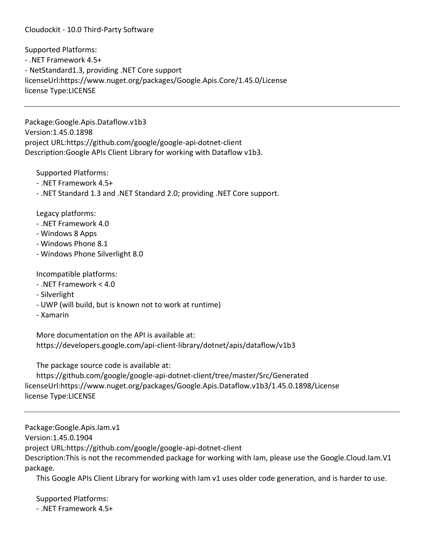Supported Platforms: - .NET Framework 4.5+ - NetStandard1.3, providing .NET Core support licenseUrl:https://www.nuget.org/packages/Google.Apis.Core/1.45.0/License license Type:LICENSE

Package:Google.Apis.Dataflow.v1b3 Version:1.45.0.1898 project URL:https://github.com/google/google-api-dotnet-client Description:Google APIs Client Library for working with Dataflow v1b3.

Supported Platforms:

- .NET Framework 4.5+
- .NET Standard 1.3 and .NET Standard 2.0; providing .NET Core support.

Legacy platforms:

- .NET Framework 4.0
- Windows 8 Apps
- Windows Phone 8.1
- Windows Phone Silverlight 8.0

Incompatible platforms:

- .NET Framework < 4.0
- Silverlight
- UWP (will build, but is known not to work at runtime)
- Xamarin

 More documentation on the API is available at: https://developers.google.com/api-client-library/dotnet/apis/dataflow/v1b3

The package source code is available at:

 https://github.com/google/google-api-dotnet-client/tree/master/Src/Generated licenseUrl:https://www.nuget.org/packages/Google.Apis.Dataflow.v1b3/1.45.0.1898/License license Type:LICENSE

Package:Google.Apis.Iam.v1 Version:1.45.0.1904 project URL:https://github.com/google/google-api-dotnet-client Description:This is not the recommended package for working with Iam, please use the Google.Cloud.Iam.V1 package.

This Google APIs Client Library for working with Iam v1 uses older code generation, and is harder to use.

 Supported Platforms: - .NET Framework 4.5+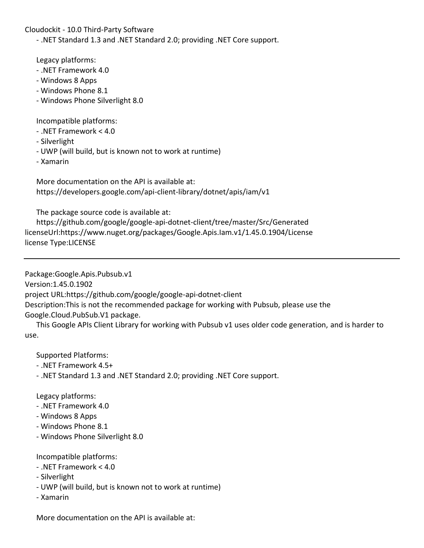- .NET Standard 1.3 and .NET Standard 2.0; providing .NET Core support.

Legacy platforms:

- .NET Framework 4.0
- Windows 8 Apps
- Windows Phone 8.1
- Windows Phone Silverlight 8.0

Incompatible platforms:

- .NET Framework < 4.0
- Silverlight
- UWP (will build, but is known not to work at runtime)
- Xamarin

 More documentation on the API is available at: https://developers.google.com/api-client-library/dotnet/apis/iam/v1

The package source code is available at:

 https://github.com/google/google-api-dotnet-client/tree/master/Src/Generated licenseUrl:https://www.nuget.org/packages/Google.Apis.Iam.v1/1.45.0.1904/License license Type:LICENSE

Package:Google.Apis.Pubsub.v1

Version:1.45.0.1902

project URL:https://github.com/google/google-api-dotnet-client

Description:This is not the recommended package for working with Pubsub, please use the Google.Cloud.PubSub.V1 package.

 This Google APIs Client Library for working with Pubsub v1 uses older code generation, and is harder to use.

Supported Platforms:

- .NET Framework 4.5+
- .NET Standard 1.3 and .NET Standard 2.0; providing .NET Core support.

Legacy platforms:

- .NET Framework 4.0
- Windows 8 Apps
- Windows Phone 8.1
- Windows Phone Silverlight 8.0

Incompatible platforms:

- .NET Framework < 4.0
- Silverlight
- UWP (will build, but is known not to work at runtime)
- Xamarin

More documentation on the API is available at: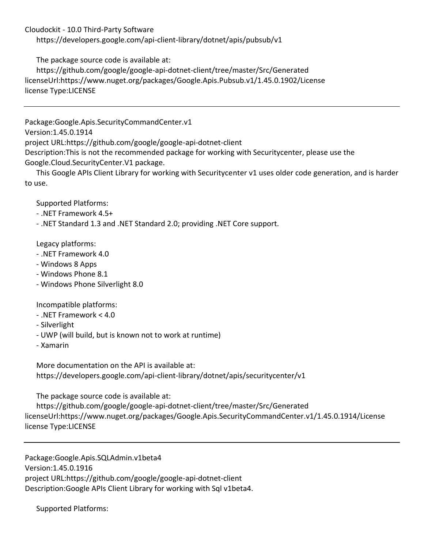https://developers.google.com/api-client-library/dotnet/apis/pubsub/v1

The package source code is available at:

 https://github.com/google/google-api-dotnet-client/tree/master/Src/Generated licenseUrl:https://www.nuget.org/packages/Google.Apis.Pubsub.v1/1.45.0.1902/License license Type:LICENSE

Package:Google.Apis.SecurityCommandCenter.v1 Version:1.45.0.1914 project URL:https://github.com/google/google-api-dotnet-client Description:This is not the recommended package for working with Securitycenter, please use the Google.Cloud.SecurityCenter.V1 package.

 This Google APIs Client Library for working with Securitycenter v1 uses older code generation, and is harder to use.

Supported Platforms:

- .NET Framework 4.5+

- .NET Standard 1.3 and .NET Standard 2.0; providing .NET Core support.

Legacy platforms:

- .NET Framework 4.0
- Windows 8 Apps
- Windows Phone 8.1
- Windows Phone Silverlight 8.0

Incompatible platforms:

- .NET Framework < 4.0
- Silverlight
- UWP (will build, but is known not to work at runtime)
- Xamarin

 More documentation on the API is available at: https://developers.google.com/api-client-library/dotnet/apis/securitycenter/v1

The package source code is available at:

 https://github.com/google/google-api-dotnet-client/tree/master/Src/Generated licenseUrl:https://www.nuget.org/packages/Google.Apis.SecurityCommandCenter.v1/1.45.0.1914/License license Type:LICENSE

Package:Google.Apis.SQLAdmin.v1beta4 Version:1.45.0.1916 project URL:https://github.com/google/google-api-dotnet-client Description:Google APIs Client Library for working with Sql v1beta4.

Supported Platforms: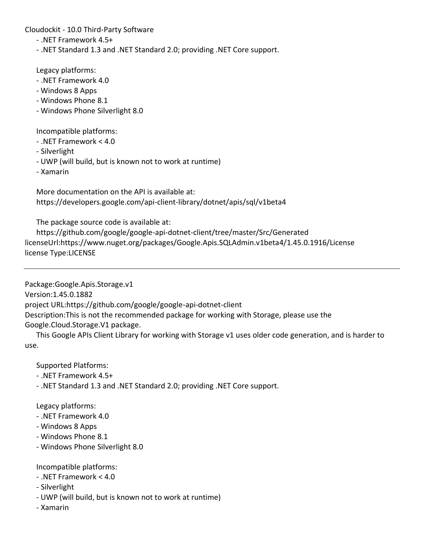- .NET Framework 4.5+
- .NET Standard 1.3 and .NET Standard 2.0; providing .NET Core support.

Legacy platforms:

- .NET Framework 4.0
- Windows 8 Apps
- Windows Phone 8.1
- Windows Phone Silverlight 8.0

Incompatible platforms:

- .NET Framework < 4.0
- Silverlight
- UWP (will build, but is known not to work at runtime)
- Xamarin

 More documentation on the API is available at: https://developers.google.com/api-client-library/dotnet/apis/sql/v1beta4

The package source code is available at:

 https://github.com/google/google-api-dotnet-client/tree/master/Src/Generated licenseUrl:https://www.nuget.org/packages/Google.Apis.SQLAdmin.v1beta4/1.45.0.1916/License license Type:LICENSE

Package:Google.Apis.Storage.v1

Version:1.45.0.1882

project URL:https://github.com/google/google-api-dotnet-client

Description:This is not the recommended package for working with Storage, please use the Google.Cloud.Storage.V1 package.

 This Google APIs Client Library for working with Storage v1 uses older code generation, and is harder to use.

Supported Platforms:

- .NET Framework 4.5+
- .NET Standard 1.3 and .NET Standard 2.0; providing .NET Core support.

Legacy platforms:

- .NET Framework 4.0
- Windows 8 Apps
- Windows Phone 8.1
- Windows Phone Silverlight 8.0

Incompatible platforms:

- .NET Framework < 4.0
- Silverlight
- UWP (will build, but is known not to work at runtime)
- Xamarin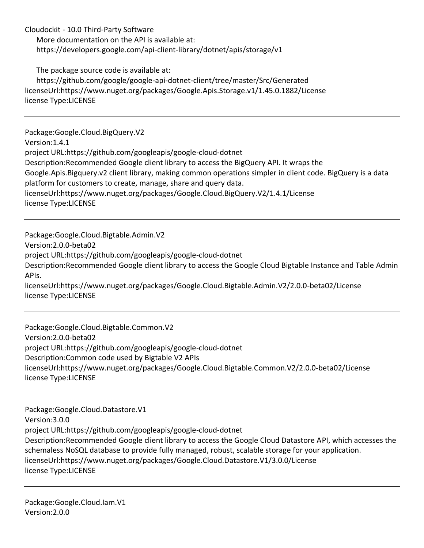More documentation on the API is available at: https://developers.google.com/api-client-library/dotnet/apis/storage/v1

The package source code is available at:

 https://github.com/google/google-api-dotnet-client/tree/master/Src/Generated licenseUrl:https://www.nuget.org/packages/Google.Apis.Storage.v1/1.45.0.1882/License license Type:LICENSE

Package:Google.Cloud.BigQuery.V2 Version:1.4.1 project URL:https://github.com/googleapis/google-cloud-dotnet Description:Recommended Google client library to access the BigQuery API. It wraps the Google.Apis.Bigquery.v2 client library, making common operations simpler in client code. BigQuery is a data platform for customers to create, manage, share and query data. licenseUrl:https://www.nuget.org/packages/Google.Cloud.BigQuery.V2/1.4.1/License license Type:LICENSE

Package:Google.Cloud.Bigtable.Admin.V2 Version:2.0.0-beta02 project URL:https://github.com/googleapis/google-cloud-dotnet Description:Recommended Google client library to access the Google Cloud Bigtable Instance and Table Admin APIs. licenseUrl:https://www.nuget.org/packages/Google.Cloud.Bigtable.Admin.V2/2.0.0-beta02/License license Type:LICENSE

Package:Google.Cloud.Bigtable.Common.V2 Version:2.0.0-beta02 project URL:https://github.com/googleapis/google-cloud-dotnet Description:Common code used by Bigtable V2 APIs licenseUrl:https://www.nuget.org/packages/Google.Cloud.Bigtable.Common.V2/2.0.0-beta02/License license Type:LICENSE

Package:Google.Cloud.Datastore.V1 Version:3.0.0 project URL:https://github.com/googleapis/google-cloud-dotnet Description:Recommended Google client library to access the Google Cloud Datastore API, which accesses the schemaless NoSQL database to provide fully managed, robust, scalable storage for your application. licenseUrl:https://www.nuget.org/packages/Google.Cloud.Datastore.V1/3.0.0/License license Type:LICENSE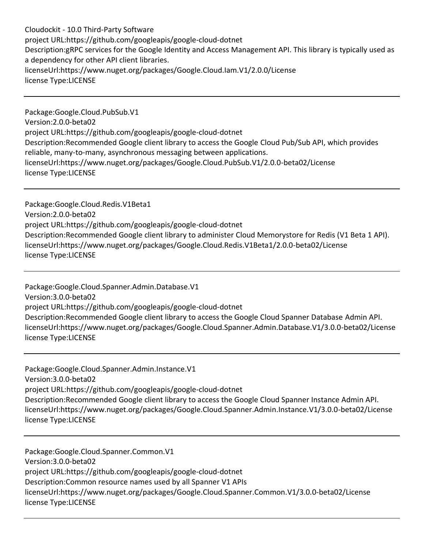Cloudockit - 10.0 Third-Party Software project URL:https://github.com/googleapis/google-cloud-dotnet Description:gRPC services for the Google Identity and Access Management API. This library is typically used as a dependency for other API client libraries. licenseUrl:https://www.nuget.org/packages/Google.Cloud.Iam.V1/2.0.0/License license Type:LICENSE

Package:Google.Cloud.PubSub.V1 Version:2.0.0-beta02 project URL:https://github.com/googleapis/google-cloud-dotnet Description:Recommended Google client library to access the Google Cloud Pub/Sub API, which provides reliable, many-to-many, asynchronous messaging between applications. licenseUrl:https://www.nuget.org/packages/Google.Cloud.PubSub.V1/2.0.0-beta02/License license Type:LICENSE

Package:Google.Cloud.Redis.V1Beta1 Version:2.0.0-beta02 project URL:https://github.com/googleapis/google-cloud-dotnet Description:Recommended Google client library to administer Cloud Memorystore for Redis (V1 Beta 1 API). licenseUrl:https://www.nuget.org/packages/Google.Cloud.Redis.V1Beta1/2.0.0-beta02/License license Type:LICENSE

Package:Google.Cloud.Spanner.Admin.Database.V1 Version:3.0.0-beta02 project URL:https://github.com/googleapis/google-cloud-dotnet Description:Recommended Google client library to access the Google Cloud Spanner Database Admin API. licenseUrl:https://www.nuget.org/packages/Google.Cloud.Spanner.Admin.Database.V1/3.0.0-beta02/License license Type:LICENSE

Package:Google.Cloud.Spanner.Admin.Instance.V1 Version:3.0.0-beta02 project URL:https://github.com/googleapis/google-cloud-dotnet Description:Recommended Google client library to access the Google Cloud Spanner Instance Admin API. licenseUrl:https://www.nuget.org/packages/Google.Cloud.Spanner.Admin.Instance.V1/3.0.0-beta02/License license Type:LICENSE

Package:Google.Cloud.Spanner.Common.V1 Version:3.0.0-beta02 project URL:https://github.com/googleapis/google-cloud-dotnet Description:Common resource names used by all Spanner V1 APIs licenseUrl:https://www.nuget.org/packages/Google.Cloud.Spanner.Common.V1/3.0.0-beta02/License license Type:LICENSE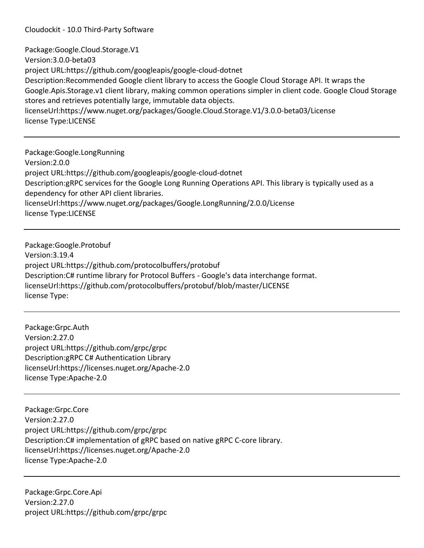Package:Google.Cloud.Storage.V1 Version:3.0.0-beta03 project URL:https://github.com/googleapis/google-cloud-dotnet Description:Recommended Google client library to access the Google Cloud Storage API. It wraps the Google.Apis.Storage.v1 client library, making common operations simpler in client code. Google Cloud Storage stores and retrieves potentially large, immutable data objects. licenseUrl:https://www.nuget.org/packages/Google.Cloud.Storage.V1/3.0.0-beta03/License license Type:LICENSE

Package:Google.LongRunning Version:2.0.0 project URL:https://github.com/googleapis/google-cloud-dotnet Description:gRPC services for the Google Long Running Operations API. This library is typically used as a dependency for other API client libraries. licenseUrl:https://www.nuget.org/packages/Google.LongRunning/2.0.0/License license Type:LICENSE

Package:Google.Protobuf Version:3.19.4 project URL:https://github.com/protocolbuffers/protobuf Description:C# runtime library for Protocol Buffers - Google's data interchange format. licenseUrl:https://github.com/protocolbuffers/protobuf/blob/master/LICENSE license Type:

Package:Grpc.Auth Version:2.27.0 project URL:https://github.com/grpc/grpc Description:gRPC C# Authentication Library licenseUrl:https://licenses.nuget.org/Apache-2.0 license Type:Apache-2.0

Package:Grpc.Core Version:2.27.0 project URL:https://github.com/grpc/grpc Description:C# implementation of gRPC based on native gRPC C-core library. licenseUrl:https://licenses.nuget.org/Apache-2.0 license Type:Apache-2.0

Package:Grpc.Core.Api Version:2.27.0 project URL:https://github.com/grpc/grpc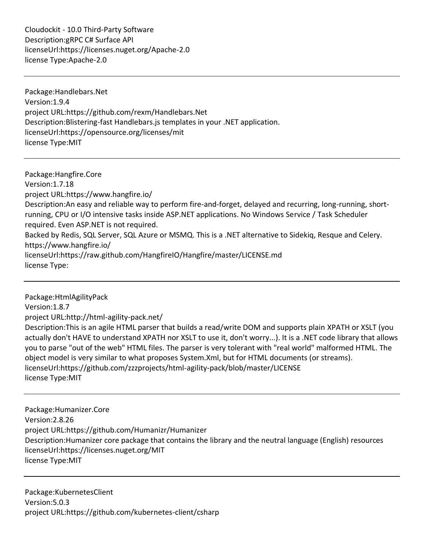Cloudockit - 10.0 Third-Party Software Description:gRPC C# Surface API licenseUrl:https://licenses.nuget.org/Apache-2.0 license Type:Apache-2.0

Package:Handlebars.Net Version:1.9.4 project URL:https://github.com/rexm/Handlebars.Net Description:Blistering-fast Handlebars.js templates in your .NET application. licenseUrl:https://opensource.org/licenses/mit license Type:MIT

Package:Hangfire.Core Version:1.7.18 project URL:https://www.hangfire.io/ Description:An easy and reliable way to perform fire-and-forget, delayed and recurring, long-running, shortrunning, CPU or I/O intensive tasks inside ASP.NET applications. No Windows Service / Task Scheduler required. Even ASP.NET is not required. Backed by Redis, SQL Server, SQL Azure or MSMQ. This is a .NET alternative to Sidekiq, Resque and Celery. https://www.hangfire.io/ licenseUrl:https://raw.github.com/HangfireIO/Hangfire/master/LICENSE.md license Type:

Package:HtmlAgilityPack Version:1.8.7 project URL:http://html-agility-pack.net/ Description:This is an agile HTML parser that builds a read/write DOM and supports plain XPATH or XSLT (you actually don't HAVE to understand XPATH nor XSLT to use it, don't worry...). It is a .NET code library that allows you to parse "out of the web" HTML files. The parser is very tolerant with "real world" malformed HTML. The object model is very similar to what proposes System.Xml, but for HTML documents (or streams). licenseUrl:https://github.com/zzzprojects/html-agility-pack/blob/master/LICENSE license Type:MIT

Package:Humanizer.Core Version:2.8.26 project URL:https://github.com/Humanizr/Humanizer Description:Humanizer core package that contains the library and the neutral language (English) resources licenseUrl:https://licenses.nuget.org/MIT license Type:MIT

Package:KubernetesClient Version:5.0.3 project URL:https://github.com/kubernetes-client/csharp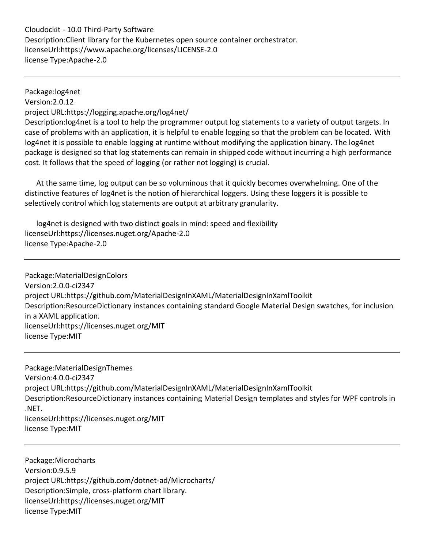Cloudockit - 10.0 Third-Party Software Description:Client library for the Kubernetes open source container orchestrator. licenseUrl:https://www.apache.org/licenses/LICENSE-2.0 license Type:Apache-2.0

Package:log4net Version:2.0.12 project URL:https://logging.apache.org/log4net/ Description:log4net is a tool to help the programmer output log statements to a variety of output targets. In case of problems with an application, it is helpful to enable logging so that the problem can be located. With log4net it is possible to enable logging at runtime without modifying the application binary. The log4net package is designed so that log statements can remain in shipped code without incurring a high performance cost. It follows that the speed of logging (or rather not logging) is crucial.

 At the same time, log output can be so voluminous that it quickly becomes overwhelming. One of the distinctive features of log4net is the notion of hierarchical loggers. Using these loggers it is possible to selectively control which log statements are output at arbitrary granularity.

 log4net is designed with two distinct goals in mind: speed and flexibility licenseUrl:https://licenses.nuget.org/Apache-2.0 license Type:Apache-2.0

Package:MaterialDesignColors Version:2.0.0-ci2347 project URL:https://github.com/MaterialDesignInXAML/MaterialDesignInXamlToolkit Description:ResourceDictionary instances containing standard Google Material Design swatches, for inclusion in a XAML application. licenseUrl:https://licenses.nuget.org/MIT license Type:MIT

Package:MaterialDesignThemes Version:4.0.0-ci2347 project URL:https://github.com/MaterialDesignInXAML/MaterialDesignInXamlToolkit Description:ResourceDictionary instances containing Material Design templates and styles for WPF controls in .NET. licenseUrl:https://licenses.nuget.org/MIT license Type:MIT

Package:Microcharts Version:0.9.5.9 project URL:https://github.com/dotnet-ad/Microcharts/ Description:Simple, cross-platform chart library. licenseUrl:https://licenses.nuget.org/MIT license Type:MIT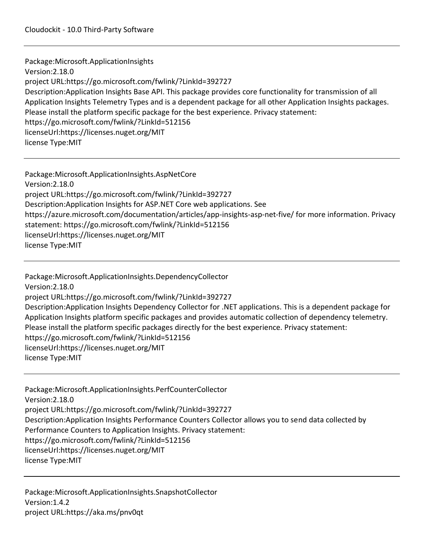Package:Microsoft.ApplicationInsights Version:2.18.0 project URL:https://go.microsoft.com/fwlink/?LinkId=392727 Description:Application Insights Base API. This package provides core functionality for transmission of all Application Insights Telemetry Types and is a dependent package for all other Application Insights packages. Please install the platform specific package for the best experience. Privacy statement: https://go.microsoft.com/fwlink/?LinkId=512156 licenseUrl:https://licenses.nuget.org/MIT license Type:MIT

Package:Microsoft.ApplicationInsights.AspNetCore Version:2.18.0 project URL:https://go.microsoft.com/fwlink/?LinkId=392727 Description:Application Insights for ASP.NET Core web applications. See https://azure.microsoft.com/documentation/articles/app-insights-asp-net-five/ for more information. Privacy statement: https://go.microsoft.com/fwlink/?LinkId=512156 licenseUrl:https://licenses.nuget.org/MIT license Type:MIT

Package:Microsoft.ApplicationInsights.DependencyCollector Version:2.18.0 project URL:https://go.microsoft.com/fwlink/?LinkId=392727 Description:Application Insights Dependency Collector for .NET applications. This is a dependent package for Application Insights platform specific packages and provides automatic collection of dependency telemetry. Please install the platform specific packages directly for the best experience. Privacy statement: https://go.microsoft.com/fwlink/?LinkId=512156 licenseUrl:https://licenses.nuget.org/MIT license Type:MIT

Package:Microsoft.ApplicationInsights.PerfCounterCollector Version:2.18.0 project URL:https://go.microsoft.com/fwlink/?LinkId=392727 Description:Application Insights Performance Counters Collector allows you to send data collected by Performance Counters to Application Insights. Privacy statement: https://go.microsoft.com/fwlink/?LinkId=512156 licenseUrl:https://licenses.nuget.org/MIT license Type:MIT

Package:Microsoft.ApplicationInsights.SnapshotCollector Version:1.4.2 project URL:https://aka.ms/pnv0qt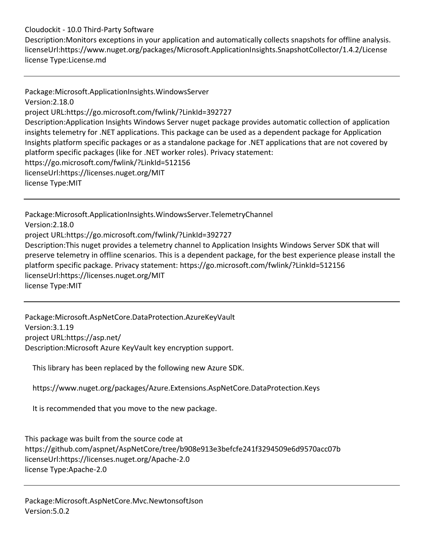Description:Monitors exceptions in your application and automatically collects snapshots for offline analysis. licenseUrl:https://www.nuget.org/packages/Microsoft.ApplicationInsights.SnapshotCollector/1.4.2/License license Type:License.md

Package:Microsoft.ApplicationInsights.WindowsServer Version:2.18.0 project URL:https://go.microsoft.com/fwlink/?LinkId=392727 Description:Application Insights Windows Server nuget package provides automatic collection of application insights telemetry for .NET applications. This package can be used as a dependent package for Application Insights platform specific packages or as a standalone package for .NET applications that are not covered by platform specific packages (like for .NET worker roles). Privacy statement: https://go.microsoft.com/fwlink/?LinkId=512156 licenseUrl:https://licenses.nuget.org/MIT license Type:MIT

Package:Microsoft.ApplicationInsights.WindowsServer.TelemetryChannel Version:2.18.0 project URL:https://go.microsoft.com/fwlink/?LinkId=392727 Description:This nuget provides a telemetry channel to Application Insights Windows Server SDK that will preserve telemetry in offline scenarios. This is a dependent package, for the best experience please install the platform specific package. Privacy statement: https://go.microsoft.com/fwlink/?LinkId=512156 licenseUrl:https://licenses.nuget.org/MIT license Type:MIT

Package:Microsoft.AspNetCore.DataProtection.AzureKeyVault Version:3.1.19 project URL:https://asp.net/ Description:Microsoft Azure KeyVault key encryption support.

This library has been replaced by the following new Azure SDK.

https://www.nuget.org/packages/Azure.Extensions.AspNetCore.DataProtection.Keys

It is recommended that you move to the new package.

This package was built from the source code at https://github.com/aspnet/AspNetCore/tree/b908e913e3befcfe241f3294509e6d9570acc07b licenseUrl:https://licenses.nuget.org/Apache-2.0 license Type:Apache-2.0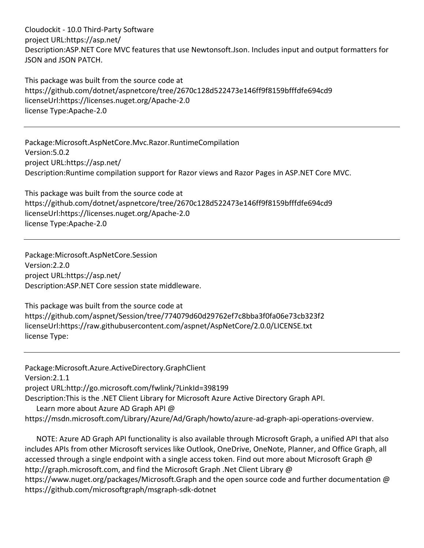Cloudockit - 10.0 Third-Party Software project URL:https://asp.net/ Description:ASP.NET Core MVC features that use Newtonsoft.Json. Includes input and output formatters for JSON and JSON PATCH.

This package was built from the source code at https://github.com/dotnet/aspnetcore/tree/2670c128d522473e146ff9f8159bfffdfe694cd9 licenseUrl:https://licenses.nuget.org/Apache-2.0 license Type:Apache-2.0

Package:Microsoft.AspNetCore.Mvc.Razor.RuntimeCompilation Version:5.0.2 project URL:https://asp.net/ Description:Runtime compilation support for Razor views and Razor Pages in ASP.NET Core MVC.

This package was built from the source code at https://github.com/dotnet/aspnetcore/tree/2670c128d522473e146ff9f8159bfffdfe694cd9 licenseUrl:https://licenses.nuget.org/Apache-2.0 license Type:Apache-2.0

Package:Microsoft.AspNetCore.Session Version:2.2.0 project URL:https://asp.net/ Description:ASP.NET Core session state middleware.

This package was built from the source code at https://github.com/aspnet/Session/tree/774079d60d29762ef7c8bba3f0fa06e73cb323f2 licenseUrl:https://raw.githubusercontent.com/aspnet/AspNetCore/2.0.0/LICENSE.txt license Type:

Package:Microsoft.Azure.ActiveDirectory.GraphClient Version:2.1.1 project URL:http://go.microsoft.com/fwlink/?LinkId=398199 Description:This is the .NET Client Library for Microsoft Azure Active Directory Graph API. Learn more about Azure AD Graph API @ https://msdn.microsoft.com/Library/Azure/Ad/Graph/howto/azure-ad-graph-api-operations-overview.

 NOTE: Azure AD Graph API functionality is also available through Microsoft Graph, a unified API that also includes APIs from other Microsoft services like Outlook, OneDrive, OneNote, Planner, and Office Graph, all accessed through a single endpoint with a single access token. Find out more about Microsoft Graph @ http://graph.microsoft.com, and find the Microsoft Graph .Net Client Library @ https://www.nuget.org/packages/Microsoft.Graph and the open source code and further documentation @ https://github.com/microsoftgraph/msgraph-sdk-dotnet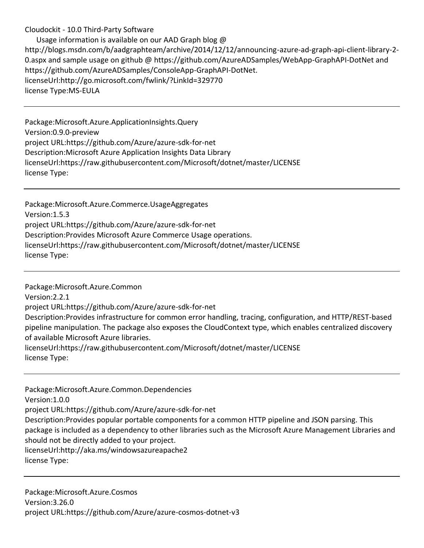Usage information is available on our AAD Graph blog @ http://blogs.msdn.com/b/aadgraphteam/archive/2014/12/12/announcing-azure-ad-graph-api-client-library-2- 0.aspx and sample usage on github @ https://github.com/AzureADSamples/WebApp-GraphAPI-DotNet and https://github.com/AzureADSamples/ConsoleApp-GraphAPI-DotNet. licenseUrl:http://go.microsoft.com/fwlink/?LinkId=329770 license Type:MS-EULA

Package:Microsoft.Azure.ApplicationInsights.Query Version:0.9.0-preview project URL:https://github.com/Azure/azure-sdk-for-net Description:Microsoft Azure Application Insights Data Library licenseUrl:https://raw.githubusercontent.com/Microsoft/dotnet/master/LICENSE license Type:

Package:Microsoft.Azure.Commerce.UsageAggregates Version:1.5.3 project URL:https://github.com/Azure/azure-sdk-for-net Description:Provides Microsoft Azure Commerce Usage operations. licenseUrl:https://raw.githubusercontent.com/Microsoft/dotnet/master/LICENSE license Type:

Package:Microsoft.Azure.Common Version:2.2.1 project URL:https://github.com/Azure/azure-sdk-for-net Description:Provides infrastructure for common error handling, tracing, configuration, and HTTP/REST-based pipeline manipulation. The package also exposes the CloudContext type, which enables centralized discovery of available Microsoft Azure libraries. licenseUrl:https://raw.githubusercontent.com/Microsoft/dotnet/master/LICENSE license Type:

Package:Microsoft.Azure.Common.Dependencies Version:1.0.0 project URL:https://github.com/Azure/azure-sdk-for-net Description:Provides popular portable components for a common HTTP pipeline and JSON parsing. This package is included as a dependency to other libraries such as the Microsoft Azure Management Libraries and should not be directly added to your project. licenseUrl:http://aka.ms/windowsazureapache2 license Type:

Package:Microsoft.Azure.Cosmos Version:3.26.0 project URL:https://github.com/Azure/azure-cosmos-dotnet-v3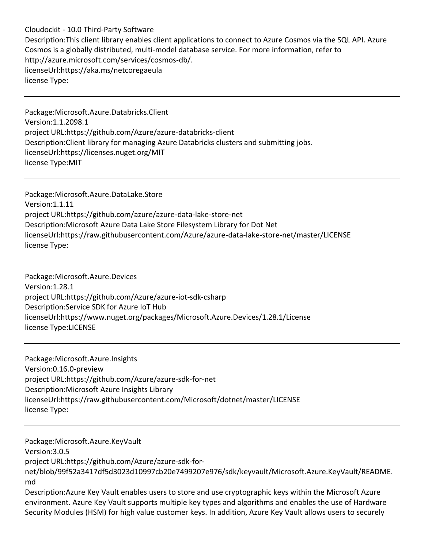Description:This client library enables client applications to connect to Azure Cosmos via the SQL API. Azure Cosmos is a globally distributed, multi-model database service. For more information, refer to http://azure.microsoft.com/services/cosmos-db/. licenseUrl:https://aka.ms/netcoregaeula license Type:

Package:Microsoft.Azure.Databricks.Client Version:1.1.2098.1 project URL:https://github.com/Azure/azure-databricks-client Description:Client library for managing Azure Databricks clusters and submitting jobs. licenseUrl:https://licenses.nuget.org/MIT license Type:MIT

Package:Microsoft.Azure.DataLake.Store Version:1.1.11 project URL:https://github.com/azure/azure-data-lake-store-net Description:Microsoft Azure Data Lake Store Filesystem Library for Dot Net licenseUrl:https://raw.githubusercontent.com/Azure/azure-data-lake-store-net/master/LICENSE license Type:

Package:Microsoft.Azure.Devices Version:1.28.1 project URL:https://github.com/Azure/azure-iot-sdk-csharp Description:Service SDK for Azure IoT Hub licenseUrl:https://www.nuget.org/packages/Microsoft.Azure.Devices/1.28.1/License license Type:LICENSE

Package:Microsoft.Azure.Insights Version:0.16.0-preview project URL:https://github.com/Azure/azure-sdk-for-net Description:Microsoft Azure Insights Library licenseUrl:https://raw.githubusercontent.com/Microsoft/dotnet/master/LICENSE license Type:

Package:Microsoft.Azure.KeyVault Version:3.0.5 project URL:https://github.com/Azure/azure-sdk-fornet/blob/99f52a3417df5d3023d10997cb20e7499207e976/sdk/keyvault/Microsoft.Azure.KeyVault/README. md Description:Azure Key Vault enables users to store and use cryptographic keys within the Microsoft Azure environment. Azure Key Vault supports multiple key types and algorithms and enables the use of Hardware

Security Modules (HSM) for high value customer keys. In addition, Azure Key Vault allows users to securely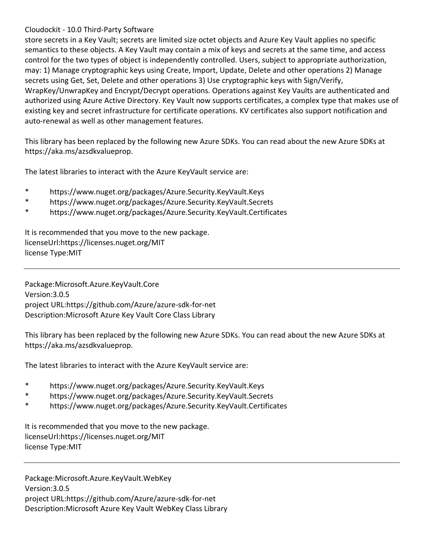store secrets in a Key Vault; secrets are limited size octet objects and Azure Key Vault applies no specific semantics to these objects. A Key Vault may contain a mix of keys and secrets at the same time, and access control for the two types of object is independently controlled. Users, subject to appropriate authorization, may: 1) Manage cryptographic keys using Create, Import, Update, Delete and other operations 2) Manage secrets using Get, Set, Delete and other operations 3) Use cryptographic keys with Sign/Verify, WrapKey/UnwrapKey and Encrypt/Decrypt operations. Operations against Key Vaults are authenticated and authorized using Azure Active Directory. Key Vault now supports certificates, a complex type that makes use of existing key and secret infrastructure for certificate operations. KV certificates also support notification and auto-renewal as well as other management features.

This library has been replaced by the following new Azure SDKs. You can read about the new Azure SDKs at https://aka.ms/azsdkvalueprop.

The latest libraries to interact with the Azure KeyVault service are:

- \* https://www.nuget.org/packages/Azure.Security.KeyVault.Keys
- \* https://www.nuget.org/packages/Azure.Security.KeyVault.Secrets
- \* https://www.nuget.org/packages/Azure.Security.KeyVault.Certificates

It is recommended that you move to the new package. licenseUrl:https://licenses.nuget.org/MIT license Type:MIT

Package:Microsoft.Azure.KeyVault.Core Version:3.0.5 project URL:https://github.com/Azure/azure-sdk-for-net Description:Microsoft Azure Key Vault Core Class Library

This library has been replaced by the following new Azure SDKs. You can read about the new Azure SDKs at https://aka.ms/azsdkvalueprop.

The latest libraries to interact with the Azure KeyVault service are:

- \* https://www.nuget.org/packages/Azure.Security.KeyVault.Keys
- \* https://www.nuget.org/packages/Azure.Security.KeyVault.Secrets
- \* https://www.nuget.org/packages/Azure.Security.KeyVault.Certificates

It is recommended that you move to the new package. licenseUrl:https://licenses.nuget.org/MIT license Type:MIT

Package:Microsoft.Azure.KeyVault.WebKey Version:3.0.5 project URL:https://github.com/Azure/azure-sdk-for-net Description:Microsoft Azure Key Vault WebKey Class Library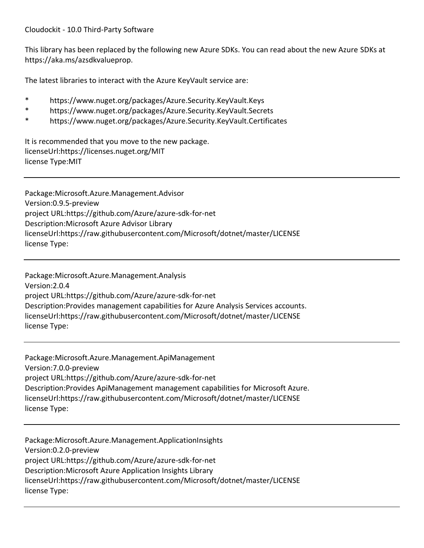This library has been replaced by the following new Azure SDKs. You can read about the new Azure SDKs at https://aka.ms/azsdkvalueprop.

The latest libraries to interact with the Azure KeyVault service are:

- \* https://www.nuget.org/packages/Azure.Security.KeyVault.Keys
- \* https://www.nuget.org/packages/Azure.Security.KeyVault.Secrets
- https://www.nuget.org/packages/Azure.Security.KeyVault.Certificates

It is recommended that you move to the new package. licenseUrl:https://licenses.nuget.org/MIT license Type:MIT

Package:Microsoft.Azure.Management.Advisor Version:0.9.5-preview project URL:https://github.com/Azure/azure-sdk-for-net Description:Microsoft Azure Advisor Library licenseUrl:https://raw.githubusercontent.com/Microsoft/dotnet/master/LICENSE license Type:

Package:Microsoft.Azure.Management.Analysis Version:2.0.4 project URL:https://github.com/Azure/azure-sdk-for-net Description:Provides management capabilities for Azure Analysis Services accounts. licenseUrl:https://raw.githubusercontent.com/Microsoft/dotnet/master/LICENSE license Type:

Package:Microsoft.Azure.Management.ApiManagement Version:7.0.0-preview project URL:https://github.com/Azure/azure-sdk-for-net Description:Provides ApiManagement management capabilities for Microsoft Azure. licenseUrl:https://raw.githubusercontent.com/Microsoft/dotnet/master/LICENSE license Type:

Package:Microsoft.Azure.Management.ApplicationInsights Version:0.2.0-preview project URL:https://github.com/Azure/azure-sdk-for-net Description:Microsoft Azure Application Insights Library licenseUrl:https://raw.githubusercontent.com/Microsoft/dotnet/master/LICENSE license Type: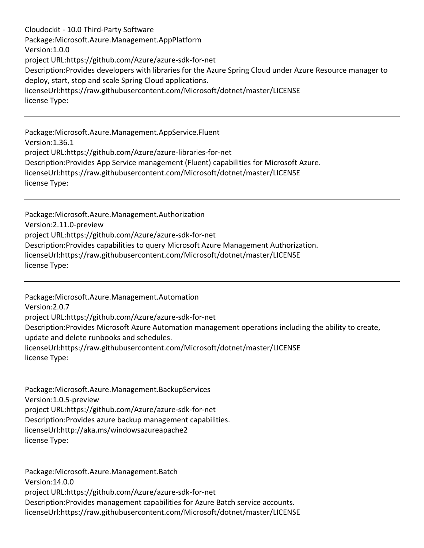Cloudockit - 10.0 Third-Party Software Package:Microsoft.Azure.Management.AppPlatform Version:1.0.0 project URL:https://github.com/Azure/azure-sdk-for-net Description:Provides developers with libraries for the Azure Spring Cloud under Azure Resource manager to deploy, start, stop and scale Spring Cloud applications. licenseUrl:https://raw.githubusercontent.com/Microsoft/dotnet/master/LICENSE license Type:

Package:Microsoft.Azure.Management.AppService.Fluent Version:1.36.1 project URL:https://github.com/Azure/azure-libraries-for-net Description:Provides App Service management (Fluent) capabilities for Microsoft Azure. licenseUrl:https://raw.githubusercontent.com/Microsoft/dotnet/master/LICENSE license Type:

Package:Microsoft.Azure.Management.Authorization Version:2.11.0-preview project URL:https://github.com/Azure/azure-sdk-for-net Description:Provides capabilities to query Microsoft Azure Management Authorization. licenseUrl:https://raw.githubusercontent.com/Microsoft/dotnet/master/LICENSE license Type:

Package:Microsoft.Azure.Management.Automation Version:2.0.7 project URL:https://github.com/Azure/azure-sdk-for-net Description:Provides Microsoft Azure Automation management operations including the ability to create, update and delete runbooks and schedules. licenseUrl:https://raw.githubusercontent.com/Microsoft/dotnet/master/LICENSE license Type:

Package:Microsoft.Azure.Management.BackupServices Version:1.0.5-preview project URL:https://github.com/Azure/azure-sdk-for-net Description:Provides azure backup management capabilities. licenseUrl:http://aka.ms/windowsazureapache2 license Type:

Package:Microsoft.Azure.Management.Batch Version:14.0.0 project URL:https://github.com/Azure/azure-sdk-for-net Description:Provides management capabilities for Azure Batch service accounts. licenseUrl:https://raw.githubusercontent.com/Microsoft/dotnet/master/LICENSE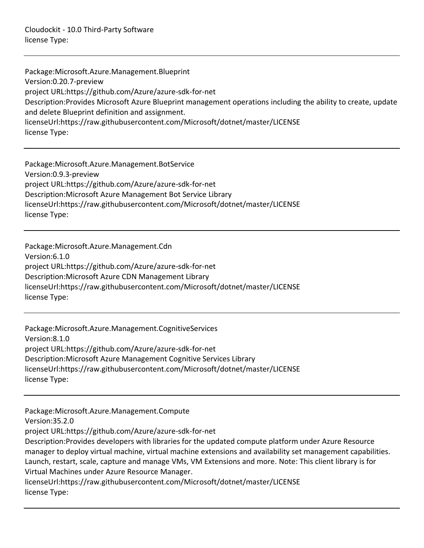Package:Microsoft.Azure.Management.Blueprint Version:0.20.7-preview project URL:https://github.com/Azure/azure-sdk-for-net Description:Provides Microsoft Azure Blueprint management operations including the ability to create, update and delete Blueprint definition and assignment. licenseUrl:https://raw.githubusercontent.com/Microsoft/dotnet/master/LICENSE license Type:

Package:Microsoft.Azure.Management.BotService Version:0.9.3-preview project URL:https://github.com/Azure/azure-sdk-for-net Description:Microsoft Azure Management Bot Service Library licenseUrl:https://raw.githubusercontent.com/Microsoft/dotnet/master/LICENSE license Type:

Package:Microsoft.Azure.Management.Cdn Version:6.1.0 project URL:https://github.com/Azure/azure-sdk-for-net Description:Microsoft Azure CDN Management Library licenseUrl:https://raw.githubusercontent.com/Microsoft/dotnet/master/LICENSE license Type:

Package:Microsoft.Azure.Management.CognitiveServices Version:8.1.0 project URL:https://github.com/Azure/azure-sdk-for-net Description:Microsoft Azure Management Cognitive Services Library licenseUrl:https://raw.githubusercontent.com/Microsoft/dotnet/master/LICENSE license Type:

Package:Microsoft.Azure.Management.Compute Version:35.2.0 project URL:https://github.com/Azure/azure-sdk-for-net Description:Provides developers with libraries for the updated compute platform under Azure Resource manager to deploy virtual machine, virtual machine extensions and availability set management capabilities. Launch, restart, scale, capture and manage VMs, VM Extensions and more. Note: This client library is for Virtual Machines under Azure Resource Manager. licenseUrl:https://raw.githubusercontent.com/Microsoft/dotnet/master/LICENSE license Type: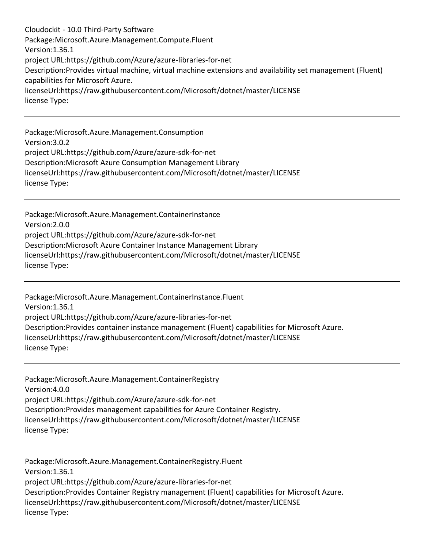Cloudockit - 10.0 Third-Party Software Package:Microsoft.Azure.Management.Compute.Fluent Version:1.36.1 project URL:https://github.com/Azure/azure-libraries-for-net Description:Provides virtual machine, virtual machine extensions and availability set management (Fluent) capabilities for Microsoft Azure. licenseUrl:https://raw.githubusercontent.com/Microsoft/dotnet/master/LICENSE license Type:

Package:Microsoft.Azure.Management.Consumption Version:3.0.2 project URL:https://github.com/Azure/azure-sdk-for-net Description:Microsoft Azure Consumption Management Library licenseUrl:https://raw.githubusercontent.com/Microsoft/dotnet/master/LICENSE license Type:

Package:Microsoft.Azure.Management.ContainerInstance Version:2.0.0 project URL:https://github.com/Azure/azure-sdk-for-net Description:Microsoft Azure Container Instance Management Library licenseUrl:https://raw.githubusercontent.com/Microsoft/dotnet/master/LICENSE license Type:

Package:Microsoft.Azure.Management.ContainerInstance.Fluent Version:1.36.1 project URL:https://github.com/Azure/azure-libraries-for-net Description:Provides container instance management (Fluent) capabilities for Microsoft Azure. licenseUrl:https://raw.githubusercontent.com/Microsoft/dotnet/master/LICENSE license Type:

Package:Microsoft.Azure.Management.ContainerRegistry Version:4.0.0 project URL:https://github.com/Azure/azure-sdk-for-net Description:Provides management capabilities for Azure Container Registry. licenseUrl:https://raw.githubusercontent.com/Microsoft/dotnet/master/LICENSE license Type:

Package:Microsoft.Azure.Management.ContainerRegistry.Fluent Version:1.36.1 project URL:https://github.com/Azure/azure-libraries-for-net Description:Provides Container Registry management (Fluent) capabilities for Microsoft Azure. licenseUrl:https://raw.githubusercontent.com/Microsoft/dotnet/master/LICENSE license Type: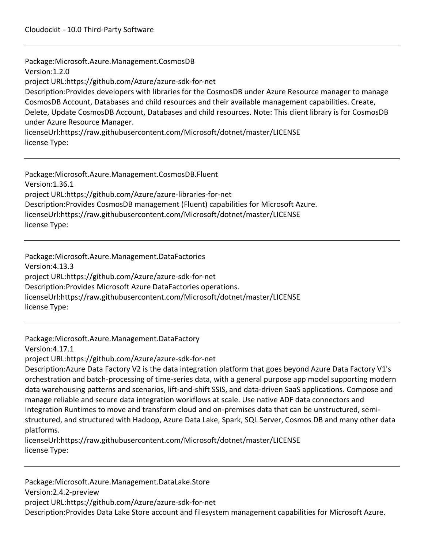Package:Microsoft.Azure.Management.CosmosDB Version:1.2.0 project URL:https://github.com/Azure/azure-sdk-for-net Description:Provides developers with libraries for the CosmosDB under Azure Resource manager to manage CosmosDB Account, Databases and child resources and their available management capabilities. Create, Delete, Update CosmosDB Account, Databases and child resources. Note: This client library is for CosmosDB under Azure Resource Manager. licenseUrl:https://raw.githubusercontent.com/Microsoft/dotnet/master/LICENSE license Type:

Package:Microsoft.Azure.Management.CosmosDB.Fluent Version:1.36.1 project URL:https://github.com/Azure/azure-libraries-for-net Description:Provides CosmosDB management (Fluent) capabilities for Microsoft Azure. licenseUrl:https://raw.githubusercontent.com/Microsoft/dotnet/master/LICENSE license Type:

Package:Microsoft.Azure.Management.DataFactories Version:4.13.3 project URL:https://github.com/Azure/azure-sdk-for-net Description:Provides Microsoft Azure DataFactories operations. licenseUrl:https://raw.githubusercontent.com/Microsoft/dotnet/master/LICENSE license Type:

Package:Microsoft.Azure.Management.DataFactory

Version:4.17.1

project URL:https://github.com/Azure/azure-sdk-for-net

Description:Azure Data Factory V2 is the data integration platform that goes beyond Azure Data Factory V1's orchestration and batch-processing of time-series data, with a general purpose app model supporting modern data warehousing patterns and scenarios, lift-and-shift SSIS, and data-driven SaaS applications. Compose and manage reliable and secure data integration workflows at scale. Use native ADF data connectors and Integration Runtimes to move and transform cloud and on-premises data that can be unstructured, semistructured, and structured with Hadoop, Azure Data Lake, Spark, SQL Server, Cosmos DB and many other data platforms.

licenseUrl:https://raw.githubusercontent.com/Microsoft/dotnet/master/LICENSE license Type:

Package:Microsoft.Azure.Management.DataLake.Store Version:2.4.2-preview project URL:https://github.com/Azure/azure-sdk-for-net Description:Provides Data Lake Store account and filesystem management capabilities for Microsoft Azure.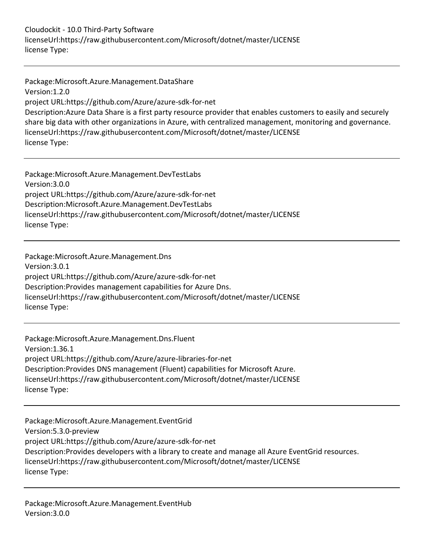Cloudockit - 10.0 Third-Party Software licenseUrl:https://raw.githubusercontent.com/Microsoft/dotnet/master/LICENSE license Type:

Package:Microsoft.Azure.Management.DataShare Version:1.2.0 project URL:https://github.com/Azure/azure-sdk-for-net Description:Azure Data Share is a first party resource provider that enables customers to easily and securely share big data with other organizations in Azure, with centralized management, monitoring and governance. licenseUrl:https://raw.githubusercontent.com/Microsoft/dotnet/master/LICENSE license Type:

Package:Microsoft.Azure.Management.DevTestLabs Version:3.0.0 project URL:https://github.com/Azure/azure-sdk-for-net Description:Microsoft.Azure.Management.DevTestLabs licenseUrl:https://raw.githubusercontent.com/Microsoft/dotnet/master/LICENSE license Type:

Package:Microsoft.Azure.Management.Dns Version:3.0.1 project URL:https://github.com/Azure/azure-sdk-for-net Description:Provides management capabilities for Azure Dns. licenseUrl:https://raw.githubusercontent.com/Microsoft/dotnet/master/LICENSE license Type:

Package:Microsoft.Azure.Management.Dns.Fluent Version:1.36.1 project URL:https://github.com/Azure/azure-libraries-for-net Description:Provides DNS management (Fluent) capabilities for Microsoft Azure. licenseUrl:https://raw.githubusercontent.com/Microsoft/dotnet/master/LICENSE license Type:

Package:Microsoft.Azure.Management.EventGrid Version:5.3.0-preview project URL:https://github.com/Azure/azure-sdk-for-net Description:Provides developers with a library to create and manage all Azure EventGrid resources. licenseUrl:https://raw.githubusercontent.com/Microsoft/dotnet/master/LICENSE license Type: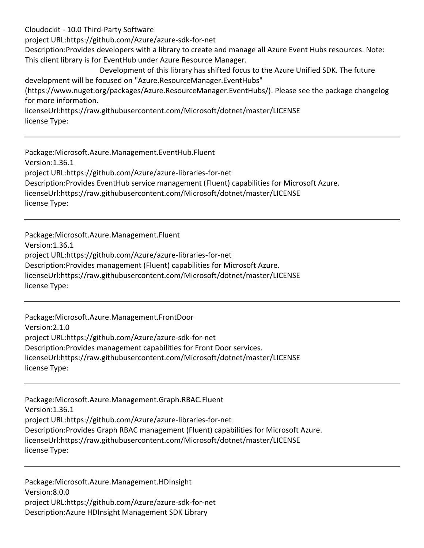project URL:https://github.com/Azure/azure-sdk-for-net

Description:Provides developers with a library to create and manage all Azure Event Hubs resources. Note: This client library is for EventHub under Azure Resource Manager.

Development of this library has shifted focus to the Azure Unified SDK. The future development will be focused on "Azure.ResourceManager.EventHubs"

(https://www.nuget.org/packages/Azure.ResourceManager.EventHubs/). Please see the package changelog for more information.

licenseUrl:https://raw.githubusercontent.com/Microsoft/dotnet/master/LICENSE license Type:

Package:Microsoft.Azure.Management.EventHub.Fluent Version:1.36.1 project URL:https://github.com/Azure/azure-libraries-for-net Description:Provides EventHub service management (Fluent) capabilities for Microsoft Azure. licenseUrl:https://raw.githubusercontent.com/Microsoft/dotnet/master/LICENSE license Type:

Package:Microsoft.Azure.Management.Fluent Version:1.36.1 project URL:https://github.com/Azure/azure-libraries-for-net Description:Provides management (Fluent) capabilities for Microsoft Azure. licenseUrl:https://raw.githubusercontent.com/Microsoft/dotnet/master/LICENSE license Type:

Package:Microsoft.Azure.Management.FrontDoor Version:2.1.0 project URL:https://github.com/Azure/azure-sdk-for-net Description:Provides management capabilities for Front Door services. licenseUrl:https://raw.githubusercontent.com/Microsoft/dotnet/master/LICENSE license Type:

Package:Microsoft.Azure.Management.Graph.RBAC.Fluent Version:1.36.1 project URL:https://github.com/Azure/azure-libraries-for-net Description:Provides Graph RBAC management (Fluent) capabilities for Microsoft Azure. licenseUrl:https://raw.githubusercontent.com/Microsoft/dotnet/master/LICENSE license Type:

Package:Microsoft.Azure.Management.HDInsight Version:8.0.0 project URL:https://github.com/Azure/azure-sdk-for-net Description:Azure HDInsight Management SDK Library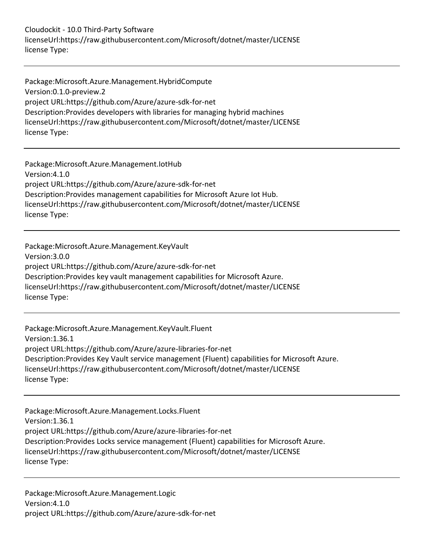Cloudockit - 10.0 Third-Party Software licenseUrl:https://raw.githubusercontent.com/Microsoft/dotnet/master/LICENSE license Type:

Package:Microsoft.Azure.Management.HybridCompute Version:0.1.0-preview.2 project URL:https://github.com/Azure/azure-sdk-for-net Description:Provides developers with libraries for managing hybrid machines licenseUrl:https://raw.githubusercontent.com/Microsoft/dotnet/master/LICENSE license Type:

Package:Microsoft.Azure.Management.IotHub Version:4.1.0 project URL:https://github.com/Azure/azure-sdk-for-net Description:Provides management capabilities for Microsoft Azure Iot Hub. licenseUrl:https://raw.githubusercontent.com/Microsoft/dotnet/master/LICENSE license Type:

Package:Microsoft.Azure.Management.KeyVault Version:3.0.0 project URL:https://github.com/Azure/azure-sdk-for-net Description:Provides key vault management capabilities for Microsoft Azure. licenseUrl:https://raw.githubusercontent.com/Microsoft/dotnet/master/LICENSE license Type:

Package:Microsoft.Azure.Management.KeyVault.Fluent Version:1.36.1 project URL:https://github.com/Azure/azure-libraries-for-net Description:Provides Key Vault service management (Fluent) capabilities for Microsoft Azure. licenseUrl:https://raw.githubusercontent.com/Microsoft/dotnet/master/LICENSE license Type:

Package:Microsoft.Azure.Management.Locks.Fluent Version:1.36.1 project URL:https://github.com/Azure/azure-libraries-for-net Description:Provides Locks service management (Fluent) capabilities for Microsoft Azure. licenseUrl:https://raw.githubusercontent.com/Microsoft/dotnet/master/LICENSE license Type:

Package:Microsoft.Azure.Management.Logic Version:4.1.0 project URL:https://github.com/Azure/azure-sdk-for-net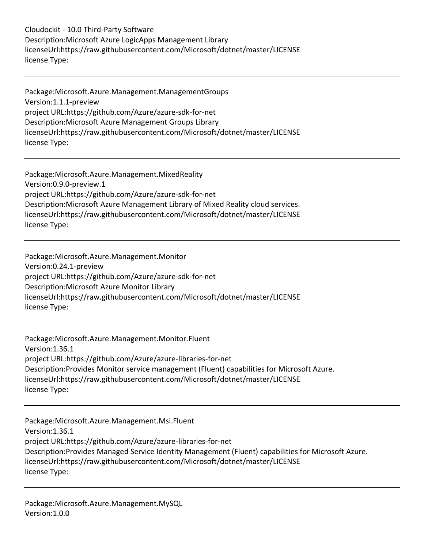Cloudockit - 10.0 Third-Party Software Description:Microsoft Azure LogicApps Management Library licenseUrl:https://raw.githubusercontent.com/Microsoft/dotnet/master/LICENSE license Type:

Package:Microsoft.Azure.Management.ManagementGroups Version:1.1.1-preview project URL:https://github.com/Azure/azure-sdk-for-net Description:Microsoft Azure Management Groups Library licenseUrl:https://raw.githubusercontent.com/Microsoft/dotnet/master/LICENSE license Type:

Package:Microsoft.Azure.Management.MixedReality Version:0.9.0-preview.1 project URL:https://github.com/Azure/azure-sdk-for-net Description:Microsoft Azure Management Library of Mixed Reality cloud services. licenseUrl:https://raw.githubusercontent.com/Microsoft/dotnet/master/LICENSE license Type:

Package:Microsoft.Azure.Management.Monitor Version:0.24.1-preview project URL:https://github.com/Azure/azure-sdk-for-net Description:Microsoft Azure Monitor Library licenseUrl:https://raw.githubusercontent.com/Microsoft/dotnet/master/LICENSE license Type:

Package:Microsoft.Azure.Management.Monitor.Fluent Version:1.36.1 project URL:https://github.com/Azure/azure-libraries-for-net Description:Provides Monitor service management (Fluent) capabilities for Microsoft Azure. licenseUrl:https://raw.githubusercontent.com/Microsoft/dotnet/master/LICENSE license Type:

Package:Microsoft.Azure.Management.Msi.Fluent Version:1.36.1 project URL:https://github.com/Azure/azure-libraries-for-net Description:Provides Managed Service Identity Management (Fluent) capabilities for Microsoft Azure. licenseUrl:https://raw.githubusercontent.com/Microsoft/dotnet/master/LICENSE license Type: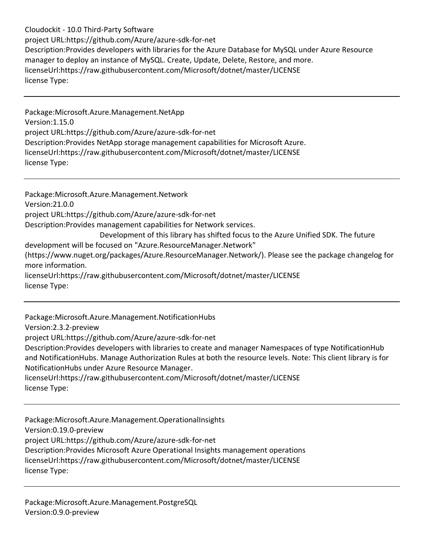Cloudockit - 10.0 Third-Party Software project URL:https://github.com/Azure/azure-sdk-for-net Description:Provides developers with libraries for the Azure Database for MySQL under Azure Resource manager to deploy an instance of MySQL. Create, Update, Delete, Restore, and more. licenseUrl:https://raw.githubusercontent.com/Microsoft/dotnet/master/LICENSE license Type:

Package:Microsoft.Azure.Management.NetApp Version:1.15.0 project URL:https://github.com/Azure/azure-sdk-for-net Description:Provides NetApp storage management capabilities for Microsoft Azure. licenseUrl:https://raw.githubusercontent.com/Microsoft/dotnet/master/LICENSE license Type:

Package:Microsoft.Azure.Management.Network Version:21.0.0 project URL:https://github.com/Azure/azure-sdk-for-net Description:Provides management capabilities for Network services. Development of this library has shifted focus to the Azure Unified SDK. The future development will be focused on "Azure.ResourceManager.Network" (https://www.nuget.org/packages/Azure.ResourceManager.Network/). Please see the package changelog for more information. licenseUrl:https://raw.githubusercontent.com/Microsoft/dotnet/master/LICENSE license Type:

Package:Microsoft.Azure.Management.NotificationHubs Version:2.3.2-preview project URL:https://github.com/Azure/azure-sdk-for-net Description:Provides developers with libraries to create and manager Namespaces of type NotificationHub and NotificationHubs. Manage Authorization Rules at both the resource levels. Note: This client library is for NotificationHubs under Azure Resource Manager. licenseUrl:https://raw.githubusercontent.com/Microsoft/dotnet/master/LICENSE license Type:

Package:Microsoft.Azure.Management.OperationalInsights Version:0.19.0-preview project URL:https://github.com/Azure/azure-sdk-for-net Description:Provides Microsoft Azure Operational Insights management operations licenseUrl:https://raw.githubusercontent.com/Microsoft/dotnet/master/LICENSE license Type:

Package:Microsoft.Azure.Management.PostgreSQL Version:0.9.0-preview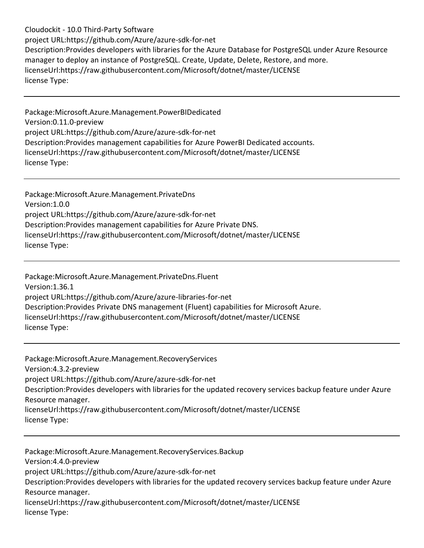Cloudockit - 10.0 Third-Party Software project URL:https://github.com/Azure/azure-sdk-for-net Description:Provides developers with libraries for the Azure Database for PostgreSQL under Azure Resource manager to deploy an instance of PostgreSQL. Create, Update, Delete, Restore, and more. licenseUrl:https://raw.githubusercontent.com/Microsoft/dotnet/master/LICENSE license Type:

Package:Microsoft.Azure.Management.PowerBIDedicated Version:0.11.0-preview project URL:https://github.com/Azure/azure-sdk-for-net Description:Provides management capabilities for Azure PowerBI Dedicated accounts. licenseUrl:https://raw.githubusercontent.com/Microsoft/dotnet/master/LICENSE license Type:

Package:Microsoft.Azure.Management.PrivateDns Version:1.0.0 project URL:https://github.com/Azure/azure-sdk-for-net Description:Provides management capabilities for Azure Private DNS. licenseUrl:https://raw.githubusercontent.com/Microsoft/dotnet/master/LICENSE license Type:

Package:Microsoft.Azure.Management.PrivateDns.Fluent Version:1.36.1 project URL:https://github.com/Azure/azure-libraries-for-net Description:Provides Private DNS management (Fluent) capabilities for Microsoft Azure. licenseUrl:https://raw.githubusercontent.com/Microsoft/dotnet/master/LICENSE license Type:

Package:Microsoft.Azure.Management.RecoveryServices Version:4.3.2-preview project URL:https://github.com/Azure/azure-sdk-for-net Description:Provides developers with libraries for the updated recovery services backup feature under Azure Resource manager. licenseUrl:https://raw.githubusercontent.com/Microsoft/dotnet/master/LICENSE license Type:

Package:Microsoft.Azure.Management.RecoveryServices.Backup Version:4.4.0-preview project URL:https://github.com/Azure/azure-sdk-for-net Description:Provides developers with libraries for the updated recovery services backup feature under Azure Resource manager. licenseUrl:https://raw.githubusercontent.com/Microsoft/dotnet/master/LICENSE license Type: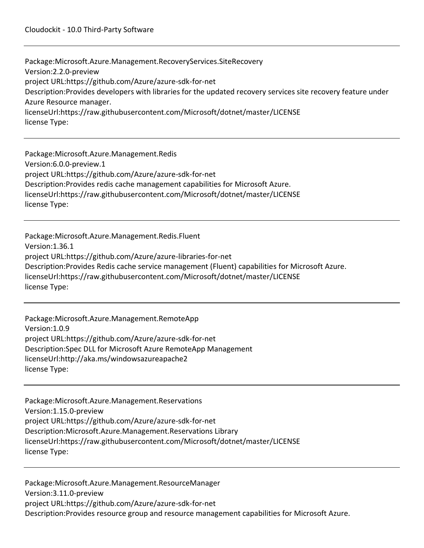Package:Microsoft.Azure.Management.RecoveryServices.SiteRecovery Version:2.2.0-preview project URL:https://github.com/Azure/azure-sdk-for-net Description:Provides developers with libraries for the updated recovery services site recovery feature under Azure Resource manager. licenseUrl:https://raw.githubusercontent.com/Microsoft/dotnet/master/LICENSE license Type:

Package:Microsoft.Azure.Management.Redis Version:6.0.0-preview.1 project URL:https://github.com/Azure/azure-sdk-for-net Description:Provides redis cache management capabilities for Microsoft Azure. licenseUrl:https://raw.githubusercontent.com/Microsoft/dotnet/master/LICENSE license Type:

Package:Microsoft.Azure.Management.Redis.Fluent Version:1.36.1 project URL:https://github.com/Azure/azure-libraries-for-net Description:Provides Redis cache service management (Fluent) capabilities for Microsoft Azure. licenseUrl:https://raw.githubusercontent.com/Microsoft/dotnet/master/LICENSE license Type:

Package:Microsoft.Azure.Management.RemoteApp Version:1.0.9 project URL:https://github.com/Azure/azure-sdk-for-net Description:Spec DLL for Microsoft Azure RemoteApp Management licenseUrl:http://aka.ms/windowsazureapache2 license Type:

Package:Microsoft.Azure.Management.Reservations Version:1.15.0-preview project URL:https://github.com/Azure/azure-sdk-for-net Description:Microsoft.Azure.Management.Reservations Library licenseUrl:https://raw.githubusercontent.com/Microsoft/dotnet/master/LICENSE license Type:

Package:Microsoft.Azure.Management.ResourceManager Version:3.11.0-preview project URL:https://github.com/Azure/azure-sdk-for-net Description:Provides resource group and resource management capabilities for Microsoft Azure.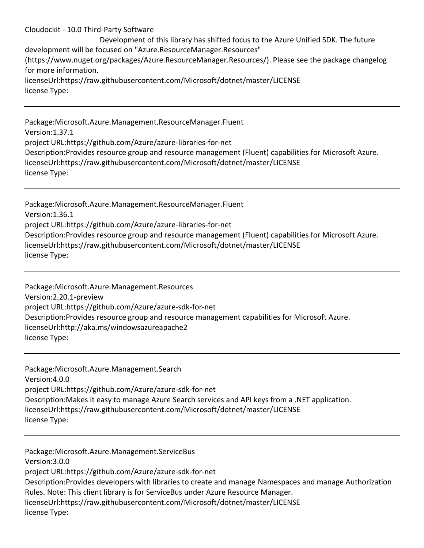Development of this library has shifted focus to the Azure Unified SDK. The future development will be focused on "Azure.ResourceManager.Resources" (https://www.nuget.org/packages/Azure.ResourceManager.Resources/). Please see the package changelog for more information. licenseUrl:https://raw.githubusercontent.com/Microsoft/dotnet/master/LICENSE license Type:

Package:Microsoft.Azure.Management.ResourceManager.Fluent Version:1.37.1 project URL:https://github.com/Azure/azure-libraries-for-net Description:Provides resource group and resource management (Fluent) capabilities for Microsoft Azure. licenseUrl:https://raw.githubusercontent.com/Microsoft/dotnet/master/LICENSE license Type:

Package:Microsoft.Azure.Management.ResourceManager.Fluent Version:1.36.1 project URL:https://github.com/Azure/azure-libraries-for-net Description:Provides resource group and resource management (Fluent) capabilities for Microsoft Azure. licenseUrl:https://raw.githubusercontent.com/Microsoft/dotnet/master/LICENSE license Type:

Package:Microsoft.Azure.Management.Resources Version:2.20.1-preview project URL:https://github.com/Azure/azure-sdk-for-net Description:Provides resource group and resource management capabilities for Microsoft Azure. licenseUrl:http://aka.ms/windowsazureapache2 license Type:

Package:Microsoft.Azure.Management.Search Version:4.0.0 project URL:https://github.com/Azure/azure-sdk-for-net Description:Makes it easy to manage Azure Search services and API keys from a .NET application. licenseUrl:https://raw.githubusercontent.com/Microsoft/dotnet/master/LICENSE license Type:

Package:Microsoft.Azure.Management.ServiceBus Version:3.0.0 project URL:https://github.com/Azure/azure-sdk-for-net Description:Provides developers with libraries to create and manage Namespaces and manage Authorization Rules. Note: This client library is for ServiceBus under Azure Resource Manager. licenseUrl:https://raw.githubusercontent.com/Microsoft/dotnet/master/LICENSE license Type: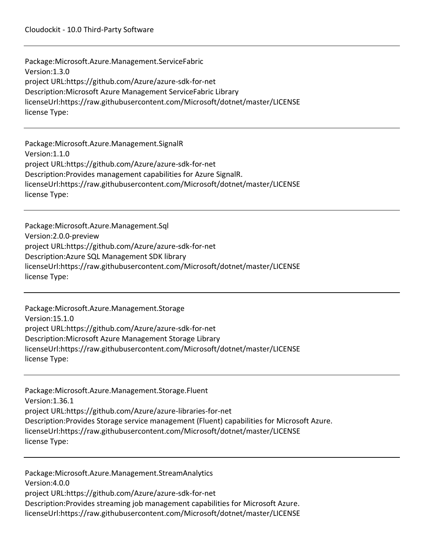Package:Microsoft.Azure.Management.ServiceFabric Version:1.3.0 project URL:https://github.com/Azure/azure-sdk-for-net Description:Microsoft Azure Management ServiceFabric Library licenseUrl:https://raw.githubusercontent.com/Microsoft/dotnet/master/LICENSE license Type:

Package:Microsoft.Azure.Management.SignalR Version:1.1.0 project URL:https://github.com/Azure/azure-sdk-for-net Description:Provides management capabilities for Azure SignalR. licenseUrl:https://raw.githubusercontent.com/Microsoft/dotnet/master/LICENSE license Type:

Package:Microsoft.Azure.Management.Sql Version:2.0.0-preview project URL:https://github.com/Azure/azure-sdk-for-net Description:Azure SQL Management SDK library licenseUrl:https://raw.githubusercontent.com/Microsoft/dotnet/master/LICENSE license Type:

Package:Microsoft.Azure.Management.Storage Version:15.1.0 project URL:https://github.com/Azure/azure-sdk-for-net Description:Microsoft Azure Management Storage Library licenseUrl:https://raw.githubusercontent.com/Microsoft/dotnet/master/LICENSE license Type:

Package:Microsoft.Azure.Management.Storage.Fluent Version:1.36.1 project URL:https://github.com/Azure/azure-libraries-for-net Description:Provides Storage service management (Fluent) capabilities for Microsoft Azure. licenseUrl:https://raw.githubusercontent.com/Microsoft/dotnet/master/LICENSE license Type:

Package:Microsoft.Azure.Management.StreamAnalytics Version:4.0.0 project URL:https://github.com/Azure/azure-sdk-for-net Description:Provides streaming job management capabilities for Microsoft Azure. licenseUrl:https://raw.githubusercontent.com/Microsoft/dotnet/master/LICENSE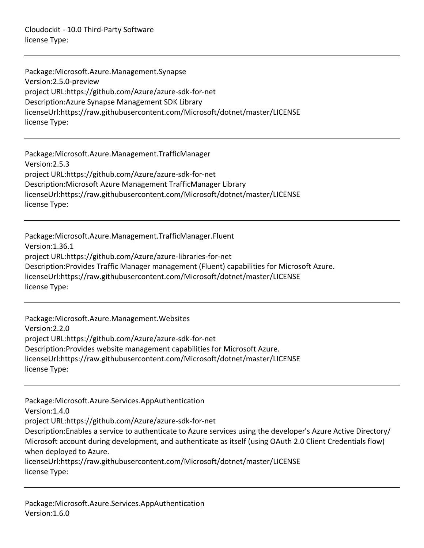Cloudockit - 10.0 Third-Party Software license Type:

Package:Microsoft.Azure.Management.Synapse Version:2.5.0-preview project URL:https://github.com/Azure/azure-sdk-for-net Description:Azure Synapse Management SDK Library licenseUrl:https://raw.githubusercontent.com/Microsoft/dotnet/master/LICENSE license Type:

Package:Microsoft.Azure.Management.TrafficManager Version:2.5.3 project URL:https://github.com/Azure/azure-sdk-for-net Description:Microsoft Azure Management TrafficManager Library licenseUrl:https://raw.githubusercontent.com/Microsoft/dotnet/master/LICENSE license Type:

Package:Microsoft.Azure.Management.TrafficManager.Fluent Version:1.36.1 project URL:https://github.com/Azure/azure-libraries-for-net Description:Provides Traffic Manager management (Fluent) capabilities for Microsoft Azure. licenseUrl:https://raw.githubusercontent.com/Microsoft/dotnet/master/LICENSE license Type:

Package:Microsoft.Azure.Management.Websites Version:2.2.0 project URL:https://github.com/Azure/azure-sdk-for-net Description:Provides website management capabilities for Microsoft Azure. licenseUrl:https://raw.githubusercontent.com/Microsoft/dotnet/master/LICENSE license Type:

Package:Microsoft.Azure.Services.AppAuthentication Version:1.4.0 project URL:https://github.com/Azure/azure-sdk-for-net Description:Enables a service to authenticate to Azure services using the developer's Azure Active Directory/ Microsoft account during development, and authenticate as itself (using OAuth 2.0 Client Credentials flow) when deployed to Azure. licenseUrl:https://raw.githubusercontent.com/Microsoft/dotnet/master/LICENSE

license Type: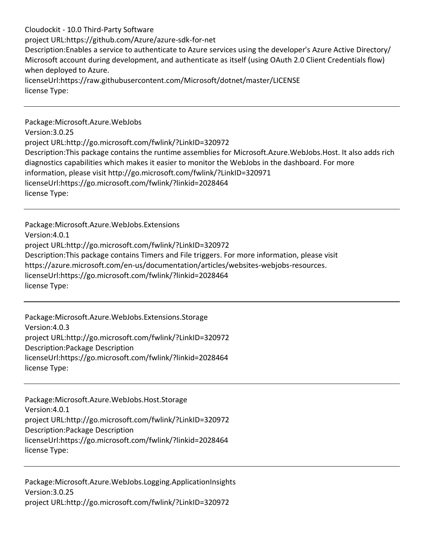Cloudockit - 10.0 Third-Party Software project URL:https://github.com/Azure/azure-sdk-for-net Description:Enables a service to authenticate to Azure services using the developer's Azure Active Directory/ Microsoft account during development, and authenticate as itself (using OAuth 2.0 Client Credentials flow) when deployed to Azure. licenseUrl:https://raw.githubusercontent.com/Microsoft/dotnet/master/LICENSE license Type:

Package:Microsoft.Azure.WebJobs Version:3.0.25 project URL:http://go.microsoft.com/fwlink/?LinkID=320972 Description:This package contains the runtime assemblies for Microsoft.Azure.WebJobs.Host. It also adds rich diagnostics capabilities which makes it easier to monitor the WebJobs in the dashboard. For more information, please visit http://go.microsoft.com/fwlink/?LinkID=320971 licenseUrl:https://go.microsoft.com/fwlink/?linkid=2028464 license Type:

Package:Microsoft.Azure.WebJobs.Extensions Version:4.0.1 project URL:http://go.microsoft.com/fwlink/?LinkID=320972 Description:This package contains Timers and File triggers. For more information, please visit https://azure.microsoft.com/en-us/documentation/articles/websites-webjobs-resources. licenseUrl:https://go.microsoft.com/fwlink/?linkid=2028464 license Type:

Package:Microsoft.Azure.WebJobs.Extensions.Storage Version:4.0.3 project URL:http://go.microsoft.com/fwlink/?LinkID=320972 Description:Package Description licenseUrl:https://go.microsoft.com/fwlink/?linkid=2028464 license Type:

Package:Microsoft.Azure.WebJobs.Host.Storage Version:4.0.1 project URL:http://go.microsoft.com/fwlink/?LinkID=320972 Description:Package Description licenseUrl:https://go.microsoft.com/fwlink/?linkid=2028464 license Type:

Package:Microsoft.Azure.WebJobs.Logging.ApplicationInsights Version:3.0.25 project URL:http://go.microsoft.com/fwlink/?LinkID=320972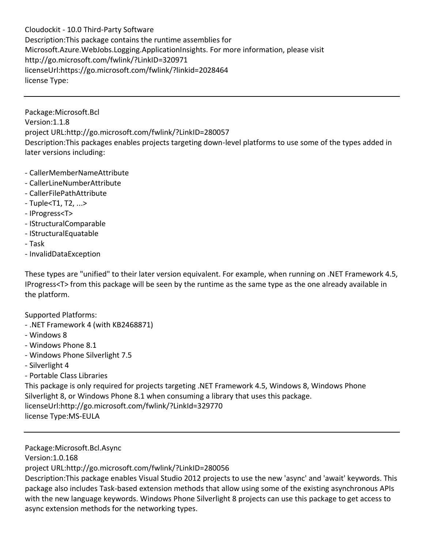Cloudockit - 10.0 Third-Party Software Description:This package contains the runtime assemblies for Microsoft.Azure.WebJobs.Logging.ApplicationInsights. For more information, please visit http://go.microsoft.com/fwlink/?LinkID=320971 licenseUrl:https://go.microsoft.com/fwlink/?linkid=2028464 license Type:

Package:Microsoft.Bcl Version:1.1.8 project URL:http://go.microsoft.com/fwlink/?LinkID=280057 Description:This packages enables projects targeting down-level platforms to use some of the types added in later versions including:

- CallerMemberNameAttribute
- CallerLineNumberAttribute
- CallerFilePathAttribute
- Tuple<T1, T2, ...>
- IProgress<T>
- IStructuralComparable
- IStructuralEquatable
- Task
- InvalidDataException

These types are "unified" to their later version equivalent. For example, when running on .NET Framework 4.5, IProgress<T> from this package will be seen by the runtime as the same type as the one already available in the platform.

Supported Platforms:

- .NET Framework 4 (with KB2468871)
- Windows 8
- Windows Phone 8.1
- Windows Phone Silverlight 7.5
- Silverlight 4
- Portable Class Libraries

This package is only required for projects targeting .NET Framework 4.5, Windows 8, Windows Phone Silverlight 8, or Windows Phone 8.1 when consuming a library that uses this package. licenseUrl:http://go.microsoft.com/fwlink/?LinkId=329770 license Type:MS-EULA

Package:Microsoft.Bcl.Async

Version:1.0.168

project URL:http://go.microsoft.com/fwlink/?LinkID=280056

Description:This package enables Visual Studio 2012 projects to use the new 'async' and 'await' keywords. This package also includes Task-based extension methods that allow using some of the existing asynchronous APIs with the new language keywords. Windows Phone Silverlight 8 projects can use this package to get access to async extension methods for the networking types.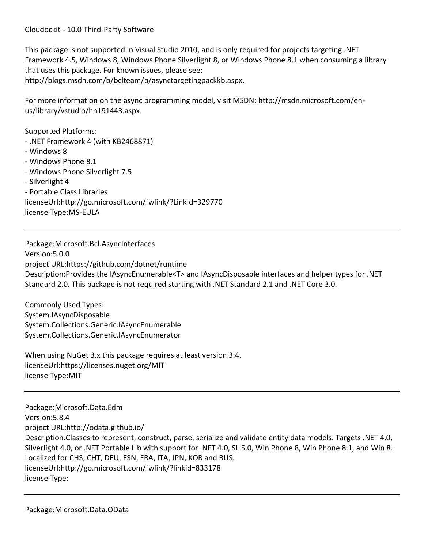This package is not supported in Visual Studio 2010, and is only required for projects targeting .NET Framework 4.5, Windows 8, Windows Phone Silverlight 8, or Windows Phone 8.1 when consuming a library that uses this package. For known issues, please see: http://blogs.msdn.com/b/bclteam/p/asynctargetingpackkb.aspx.

For more information on the async programming model, visit MSDN: http://msdn.microsoft.com/enus/library/vstudio/hh191443.aspx.

Supported Platforms:

- .NET Framework 4 (with KB2468871)
- Windows 8
- Windows Phone 8.1
- Windows Phone Silverlight 7.5
- Silverlight 4
- Portable Class Libraries

licenseUrl:http://go.microsoft.com/fwlink/?LinkId=329770

license Type:MS-EULA

Package:Microsoft.Bcl.AsyncInterfaces Version:5.0.0 project URL:https://github.com/dotnet/runtime Description:Provides the IAsyncEnumerable<T> and IAsyncDisposable interfaces and helper types for .NET Standard 2.0. This package is not required starting with .NET Standard 2.1 and .NET Core 3.0.

Commonly Used Types: System.IAsyncDisposable System.Collections.Generic.IAsyncEnumerable System.Collections.Generic.IAsyncEnumerator

When using NuGet 3.x this package requires at least version 3.4. licenseUrl:https://licenses.nuget.org/MIT license Type:MIT

Package:Microsoft.Data.Edm Version:5.8.4 project URL:http://odata.github.io/ Description:Classes to represent, construct, parse, serialize and validate entity data models. Targets .NET 4.0, Silverlight 4.0, or .NET Portable Lib with support for .NET 4.0, SL 5.0, Win Phone 8, Win Phone 8.1, and Win 8. Localized for CHS, CHT, DEU, ESN, FRA, ITA, JPN, KOR and RUS. licenseUrl:http://go.microsoft.com/fwlink/?linkid=833178 license Type: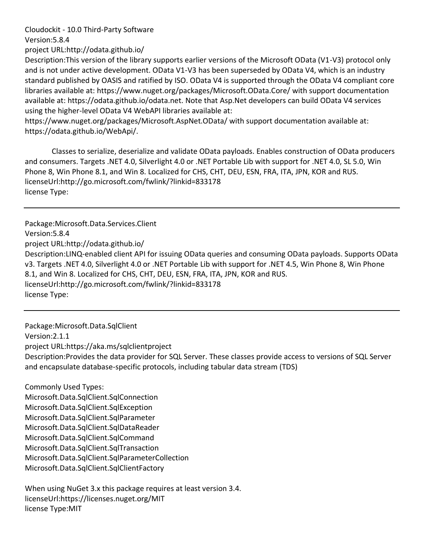Version:5.8.4

project URL:http://odata.github.io/

Description:This version of the library supports earlier versions of the Microsoft OData (V1-V3) protocol only and is not under active development. OData V1-V3 has been superseded by OData V4, which is an industry standard published by OASIS and ratified by ISO. OData V4 is supported through the OData V4 compliant core libraries available at: https://www.nuget.org/packages/Microsoft.OData.Core/ with support documentation available at: https://odata.github.io/odata.net. Note that Asp.Net developers can build OData V4 services using the higher-level OData V4 WebAPI libraries available at:

https://www.nuget.org/packages/Microsoft.AspNet.OData/ with support documentation available at: https://odata.github.io/WebApi/.

Classes to serialize, deserialize and validate OData payloads. Enables construction of OData producers and consumers. Targets .NET 4.0, Silverlight 4.0 or .NET Portable Lib with support for .NET 4.0, SL 5.0, Win Phone 8, Win Phone 8.1, and Win 8. Localized for CHS, CHT, DEU, ESN, FRA, ITA, JPN, KOR and RUS. licenseUrl:http://go.microsoft.com/fwlink/?linkid=833178 license Type:

Package:Microsoft.Data.Services.Client Version:5.8.4 project URL:http://odata.github.io/ Description:LINQ-enabled client API for issuing OData queries and consuming OData payloads. Supports OData v3. Targets .NET 4.0, Silverlight 4.0 or .NET Portable Lib with support for .NET 4.5, Win Phone 8, Win Phone 8.1, and Win 8. Localized for CHS, CHT, DEU, ESN, FRA, ITA, JPN, KOR and RUS. licenseUrl:http://go.microsoft.com/fwlink/?linkid=833178 license Type:

Package:Microsoft.Data.SqlClient Version:2.1.1 project URL:https://aka.ms/sqlclientproject Description:Provides the data provider for SQL Server. These classes provide access to versions of SQL Server and encapsulate database-specific protocols, including tabular data stream (TDS)

Commonly Used Types: Microsoft.Data.SqlClient.SqlConnection Microsoft.Data.SqlClient.SqlException Microsoft.Data.SqlClient.SqlParameter Microsoft.Data.SqlClient.SqlDataReader Microsoft.Data.SqlClient.SqlCommand Microsoft.Data.SqlClient.SqlTransaction Microsoft.Data.SqlClient.SqlParameterCollection Microsoft.Data.SqlClient.SqlClientFactory

When using NuGet 3.x this package requires at least version 3.4. licenseUrl:https://licenses.nuget.org/MIT license Type:MIT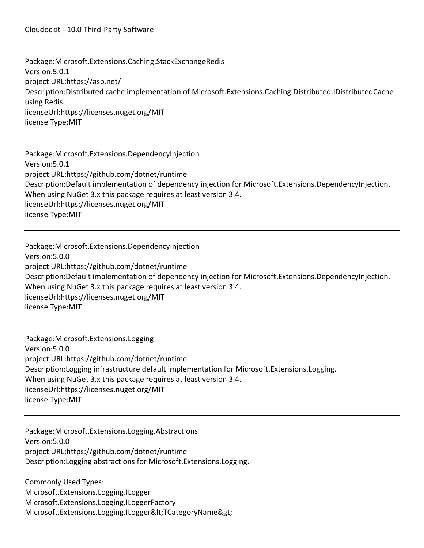Package:Microsoft.Extensions.Caching.StackExchangeRedis Version:5.0.1 project URL:https://asp.net/ Description:Distributed cache implementation of Microsoft.Extensions.Caching.Distributed.IDistributedCache using Redis. licenseUrl:https://licenses.nuget.org/MIT license Type:MIT

Package:Microsoft.Extensions.DependencyInjection Version:5.0.1 project URL:https://github.com/dotnet/runtime Description:Default implementation of dependency injection for Microsoft.Extensions.DependencyInjection. When using NuGet 3.x this package requires at least version 3.4. licenseUrl:https://licenses.nuget.org/MIT license Type:MIT

Package:Microsoft.Extensions.DependencyInjection Version:5.0.0 project URL:https://github.com/dotnet/runtime Description:Default implementation of dependency injection for Microsoft.Extensions.DependencyInjection. When using NuGet 3.x this package requires at least version 3.4. licenseUrl:https://licenses.nuget.org/MIT license Type:MIT

Package:Microsoft.Extensions.Logging Version:5.0.0 project URL:https://github.com/dotnet/runtime Description:Logging infrastructure default implementation for Microsoft.Extensions.Logging. When using NuGet 3.x this package requires at least version 3.4. licenseUrl:https://licenses.nuget.org/MIT license Type:MIT

Package:Microsoft.Extensions.Logging.Abstractions Version:5.0.0 project URL:https://github.com/dotnet/runtime Description:Logging abstractions for Microsoft.Extensions.Logging.

Commonly Used Types: Microsoft.Extensions.Logging.ILogger Microsoft.Extensions.Logging.ILoggerFactory Microsoft.Extensions.Logging.ILogger&It;TCategoryName>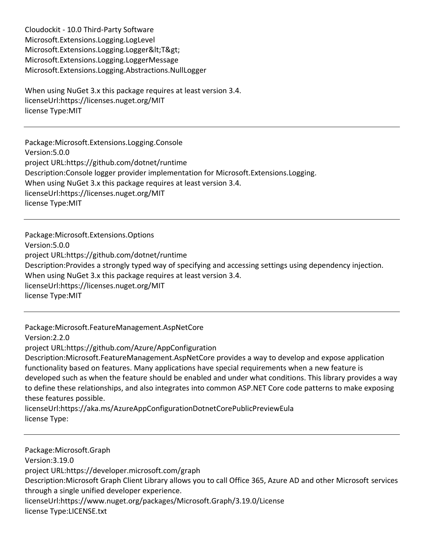Cloudockit - 10.0 Third-Party Software Microsoft.Extensions.Logging.LogLevel Microsoft.Extensions.Logging.Logger<T&gt; Microsoft.Extensions.Logging.LoggerMessage Microsoft.Extensions.Logging.Abstractions.NullLogger

When using NuGet 3.x this package requires at least version 3.4. licenseUrl:https://licenses.nuget.org/MIT license Type:MIT

Package:Microsoft.Extensions.Logging.Console Version:5.0.0 project URL:https://github.com/dotnet/runtime Description:Console logger provider implementation for Microsoft.Extensions.Logging. When using NuGet 3.x this package requires at least version 3.4. licenseUrl:https://licenses.nuget.org/MIT license Type:MIT

Package:Microsoft.Extensions.Options Version:5.0.0 project URL:https://github.com/dotnet/runtime Description:Provides a strongly typed way of specifying and accessing settings using dependency injection. When using NuGet 3.x this package requires at least version 3.4. licenseUrl:https://licenses.nuget.org/MIT license Type:MIT

Package:Microsoft.FeatureManagement.AspNetCore Version:2.2.0 project URL:https://github.com/Azure/AppConfiguration Description:Microsoft.FeatureManagement.AspNetCore provides a way to develop and expose application functionality based on features. Many applications have special requirements when a new feature is developed such as when the feature should be enabled and under what conditions. This library provides a way to define these relationships, and also integrates into common ASP.NET Core code patterns to make exposing these features possible. licenseUrl:https://aka.ms/AzureAppConfigurationDotnetCorePublicPreviewEula license Type:

Package:Microsoft.Graph Version:3.19.0 project URL:https://developer.microsoft.com/graph Description:Microsoft Graph Client Library allows you to call Office 365, Azure AD and other Microsoft services through a single unified developer experience. licenseUrl:https://www.nuget.org/packages/Microsoft.Graph/3.19.0/License license Type:LICENSE.txt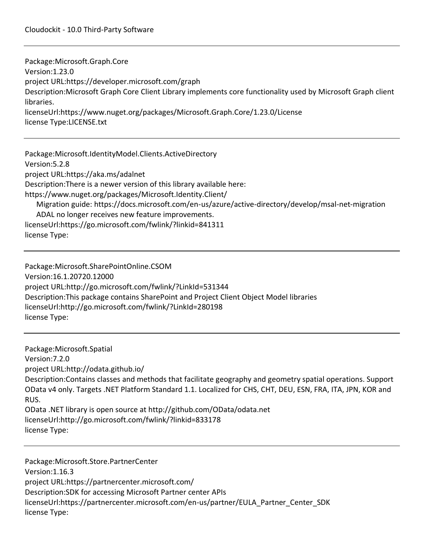Package:Microsoft.Graph.Core Version:1.23.0 project URL:https://developer.microsoft.com/graph Description:Microsoft Graph Core Client Library implements core functionality used by Microsoft Graph client libraries. licenseUrl:https://www.nuget.org/packages/Microsoft.Graph.Core/1.23.0/License license Type:LICENSE.txt

Package:Microsoft.IdentityModel.Clients.ActiveDirectory Version:5.2.8 project URL:https://aka.ms/adalnet Description:There is a newer version of this library available here: https://www.nuget.org/packages/Microsoft.Identity.Client/ Migration guide: https://docs.microsoft.com/en-us/azure/active-directory/develop/msal-net-migration ADAL no longer receives new feature improvements. licenseUrl:https://go.microsoft.com/fwlink/?linkid=841311 license Type:

Package:Microsoft.SharePointOnline.CSOM Version:16.1.20720.12000 project URL:http://go.microsoft.com/fwlink/?LinkId=531344 Description:This package contains SharePoint and Project Client Object Model libraries licenseUrl:http://go.microsoft.com/fwlink/?LinkId=280198 license Type:

Package:Microsoft.Spatial Version:7.2.0 project URL:http://odata.github.io/ Description:Contains classes and methods that facilitate geography and geometry spatial operations. Support OData v4 only. Targets .NET Platform Standard 1.1. Localized for CHS, CHT, DEU, ESN, FRA, ITA, JPN, KOR and RUS. OData .NET library is open source at http://github.com/OData/odata.net licenseUrl:http://go.microsoft.com/fwlink/?linkid=833178 license Type:

Package:Microsoft.Store.PartnerCenter Version:1.16.3 project URL:https://partnercenter.microsoft.com/ Description:SDK for accessing Microsoft Partner center APIs licenseUrl:https://partnercenter.microsoft.com/en-us/partner/EULA\_Partner\_Center\_SDK license Type: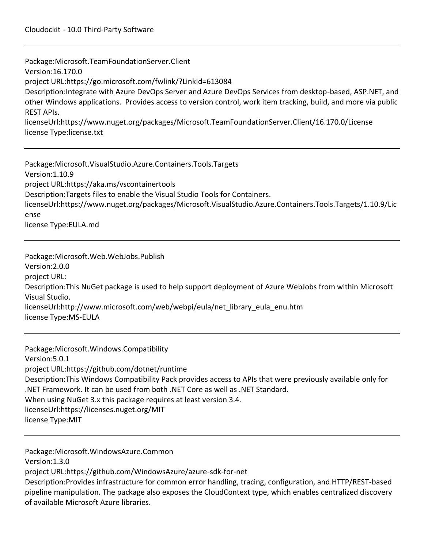Package:Microsoft.TeamFoundationServer.Client Version:16.170.0 project URL:https://go.microsoft.com/fwlink/?LinkId=613084 Description:Integrate with Azure DevOps Server and Azure DevOps Services from desktop-based, ASP.NET, and other Windows applications. Provides access to version control, work item tracking, build, and more via public REST APIs. licenseUrl:https://www.nuget.org/packages/Microsoft.TeamFoundationServer.Client/16.170.0/License license Type:license.txt

Package:Microsoft.VisualStudio.Azure.Containers.Tools.Targets Version:1.10.9 project URL:https://aka.ms/vscontainertools Description:Targets files to enable the Visual Studio Tools for Containers. licenseUrl:https://www.nuget.org/packages/Microsoft.VisualStudio.Azure.Containers.Tools.Targets/1.10.9/Lic ense license Type:EULA.md

Package:Microsoft.Web.WebJobs.Publish Version:2.0.0 project URL: Description:This NuGet package is used to help support deployment of Azure WebJobs from within Microsoft Visual Studio. licenseUrl:http://www.microsoft.com/web/webpi/eula/net\_library\_eula\_enu.htm license Type:MS-EULA

Package:Microsoft.Windows.Compatibility Version:5.0.1 project URL:https://github.com/dotnet/runtime Description:This Windows Compatibility Pack provides access to APIs that were previously available only for .NET Framework. It can be used from both .NET Core as well as .NET Standard. When using NuGet 3.x this package requires at least version 3.4. licenseUrl:https://licenses.nuget.org/MIT license Type:MIT

Package:Microsoft.WindowsAzure.Common

Version:1.3.0

project URL:https://github.com/WindowsAzure/azure-sdk-for-net

Description:Provides infrastructure for common error handling, tracing, configuration, and HTTP/REST-based pipeline manipulation. The package also exposes the CloudContext type, which enables centralized discovery of available Microsoft Azure libraries.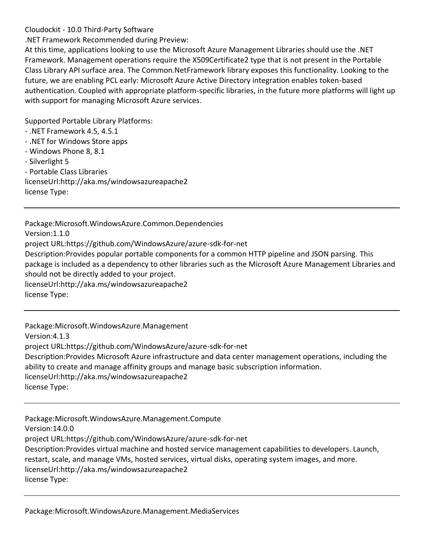.NET Framework Recommended during Preview:

At this time, applications looking to use the Microsoft Azure Management Libraries should use the .NET Framework. Management operations require the X509Certificate2 type that is not present in the Portable Class Library API surface area. The Common.NetFramework library exposes this functionality. Looking to the future, we are enabling PCL early: Microsoft Azure Active Directory integration enables token-based authentication. Coupled with appropriate platform-specific libraries, in the future more platforms will light up with support for managing Microsoft Azure services.

Supported Portable Library Platforms:

- .NET Framework 4.5, 4.5.1
- .NET for Windows Store apps
- Windows Phone 8, 8.1

- Silverlight 5

- Portable Class Libraries

licenseUrl:http://aka.ms/windowsazureapache2

license Type:

Package:Microsoft.WindowsAzure.Common.Dependencies Version:1.1.0 project URL:https://github.com/WindowsAzure/azure-sdk-for-net Description:Provides popular portable components for a common HTTP pipeline and JSON parsing. This package is included as a dependency to other libraries such as the Microsoft Azure Management Libraries and should not be directly added to your project. licenseUrl:http://aka.ms/windowsazureapache2 license Type:

Package:Microsoft.WindowsAzure.Management Version:4.1.3 project URL:https://github.com/WindowsAzure/azure-sdk-for-net Description:Provides Microsoft Azure infrastructure and data center management operations, including the ability to create and manage affinity groups and manage basic subscription information. licenseUrl:http://aka.ms/windowsazureapache2 license Type:

Package:Microsoft.WindowsAzure.Management.Compute Version:14.0.0 project URL:https://github.com/WindowsAzure/azure-sdk-for-net Description:Provides virtual machine and hosted service management capabilities to developers. Launch, restart, scale, and manage VMs, hosted services, virtual disks, operating system images, and more. licenseUrl:http://aka.ms/windowsazureapache2 license Type: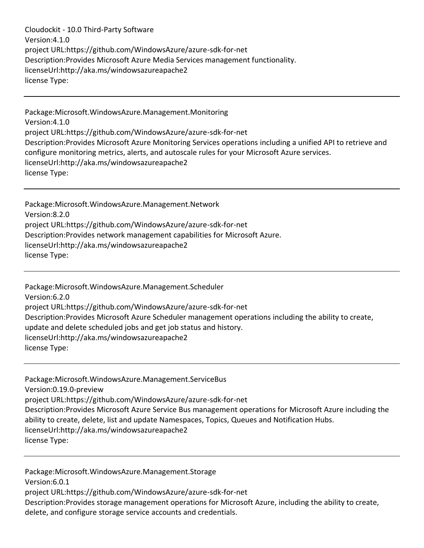Cloudockit - 10.0 Third-Party Software Version:4.1.0 project URL:https://github.com/WindowsAzure/azure-sdk-for-net Description:Provides Microsoft Azure Media Services management functionality. licenseUrl:http://aka.ms/windowsazureapache2 license Type:

Package:Microsoft.WindowsAzure.Management.Monitoring Version:4.1.0 project URL:https://github.com/WindowsAzure/azure-sdk-for-net Description:Provides Microsoft Azure Monitoring Services operations including a unified API to retrieve and configure monitoring metrics, alerts, and autoscale rules for your Microsoft Azure services. licenseUrl:http://aka.ms/windowsazureapache2 license Type:

Package:Microsoft.WindowsAzure.Management.Network Version:8.2.0 project URL:https://github.com/WindowsAzure/azure-sdk-for-net Description:Provides network management capabilities for Microsoft Azure. licenseUrl:http://aka.ms/windowsazureapache2 license Type:

Package:Microsoft.WindowsAzure.Management.Scheduler Version:6.2.0 project URL:https://github.com/WindowsAzure/azure-sdk-for-net Description:Provides Microsoft Azure Scheduler management operations including the ability to create, update and delete scheduled jobs and get job status and history. licenseUrl:http://aka.ms/windowsazureapache2 license Type:

Package:Microsoft.WindowsAzure.Management.ServiceBus Version:0.19.0-preview project URL:https://github.com/WindowsAzure/azure-sdk-for-net Description:Provides Microsoft Azure Service Bus management operations for Microsoft Azure including the ability to create, delete, list and update Namespaces, Topics, Queues and Notification Hubs. licenseUrl:http://aka.ms/windowsazureapache2 license Type:

Package:Microsoft.WindowsAzure.Management.Storage Version:6.0.1 project URL:https://github.com/WindowsAzure/azure-sdk-for-net Description:Provides storage management operations for Microsoft Azure, including the ability to create, delete, and configure storage service accounts and credentials.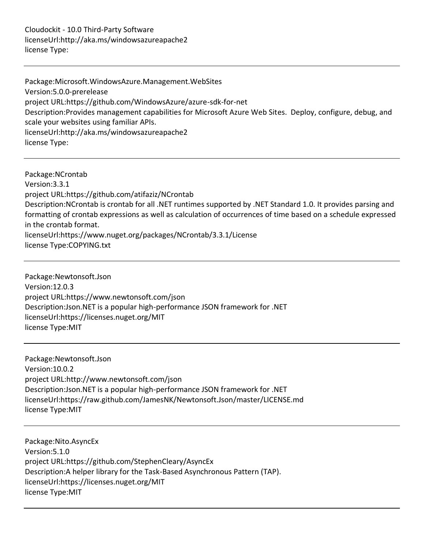Cloudockit - 10.0 Third-Party Software licenseUrl:http://aka.ms/windowsazureapache2 license Type:

Package:Microsoft.WindowsAzure.Management.WebSites Version:5.0.0-prerelease project URL:https://github.com/WindowsAzure/azure-sdk-for-net Description:Provides management capabilities for Microsoft Azure Web Sites. Deploy, configure, debug, and scale your websites using familiar APIs. licenseUrl:http://aka.ms/windowsazureapache2 license Type:

Package:NCrontab Version:3.3.1 project URL:https://github.com/atifaziz/NCrontab Description:NCrontab is crontab for all .NET runtimes supported by .NET Standard 1.0. It provides parsing and formatting of crontab expressions as well as calculation of occurrences of time based on a schedule expressed in the crontab format. licenseUrl:https://www.nuget.org/packages/NCrontab/3.3.1/License license Type:COPYING.txt

Package:Newtonsoft.Json Version:12.0.3 project URL:https://www.newtonsoft.com/json Description:Json.NET is a popular high-performance JSON framework for .NET licenseUrl:https://licenses.nuget.org/MIT license Type:MIT

Package:Newtonsoft.Json Version:10.0.2 project URL:http://www.newtonsoft.com/json Description:Json.NET is a popular high-performance JSON framework for .NET licenseUrl:https://raw.github.com/JamesNK/Newtonsoft.Json/master/LICENSE.md license Type:MIT

Package:Nito.AsyncEx Version:5.1.0 project URL:https://github.com/StephenCleary/AsyncEx Description:A helper library for the Task-Based Asynchronous Pattern (TAP). licenseUrl:https://licenses.nuget.org/MIT license Type:MIT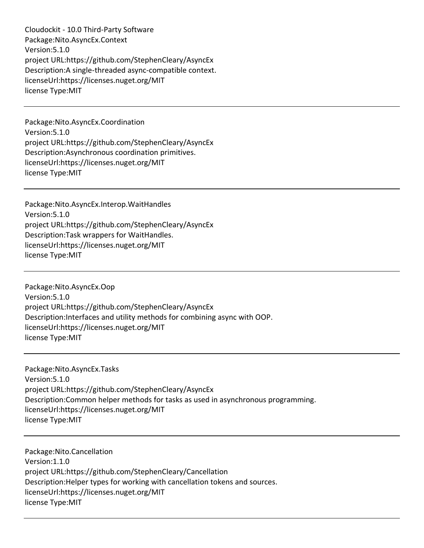Cloudockit - 10.0 Third-Party Software Package:Nito.AsyncEx.Context Version:5.1.0 project URL:https://github.com/StephenCleary/AsyncEx Description:A single-threaded async-compatible context. licenseUrl:https://licenses.nuget.org/MIT license Type:MIT

Package:Nito.AsyncEx.Coordination Version:5.1.0 project URL:https://github.com/StephenCleary/AsyncEx Description:Asynchronous coordination primitives. licenseUrl:https://licenses.nuget.org/MIT license Type:MIT

Package:Nito.AsyncEx.Interop.WaitHandles Version:5.1.0 project URL:https://github.com/StephenCleary/AsyncEx Description:Task wrappers for WaitHandles. licenseUrl:https://licenses.nuget.org/MIT license Type:MIT

Package:Nito.AsyncEx.Oop Version:5.1.0 project URL:https://github.com/StephenCleary/AsyncEx Description:Interfaces and utility methods for combining async with OOP. licenseUrl:https://licenses.nuget.org/MIT license Type:MIT

Package:Nito.AsyncEx.Tasks Version:5.1.0 project URL:https://github.com/StephenCleary/AsyncEx Description:Common helper methods for tasks as used in asynchronous programming. licenseUrl:https://licenses.nuget.org/MIT license Type:MIT

Package:Nito.Cancellation Version:1.1.0 project URL:https://github.com/StephenCleary/Cancellation Description:Helper types for working with cancellation tokens and sources. licenseUrl:https://licenses.nuget.org/MIT license Type:MIT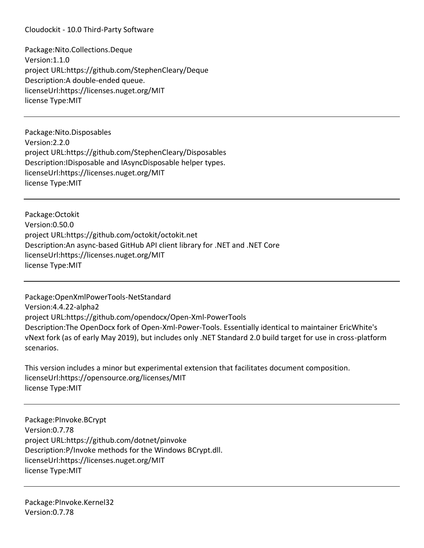Cloudockit - 10.0 Third-Party Software

Package:Nito.Collections.Deque Version:1.1.0 project URL:https://github.com/StephenCleary/Deque Description:A double-ended queue. licenseUrl:https://licenses.nuget.org/MIT license Type:MIT

Package:Nito.Disposables Version:2.2.0 project URL:https://github.com/StephenCleary/Disposables Description:IDisposable and IAsyncDisposable helper types. licenseUrl:https://licenses.nuget.org/MIT license Type:MIT

Package:Octokit Version:0.50.0 project URL:https://github.com/octokit/octokit.net Description:An async-based GitHub API client library for .NET and .NET Core licenseUrl:https://licenses.nuget.org/MIT license Type:MIT

Package:OpenXmlPowerTools-NetStandard Version:4.4.22-alpha2 project URL:https://github.com/opendocx/Open-Xml-PowerTools Description:The OpenDocx fork of Open-Xml-Power-Tools. Essentially identical to maintainer EricWhite's vNext fork (as of early May 2019), but includes only .NET Standard 2.0 build target for use in cross-platform scenarios.

This version includes a minor but experimental extension that facilitates document composition. licenseUrl:https://opensource.org/licenses/MIT license Type:MIT

Package:PInvoke.BCrypt Version:0.7.78 project URL:https://github.com/dotnet/pinvoke Description:P/Invoke methods for the Windows BCrypt.dll. licenseUrl:https://licenses.nuget.org/MIT license Type:MIT

Package:PInvoke.Kernel32 Version:0.7.78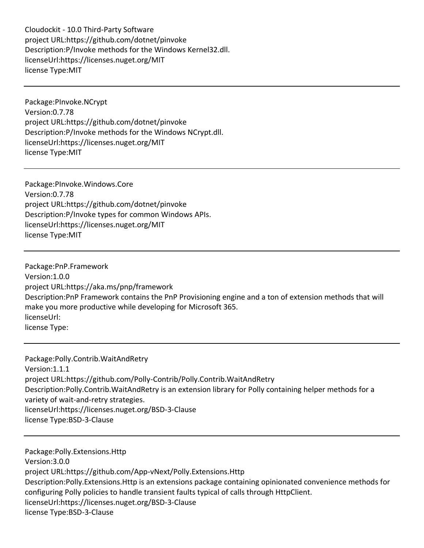Cloudockit - 10.0 Third-Party Software project URL:https://github.com/dotnet/pinvoke Description:P/Invoke methods for the Windows Kernel32.dll. licenseUrl:https://licenses.nuget.org/MIT license Type:MIT

Package:PInvoke.NCrypt Version:0.7.78 project URL:https://github.com/dotnet/pinvoke Description:P/Invoke methods for the Windows NCrypt.dll. licenseUrl:https://licenses.nuget.org/MIT license Type:MIT

Package:PInvoke.Windows.Core Version:0.7.78 project URL:https://github.com/dotnet/pinvoke Description:P/Invoke types for common Windows APIs. licenseUrl:https://licenses.nuget.org/MIT license Type:MIT

Package:PnP.Framework Version:1.0.0 project URL:https://aka.ms/pnp/framework Description:PnP Framework contains the PnP Provisioning engine and a ton of extension methods that will make you more productive while developing for Microsoft 365. licenseUrl: license Type:

Package:Polly.Contrib.WaitAndRetry Version:1.1.1 project URL:https://github.com/Polly-Contrib/Polly.Contrib.WaitAndRetry Description:Polly.Contrib.WaitAndRetry is an extension library for Polly containing helper methods for a variety of wait-and-retry strategies. licenseUrl:https://licenses.nuget.org/BSD-3-Clause license Type:BSD-3-Clause

Package:Polly.Extensions.Http Version:3.0.0 project URL:https://github.com/App-vNext/Polly.Extensions.Http Description:Polly.Extensions.Http is an extensions package containing opinionated convenience methods for configuring Polly policies to handle transient faults typical of calls through HttpClient. licenseUrl:https://licenses.nuget.org/BSD-3-Clause license Type:BSD-3-Clause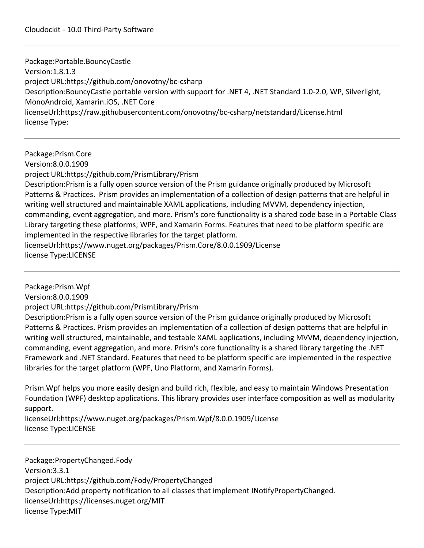Package:Portable.BouncyCastle Version:1.8.1.3 project URL:https://github.com/onovotny/bc-csharp Description:BouncyCastle portable version with support for .NET 4, .NET Standard 1.0-2.0, WP, Silverlight, MonoAndroid, Xamarin.iOS, .NET Core licenseUrl:https://raw.githubusercontent.com/onovotny/bc-csharp/netstandard/License.html license Type:

Package:Prism.Core Version:8.0.0.1909 project URL:https://github.com/PrismLibrary/Prism Description:Prism is a fully open source version of the Prism guidance originally produced by Microsoft Patterns & Practices. Prism provides an implementation of a collection of design patterns that are helpful in writing well structured and maintainable XAML applications, including MVVM, dependency injection, commanding, event aggregation, and more. Prism's core functionality is a shared code base in a Portable Class Library targeting these platforms; WPF, and Xamarin Forms. Features that need to be platform specific are implemented in the respective libraries for the target platform. licenseUrl:https://www.nuget.org/packages/Prism.Core/8.0.0.1909/License license Type:LICENSE

Package:Prism.Wpf Version:8.0.0.1909 project URL:https://github.com/PrismLibrary/Prism Description:Prism is a fully open source version of the Prism guidance originally produced by Microsoft Patterns & Practices. Prism provides an implementation of a collection of design patterns that are helpful in writing well structured, maintainable, and testable XAML applications, including MVVM, dependency injection, commanding, event aggregation, and more. Prism's core functionality is a shared library targeting the .NET Framework and .NET Standard. Features that need to be platform specific are implemented in the respective libraries for the target platform (WPF, Uno Platform, and Xamarin Forms).

Prism.Wpf helps you more easily design and build rich, flexible, and easy to maintain Windows Presentation Foundation (WPF) desktop applications. This library provides user interface composition as well as modularity support.

licenseUrl:https://www.nuget.org/packages/Prism.Wpf/8.0.0.1909/License license Type:LICENSE

Package:PropertyChanged.Fody Version:3.3.1 project URL:https://github.com/Fody/PropertyChanged Description:Add property notification to all classes that implement INotifyPropertyChanged. licenseUrl:https://licenses.nuget.org/MIT license Type:MIT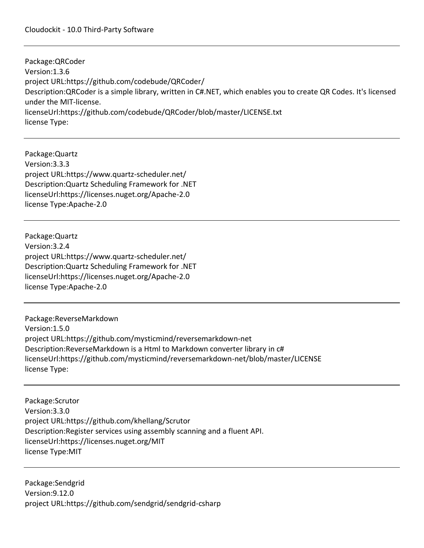Package:QRCoder Version:1.3.6 project URL:https://github.com/codebude/QRCoder/ Description:QRCoder is a simple library, written in C#.NET, which enables you to create QR Codes. It's licensed under the MIT-license. licenseUrl:https://github.com/codebude/QRCoder/blob/master/LICENSE.txt license Type:

Package:Quartz Version:3.3.3 project URL:https://www.quartz-scheduler.net/ Description:Quartz Scheduling Framework for .NET licenseUrl:https://licenses.nuget.org/Apache-2.0 license Type:Apache-2.0

Package:Quartz Version:3.2.4 project URL:https://www.quartz-scheduler.net/ Description:Quartz Scheduling Framework for .NET licenseUrl:https://licenses.nuget.org/Apache-2.0 license Type:Apache-2.0

Package:ReverseMarkdown Version:1.5.0 project URL:https://github.com/mysticmind/reversemarkdown-net Description:ReverseMarkdown is a Html to Markdown converter library in c# licenseUrl:https://github.com/mysticmind/reversemarkdown-net/blob/master/LICENSE license Type:

Package:Scrutor Version:3.3.0 project URL:https://github.com/khellang/Scrutor Description:Register services using assembly scanning and a fluent API. licenseUrl:https://licenses.nuget.org/MIT license Type:MIT

Package:Sendgrid Version:9.12.0 project URL:https://github.com/sendgrid/sendgrid-csharp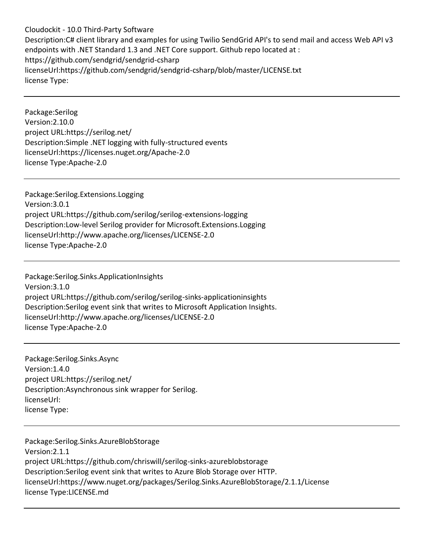Cloudockit - 10.0 Third-Party Software Description:C# client library and examples for using Twilio SendGrid API's to send mail and access Web API v3 endpoints with .NET Standard 1.3 and .NET Core support. Github repo located at : https://github.com/sendgrid/sendgrid-csharp licenseUrl:https://github.com/sendgrid/sendgrid-csharp/blob/master/LICENSE.txt license Type:

Package:Serilog Version:2.10.0 project URL:https://serilog.net/ Description:Simple .NET logging with fully-structured events licenseUrl:https://licenses.nuget.org/Apache-2.0 license Type:Apache-2.0

Package:Serilog.Extensions.Logging Version:3.0.1 project URL:https://github.com/serilog/serilog-extensions-logging Description:Low-level Serilog provider for Microsoft.Extensions.Logging licenseUrl:http://www.apache.org/licenses/LICENSE-2.0 license Type:Apache-2.0

Package:Serilog.Sinks.ApplicationInsights Version:3.1.0 project URL:https://github.com/serilog/serilog-sinks-applicationinsights Description:Serilog event sink that writes to Microsoft Application Insights. licenseUrl:http://www.apache.org/licenses/LICENSE-2.0 license Type:Apache-2.0

Package:Serilog.Sinks.Async Version:1.4.0 project URL:https://serilog.net/ Description:Asynchronous sink wrapper for Serilog. licenseUrl: license Type:

Package:Serilog.Sinks.AzureBlobStorage Version:2.1.1 project URL:https://github.com/chriswill/serilog-sinks-azureblobstorage Description:Serilog event sink that writes to Azure Blob Storage over HTTP. licenseUrl:https://www.nuget.org/packages/Serilog.Sinks.AzureBlobStorage/2.1.1/License license Type:LICENSE.md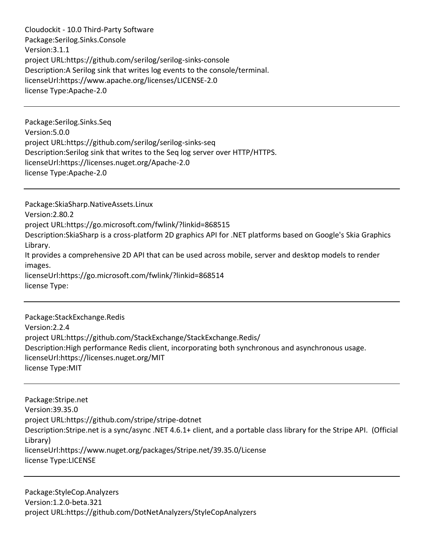Cloudockit - 10.0 Third-Party Software Package:Serilog.Sinks.Console Version:3.1.1 project URL:https://github.com/serilog/serilog-sinks-console Description:A Serilog sink that writes log events to the console/terminal. licenseUrl:https://www.apache.org/licenses/LICENSE-2.0 license Type:Apache-2.0

Package:Serilog.Sinks.Seq Version:5.0.0 project URL:https://github.com/serilog/serilog-sinks-seq Description:Serilog sink that writes to the Seq log server over HTTP/HTTPS. licenseUrl:https://licenses.nuget.org/Apache-2.0 license Type:Apache-2.0

Package:SkiaSharp.NativeAssets.Linux Version:2.80.2 project URL:https://go.microsoft.com/fwlink/?linkid=868515 Description:SkiaSharp is a cross-platform 2D graphics API for .NET platforms based on Google's Skia Graphics Library. It provides a comprehensive 2D API that can be used across mobile, server and desktop models to render images. licenseUrl:https://go.microsoft.com/fwlink/?linkid=868514 license Type:

Package:StackExchange.Redis Version:2.2.4 project URL:https://github.com/StackExchange/StackExchange.Redis/ Description:High performance Redis client, incorporating both synchronous and asynchronous usage. licenseUrl:https://licenses.nuget.org/MIT license Type:MIT

Package:Stripe.net Version:39.35.0 project URL:https://github.com/stripe/stripe-dotnet Description:Stripe.net is a sync/async .NET 4.6.1+ client, and a portable class library for the Stripe API. (Official Library) licenseUrl:https://www.nuget.org/packages/Stripe.net/39.35.0/License license Type:LICENSE

Package:StyleCop.Analyzers Version:1.2.0-beta.321 project URL:https://github.com/DotNetAnalyzers/StyleCopAnalyzers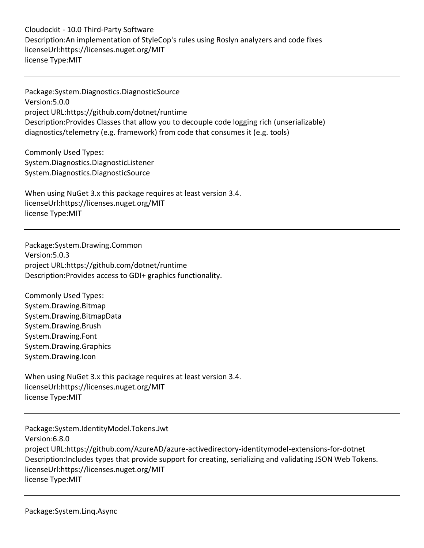Cloudockit - 10.0 Third-Party Software Description:An implementation of StyleCop's rules using Roslyn analyzers and code fixes licenseUrl:https://licenses.nuget.org/MIT license Type:MIT

Package:System.Diagnostics.DiagnosticSource Version:5.0.0 project URL:https://github.com/dotnet/runtime Description:Provides Classes that allow you to decouple code logging rich (unserializable) diagnostics/telemetry (e.g. framework) from code that consumes it (e.g. tools)

Commonly Used Types: System.Diagnostics.DiagnosticListener System.Diagnostics.DiagnosticSource

When using NuGet 3.x this package requires at least version 3.4. licenseUrl:https://licenses.nuget.org/MIT license Type:MIT

Package:System.Drawing.Common Version:5.0.3 project URL:https://github.com/dotnet/runtime Description:Provides access to GDI+ graphics functionality.

Commonly Used Types: System.Drawing.Bitmap System.Drawing.BitmapData System.Drawing.Brush System.Drawing.Font System.Drawing.Graphics System.Drawing.Icon

When using NuGet 3.x this package requires at least version 3.4. licenseUrl:https://licenses.nuget.org/MIT license Type:MIT

Package:System.IdentityModel.Tokens.Jwt Version:6.8.0 project URL:https://github.com/AzureAD/azure-activedirectory-identitymodel-extensions-for-dotnet Description:Includes types that provide support for creating, serializing and validating JSON Web Tokens. licenseUrl:https://licenses.nuget.org/MIT license Type:MIT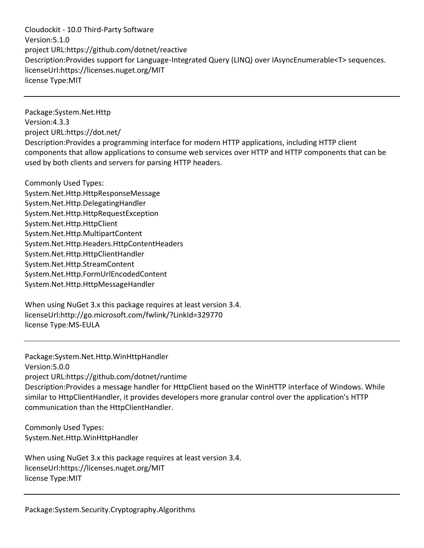Cloudockit - 10.0 Third-Party Software Version:5.1.0 project URL:https://github.com/dotnet/reactive Description:Provides support for Language-Integrated Query (LINQ) over IAsyncEnumerable<T> sequences. licenseUrl:https://licenses.nuget.org/MIT license Type:MIT

Package:System.Net.Http Version:4.3.3 project URL:https://dot.net/ Description:Provides a programming interface for modern HTTP applications, including HTTP client components that allow applications to consume web services over HTTP and HTTP components that can be used by both clients and servers for parsing HTTP headers.

Commonly Used Types: System.Net.Http.HttpResponseMessage System.Net.Http.DelegatingHandler System.Net.Http.HttpRequestException System.Net.Http.HttpClient System.Net.Http.MultipartContent System.Net.Http.Headers.HttpContentHeaders System.Net.Http.HttpClientHandler System.Net.Http.StreamContent System.Net.Http.FormUrlEncodedContent System.Net.Http.HttpMessageHandler

When using NuGet 3.x this package requires at least version 3.4. licenseUrl:http://go.microsoft.com/fwlink/?LinkId=329770 license Type:MS-EULA

Package:System.Net.Http.WinHttpHandler Version:5.0.0 project URL:https://github.com/dotnet/runtime Description:Provides a message handler for HttpClient based on the WinHTTP interface of Windows. While similar to HttpClientHandler, it provides developers more granular control over the application's HTTP communication than the HttpClientHandler.

Commonly Used Types: System.Net.Http.WinHttpHandler

When using NuGet 3.x this package requires at least version 3.4. licenseUrl:https://licenses.nuget.org/MIT license Type:MIT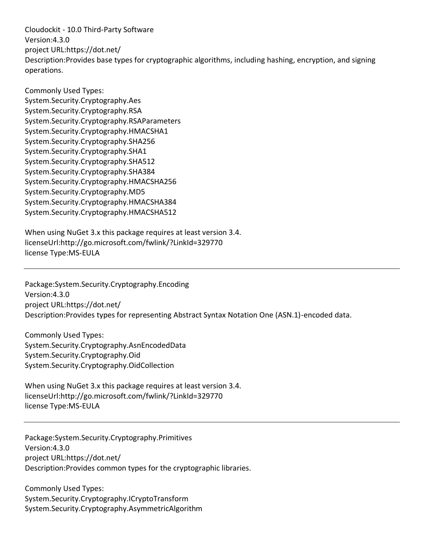Cloudockit - 10.0 Third-Party Software Version:4.3.0 project URL:https://dot.net/ Description:Provides base types for cryptographic algorithms, including hashing, encryption, and signing operations.

Commonly Used Types: System.Security.Cryptography.Aes System.Security.Cryptography.RSA System.Security.Cryptography.RSAParameters System.Security.Cryptography.HMACSHA1 System.Security.Cryptography.SHA256 System.Security.Cryptography.SHA1 System.Security.Cryptography.SHA512 System.Security.Cryptography.SHA384 System.Security.Cryptography.HMACSHA256 System.Security.Cryptography.MD5 System.Security.Cryptography.HMACSHA384 System.Security.Cryptography.HMACSHA512

When using NuGet 3.x this package requires at least version 3.4. licenseUrl:http://go.microsoft.com/fwlink/?LinkId=329770 license Type:MS-EULA

Package:System.Security.Cryptography.Encoding Version:4.3.0 project URL:https://dot.net/ Description:Provides types for representing Abstract Syntax Notation One (ASN.1)-encoded data.

Commonly Used Types: System.Security.Cryptography.AsnEncodedData System.Security.Cryptography.Oid System.Security.Cryptography.OidCollection

When using NuGet 3.x this package requires at least version 3.4. licenseUrl:http://go.microsoft.com/fwlink/?LinkId=329770 license Type:MS-EULA

Package:System.Security.Cryptography.Primitives Version:4.3.0 project URL:https://dot.net/ Description:Provides common types for the cryptographic libraries.

Commonly Used Types: System.Security.Cryptography.ICryptoTransform System.Security.Cryptography.AsymmetricAlgorithm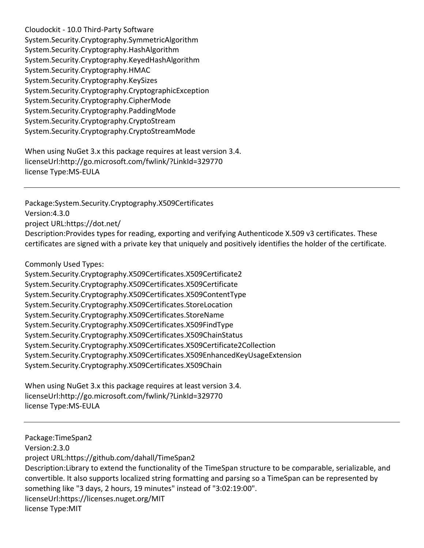Cloudockit - 10.0 Third-Party Software System.Security.Cryptography.SymmetricAlgorithm System.Security.Cryptography.HashAlgorithm System.Security.Cryptography.KeyedHashAlgorithm System.Security.Cryptography.HMAC System.Security.Cryptography.KeySizes System.Security.Cryptography.CryptographicException System.Security.Cryptography.CipherMode System.Security.Cryptography.PaddingMode System.Security.Cryptography.CryptoStream System.Security.Cryptography.CryptoStreamMode

When using NuGet 3.x this package requires at least version 3.4. licenseUrl:http://go.microsoft.com/fwlink/?LinkId=329770 license Type:MS-EULA

Package:System.Security.Cryptography.X509Certificates Version:4.3.0 project URL:https://dot.net/ Description:Provides types for reading, exporting and verifying Authenticode X.509 v3 certificates. These certificates are signed with a private key that uniquely and positively identifies the holder of the certificate.

Commonly Used Types:

System.Security.Cryptography.X509Certificates.X509Certificate2 System.Security.Cryptography.X509Certificates.X509Certificate System.Security.Cryptography.X509Certificates.X509ContentType System.Security.Cryptography.X509Certificates.StoreLocation System.Security.Cryptography.X509Certificates.StoreName System.Security.Cryptography.X509Certificates.X509FindType System.Security.Cryptography.X509Certificates.X509ChainStatus System.Security.Cryptography.X509Certificates.X509Certificate2Collection System.Security.Cryptography.X509Certificates.X509EnhancedKeyUsageExtension System.Security.Cryptography.X509Certificates.X509Chain

When using NuGet 3.x this package requires at least version 3.4. licenseUrl:http://go.microsoft.com/fwlink/?LinkId=329770 license Type:MS-EULA

Package:TimeSpan2 Version:2.3.0 project URL:https://github.com/dahall/TimeSpan2 Description:Library to extend the functionality of the TimeSpan structure to be comparable, serializable, and convertible. It also supports localized string formatting and parsing so a TimeSpan can be represented by something like "3 days, 2 hours, 19 minutes" instead of "3:02:19:00". licenseUrl:https://licenses.nuget.org/MIT license Type:MIT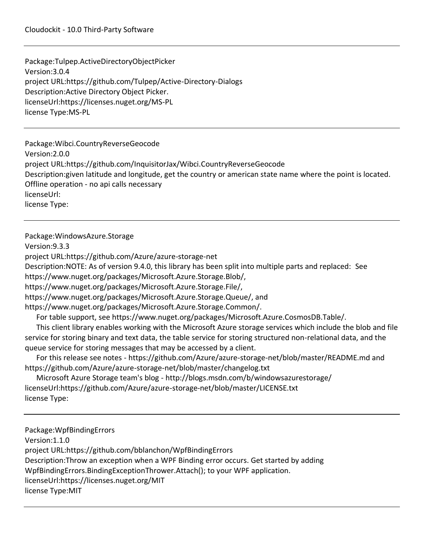## Cloudockit - 10.0 Third-Party Software

Package:Tulpep.ActiveDirectoryObjectPicker Version:3.0.4 project URL:https://github.com/Tulpep/Active-Directory-Dialogs Description:Active Directory Object Picker. licenseUrl:https://licenses.nuget.org/MS-PL license Type:MS-PL

Package:Wibci.CountryReverseGeocode Version:2.0.0 project URL:https://github.com/InquisitorJax/Wibci.CountryReverseGeocode Description:given latitude and longitude, get the country or american state name where the point is located. Offline operation - no api calls necessary licenseUrl: license Type:

Package:WindowsAzure.Storage Version:9.3.3 project URL:https://github.com/Azure/azure-storage-net Description:NOTE: As of version 9.4.0, this library has been split into multiple parts and replaced: See https://www.nuget.org/packages/Microsoft.Azure.Storage.Blob/, https://www.nuget.org/packages/Microsoft.Azure.Storage.File/, https://www.nuget.org/packages/Microsoft.Azure.Storage.Queue/, and https://www.nuget.org/packages/Microsoft.Azure.Storage.Common/. For table support, see https://www.nuget.org/packages/Microsoft.Azure.CosmosDB.Table/. This client library enables working with the Microsoft Azure storage services which include the blob and file service for storing binary and text data, the table service for storing structured non-relational data, and the queue service for storing messages that may be accessed by a client. For this release see notes - https://github.com/Azure/azure-storage-net/blob/master/README.md and https://github.com/Azure/azure-storage-net/blob/master/changelog.txt Microsoft Azure Storage team's blog - http://blogs.msdn.com/b/windowsazurestorage/ licenseUrl:https://github.com/Azure/azure-storage-net/blob/master/LICENSE.txt license Type: Package:WpfBindingErrors Version:1.1.0 project URL:https://github.com/bblanchon/WpfBindingErrors Description:Throw an exception when a WPF Binding error occurs. Get started by adding WpfBindingErrors.BindingExceptionThrower.Attach(); to your WPF application. licenseUrl:https://licenses.nuget.org/MIT license Type:MIT